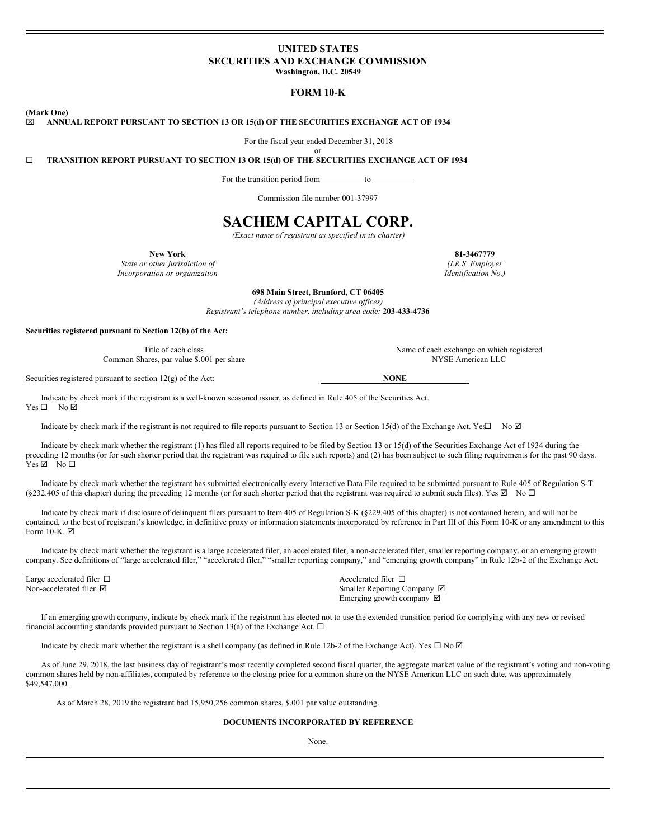# **UNITED STATES SECURITIES AND EXCHANGE COMMISSION Washington, D.C. 20549**

# **FORM 10-K**

**(Mark One)**

# x **ANNUAL REPORT PURSUANT TO SECTION 13 OR 15(d) OF THE SECURITIES EXCHANGE ACT OF 1934**

For the fiscal year ended December 31, 2018 or

¨ **TRANSITION REPORT PURSUANT TO SECTION 13 OR 15(d) OF THE SECURITIES EXCHANGE ACT OF 1934**

For the transition period from to to

Commission file number 001-37997

# **SACHEM CAPITAL CORP.**

*(Exact name of registrant as specified in its charter)*

*State or other jurisdiction of (I.R.S. Employer Incorporation or organization Identification No.)*

**New York 81-3467779**

**698 Main Street, Branford, CT 06405**

*(Address of principal executive of ices) Registrant's telephone number, including area code:* **203-433-4736**

### **Securities registered pursuant to Section 12(b) of the Act:**

Common Shares, par value \$.001 per share NYSE American LLC

Securities registered pursuant to section 12(g) of the Act: **NONE** 

Indicate by check mark if the registrant is a well-known seasoned issuer, as defined in Rule 405 of the Securities Act.  $Yes \Box No \Box$ 

Indicate by check mark if the registrant is not required to file reports pursuant to Section 13 or Section 15(d) of the Exchange Act. Yes $\Box$  No  $\Box$ 

Indicate by check mark whether the registrant (1) has filed all reports required to be filed by Section 13 or 15(d) of the Securities Exchange Act of 1934 during the preceding 12 months (or for such shorter period that the registrant was required to file such reports) and (2) has been subject to such filing requirements for the past 90 days.  $Yes \nabla$  No  $\square$ 

Indicate by check mark whether the registrant has submitted electronically every Interactive Data File required to be submitted pursuant to Rule 405 of Regulation S-T (§232.405 of this chapter) during the preceding 12 months (or for such shorter period that the registrant was required to submit such files). Yes  $\boxtimes$  No  $\Box$ 

Indicate by check mark if disclosure of delinquent filers pursuant to Item 405 of Regulation S-K (§229.405 of this chapter) is not contained herein, and will not be contained, to the best of registrant's knowledge, in definitive proxy or information statements incorporated by reference in Part III of this Form 10-K or any amendment to this Form 10-K.  $\boxtimes$ 

Indicate by check mark whether the registrant is a large accelerated filer, an accelerated filer, a non-accelerated filer, smaller reporting company, or an emerging growth company. See definitions of "large accelerated filer," "accelerated filer," "smaller reporting company," and "emerging growth company" in Rule 12b-2 of the Exchange Act.

Large accelerated filer  $\Box$ <br>
Non-accelerated filer  $\Box$ <br>
Non-accelerated filer  $\Box$ <br>
Smaller Reporting C

Smaller Reporting Company Ø Emerging growth company  $\boxtimes$ 

If an emerging growth company, indicate by check mark if the registrant has elected not to use the extended transition period for complying with any new or revised financial accounting standards provided pursuant to Section 13(a) of the Exchange Act.  $\Box$ 

Indicate by check mark whether the registrant is a shell company (as defined in Rule 12b-2 of the Exchange Act). Yes  $\Box$  No  $\Box$ 

As of June 29, 2018, the last business day of registrant's most recently completed second fiscal quarter, the aggregate market value of the registrant's voting and non-voting common shares held by non-affiliates, computed by reference to the closing price for a common share on the NYSE American LLC on such date, was approximately \$49,547,000.

As of March 28, 2019 the registrant had 15,950,256 common shares, \$.001 par value outstanding.

# **DOCUMENTS INCORPORATED BY REFERENCE**

None.

Title of each class Name of each exchange on which registered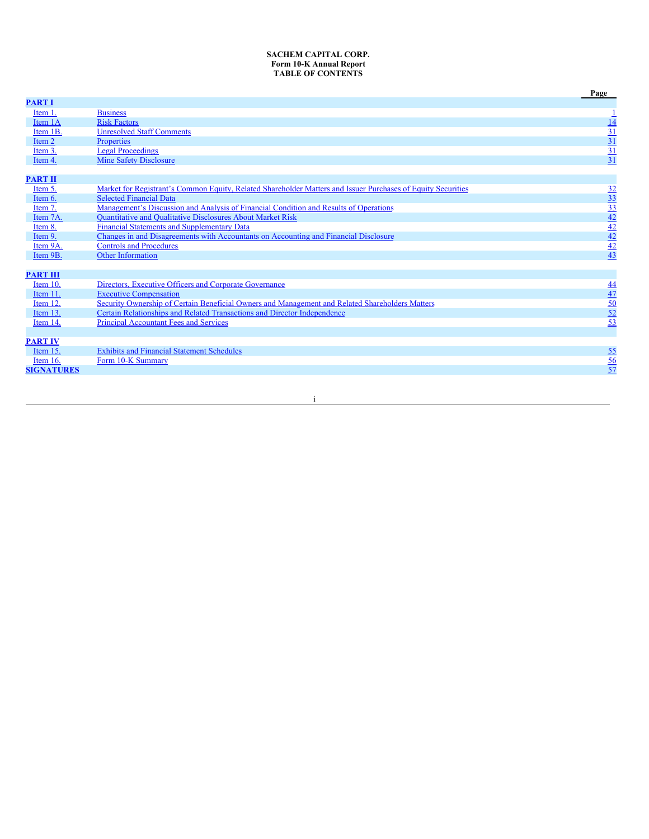# **SACHEM CAPITAL CORP. Form 10-K Annual Report TABLE OF CONTENTS**

|                   |                                                                                                              | Page                                                            |
|-------------------|--------------------------------------------------------------------------------------------------------------|-----------------------------------------------------------------|
| <b>PART I</b>     |                                                                                                              |                                                                 |
| Item 1.           | <b>Business</b>                                                                                              |                                                                 |
| Item 1A           | <b>Risk Factors</b>                                                                                          |                                                                 |
| Item 1B.          | <b>Unresolved Staff Comments</b>                                                                             |                                                                 |
| Item 2            | Properties                                                                                                   |                                                                 |
| Item 3.           | <b>Legal Proceedings</b>                                                                                     | $\frac{1}{\frac{14}{31}}$<br>$\frac{31}{31}$<br>$\frac{31}{31}$ |
| Item 4.           | <b>Mine Safety Disclosure</b>                                                                                |                                                                 |
|                   |                                                                                                              |                                                                 |
| <b>PART II</b>    |                                                                                                              |                                                                 |
| Item 5.           | Market for Registrant's Common Equity, Related Shareholder Matters and Issuer Purchases of Equity Securities |                                                                 |
| Item 6.           | <b>Selected Financial Data</b>                                                                               | $\frac{32}{33}$ $\frac{33}{42}$ $\frac{42}{42}$ $\frac{42}{43}$ |
| Item 7.           | Management's Discussion and Analysis of Financial Condition and Results of Operations                        |                                                                 |
| Item 7A.          | Quantitative and Qualitative Disclosures About Market Risk                                                   |                                                                 |
| Item 8.           | <b>Financial Statements and Supplementary Data</b>                                                           |                                                                 |
| Item 9.           | Changes in and Disagreements with Accountants on Accounting and Financial Disclosure                         |                                                                 |
| Item 9A.          | <b>Controls and Procedures</b>                                                                               |                                                                 |
| Item 9B.          | <b>Other Information</b>                                                                                     |                                                                 |
|                   |                                                                                                              |                                                                 |
| <b>PART III</b>   |                                                                                                              |                                                                 |
| Item 10.          | Directors, Executive Officers and Corporate Governance                                                       |                                                                 |
| Item 11.          | <b>Executive Compensation</b>                                                                                | $\frac{44}{17}$ $\frac{50}{52}$ $\frac{52}{53}$                 |
| Item 12.          | Security Ownership of Certain Beneficial Owners and Management and Related Shareholders Matters              |                                                                 |
| Item 13.          | Certain Relationships and Related Transactions and Director Independence                                     |                                                                 |
| Item 14.          | <b>Principal Accountant Fees and Services</b>                                                                |                                                                 |
|                   |                                                                                                              |                                                                 |
| <b>PART IV</b>    |                                                                                                              |                                                                 |
| Item 15.          | <b>Exhibits and Financial Statement Schedules</b>                                                            | $rac{55}{\frac{56}{57}}$                                        |
| Item $16$ .       | Form 10-K Summary                                                                                            |                                                                 |
| <b>SIGNATURES</b> |                                                                                                              |                                                                 |
|                   |                                                                                                              |                                                                 |

i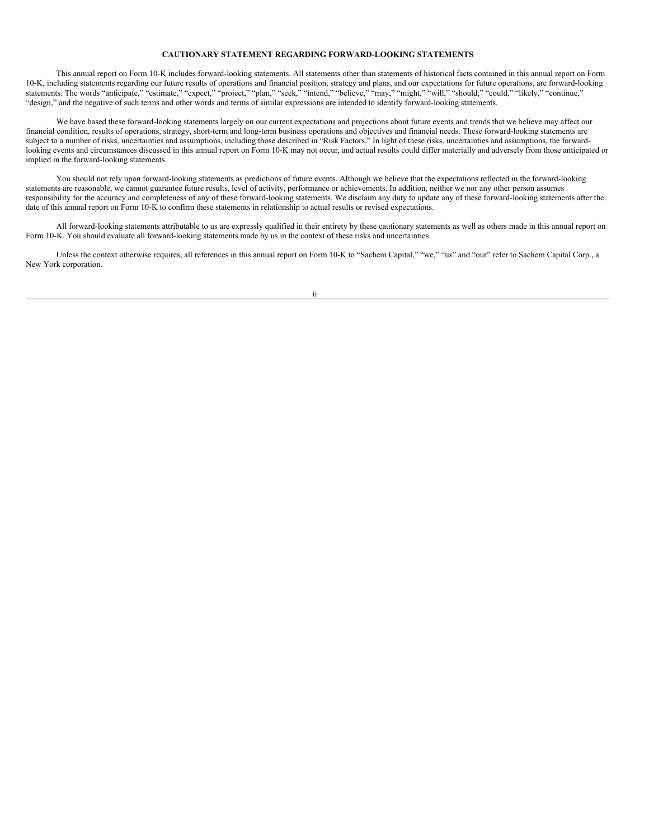# **CAUTIONARY STATEMENT REGARDING FORWARD-LOOKING STATEMENTS**

This annual report on Form 10-K includes forward-looking statements. All statements other than statements of historical facts contained in this annual report on Form 10-K, including statements regarding our future results of operations and financial position, strategy and plans, and our expectations for future operations, are forward-looking statements. The words "anticipate," "estimate," "expect," "project," "plan," "seek," "intend," "believe," "may," "might," "will," "should," "could," "likely," "continue," "design," and the negative of such terms and other words and terms of similar expressions are intended to identify forward-looking statements.

We have based these forward-looking statements largely on our current expectations and projections about future events and trends that we believe may affect our financial condition, results of operations, strategy, short-term and long-term business operations and objectives and financial needs. These forward-looking statements are subject to a number of risks, uncertainties and assumptions, including those described in "Risk Factors." In light of these risks, uncertainties and assumptions, the forwardlooking events and circumstances discussed in this annual report on Form 10-K may not occur, and actual results could differ materially and adversely from those anticipated or implied in the forward-looking statements.

You should not rely upon forward-looking statements as predictions of future events. Although we believe that the expectations reflected in the forward-looking statements are reasonable, we cannot guarantee future results, level of activity, performance or achievements. In addition, neither we nor any other person assumes responsibility for the accuracy and completeness of any of these forward-looking statements. We disclaim any duty to update any of these forward-looking statements after the date of this annual report on Form 10-K to confirm these statements in relationship to actual results or revised expectations.

All forward-looking statements attributable to us are expressly qualified in their entirety by these cautionary statements as well as others made in this annual report on Form 10-K. You should evaluate all forward-looking statements made by us in the context of these risks and uncertainties.

Unless the context otherwise requires, all references in this annual report on Form 10-K to "Sachem Capital," "we," "us" and "our" refer to Sachem Capital Corp., a New York corporation.

ii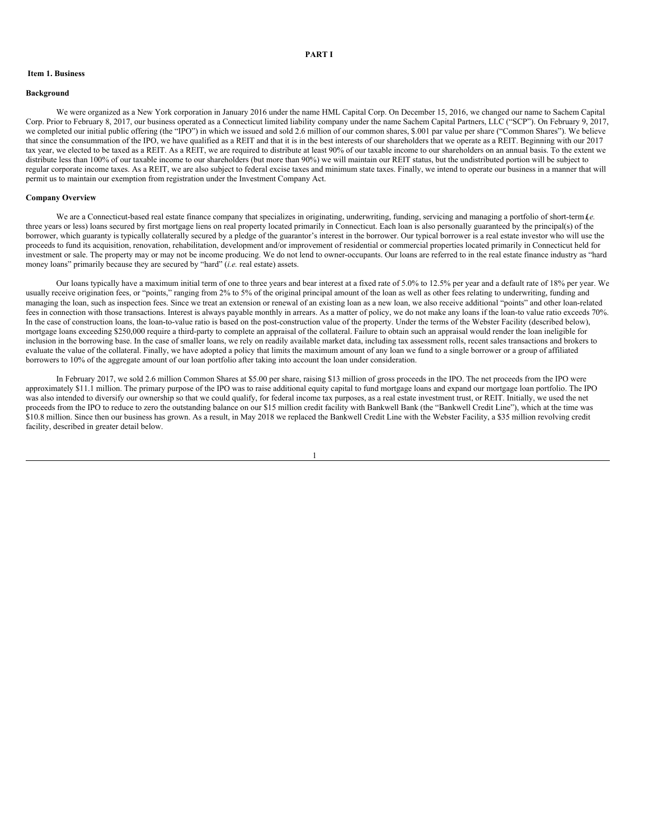### <span id="page-3-0"></span>**PART I**

### <span id="page-3-1"></span>**Item 1. Business**

## **Background**

We were organized as a New York corporation in January 2016 under the name HML Capital Corp. On December 15, 2016, we changed our name to Sachem Capital Corp. Prior to February 8, 2017, our business operated as a Connecticut limited liability company under the name Sachem Capital Partners, LLC ("SCP"). On February 9, 2017, we completed our initial public offering (the "IPO") in which we issued and sold 2.6 million of our common shares, \$.001 par value per share ("Common Shares"). We believe that since the consummation of the IPO, we have qualified as a REIT and that it is in the best interests of our shareholders that we operate as a REIT. Beginning with our 2017 tax year, we elected to be taxed as a REIT. As a REIT, we are required to distribute at least 90% of our taxable income to our shareholders on an annual basis. To the extent we distribute less than 100% of our taxable income to our shareholders (but more than 90%) we will maintain our REIT status, but the undistributed portion will be subject to regular corporate income taxes. As a REIT, we are also subject to federal excise taxes and minimum state taxes. Finally, we intend to operate our business in a manner that will permit us to maintain our exemption from registration under the Investment Company Act.

# **Company Overview**

We are a Connecticut-based real estate finance company that specializes in originating, underwriting, funding, servicing and managing a portfolio of short-term *l.e.* three years or less) loans secured by first mortgage liens on real property located primarily in Connecticut. Each loan is also personally guaranteed by the principal(s) of the borrower, which guaranty is typically collaterally secured by a pledge of the guarantor's interest in the borrower. Our typical borrower is a real estate investor who will use the proceeds to fund its acquisition, renovation, rehabilitation, development and/or improvement of residential or commercial properties located primarily in Connecticut held for investment or sale. The property may or may not be income producing. We do not lend to owner-occupants. Our loans are referred to in the real estate finance industry as "hard money loans" primarily because they are secured by "hard" (*i.e.* real estate) assets.

Our loans typically have a maximum initial term of one to three years and bear interest at a fixed rate of 5.0% to 12.5% per year and a default rate of 18% per year. We usually receive origination fees, or "points," ranging from 2% to 5% of the original principal amount of the loan as well as other fees relating to underwriting, funding and managing the loan, such as inspection fees. Since we treat an extension or renewal of an existing loan as a new loan, we also receive additional "points" and other loan-related fees in connection with those transactions. Interest is always payable monthly in arrears. As a matter of policy, we do not make any loans if the loan-to value ratio exceeds 70%. In the case of construction loans, the loan-to-value ratio is based on the post-construction value of the property. Under the terms of the Webster Facility (described below), mortgage loans exceeding \$250,000 require a third-party to complete an appraisal of the collateral. Failure to obtain such an appraisal would render the loan ineligible for inclusion in the borrowing base. In the case of smaller loans, we rely on readily available market data, including tax assessment rolls, recent sales transactions and brokers to evaluate the value of the collateral. Finally, we have adopted a policy that limits the maximum amount of any loan we fund to a single borrower or a group of affiliated borrowers to 10% of the aggregate amount of our loan portfolio after taking into account the loan under consideration.

In February 2017, we sold 2.6 million Common Shares at \$5.00 per share, raising \$13 million of gross proceeds in the IPO. The net proceeds from the IPO were approximately \$11.1 million. The primary purpose of the IPO was to raise additional equity capital to fund mortgage loans and expand our mortgage loan portfolio. The IPO was also intended to diversify our ownership so that we could qualify, for federal income tax purposes, as a real estate investment trust, or REIT. Initially, we used the net proceeds from the IPO to reduce to zero the outstanding balance on our \$15 million credit facility with Bankwell Bank (the "Bankwell Credit Line"), which at the time was \$10.8 million. Since then our business has grown. As a result, in May 2018 we replaced the Bankwell Credit Line with the Webster Facility, a \$35 million revolving credit facility, described in greater detail below.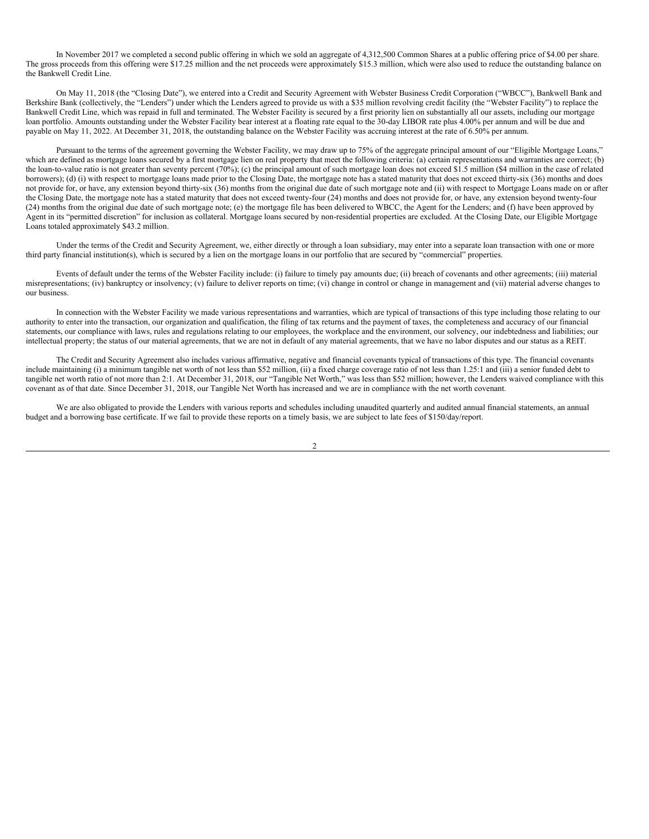In November 2017 we completed a second public offering in which we sold an aggregate of 4,312,500 Common Shares at a public offering price of \$4.00 per share. The gross proceeds from this offering were \$17.25 million and the net proceeds were approximately \$15.3 million, which were also used to reduce the outstanding balance on the Bankwell Credit Line.

On May 11, 2018 (the "Closing Date"), we entered into a Credit and Security Agreement with Webster Business Credit Corporation ("WBCC"), Bankwell Bank and Berkshire Bank (collectively, the "Lenders") under which the Lenders agreed to provide us with a \$35 million revolving credit facility (the "Webster Facility") to replace the Bankwell Credit Line, which was repaid in full and terminated. The Webster Facility is secured by a first priority lien on substantially all our assets, including our mortgage loan portfolio. Amounts outstanding under the Webster Facility bear interest at a floating rate equal to the 30-day LIBOR rate plus 4.00% per annum and will be due and payable on May 11, 2022. At December 31, 2018, the outstanding balance on the Webster Facility was accruing interest at the rate of 6.50% per annum.

Pursuant to the terms of the agreement governing the Webster Facility, we may draw up to 75% of the aggregate principal amount of our "Eligible Mortgage Loans," which are defined as mortgage loans secured by a first mortgage lien on real property that meet the following criteria: (a) certain representations and warranties are correct; (b) the loan-to-value ratio is not greater than seventy percent  $(70\%)$ ; (c) the principal amount of such mortgage loan does not exceed \$1.5 million (\$4 million in the case of related borrowers); (d) (i) with respect to mortgage loans made prior to the Closing Date, the mortgage note has a stated maturity that does not exceed thirty-six (36) months and does not provide for, or have, any extension beyond thirty-six (36) months from the original due date of such mortgage note and (ii) with respect to Mortgage Loans made on or after the Closing Date, the mortgage note has a stated maturity that does not exceed twenty-four (24) months and does not provide for, or have, any extension beyond twenty-four (24) months from the original due date of such mortgage note; (e) the mortgage file has been delivered to WBCC, the Agent for the Lenders; and (f) have been approved by Agent in its "permitted discretion" for inclusion as collateral. Mortgage loans secured by non-residential properties are excluded. At the Closing Date, our Eligible Mortgage Loans totaled approximately \$43.2 million.

Under the terms of the Credit and Security Agreement, we, either directly or through a loan subsidiary, may enter into a separate loan transaction with one or more third party financial institution(s), which is secured by a lien on the mortgage loans in our portfolio that are secured by "commercial" properties.

Events of default under the terms of the Webster Facility include: (i) failure to timely pay amounts due; (ii) breach of covenants and other agreements; (iii) material misrepresentations; (iv) bankruptcy or insolvency; (v) failure to deliver reports on time; (vi) change in control or change in management and (vii) material adverse changes to our business.

In connection with the Webster Facility we made various representations and warranties, which are typical of transactions of this type including those relating to our authority to enter into the transaction, our organization and qualification, the filing of tax returns and the payment of taxes, the completeness and accuracy of our financial statements, our compliance with laws, rules and regulations relating to our employees, the workplace and the environment, our solvency, our indebtedness and liabilities; our intellectual property; the status of our material agreements, that we are not in default of any material agreements, that we have no labor disputes and our status as a REIT.

The Credit and Security Agreement also includes various affirmative, negative and financial covenants typical of transactions of this type. The financial covenants include maintaining (i) a minimum tangible net worth of not less than \$52 million, (ii) a fixed charge coverage ratio of not less than 1.25:1 and (iii) a senior funded debt to tangible net worth ratio of not more than 2:1. At December 31, 2018, our "Tangible Net Worth," was less than \$52 million; however, the Lenders waived compliance with this covenant as of that date. Since December 31, 2018, our Tangible Net Worth has increased and we are in compliance with the net worth covenant.

We are also obligated to provide the Lenders with various reports and schedules including unaudited quarterly and audited annual financial statements, an annual budget and a borrowing base certificate. If we fail to provide these reports on a timely basis, we are subject to late fees of \$150/day/report.

 $\mathfrak{D}$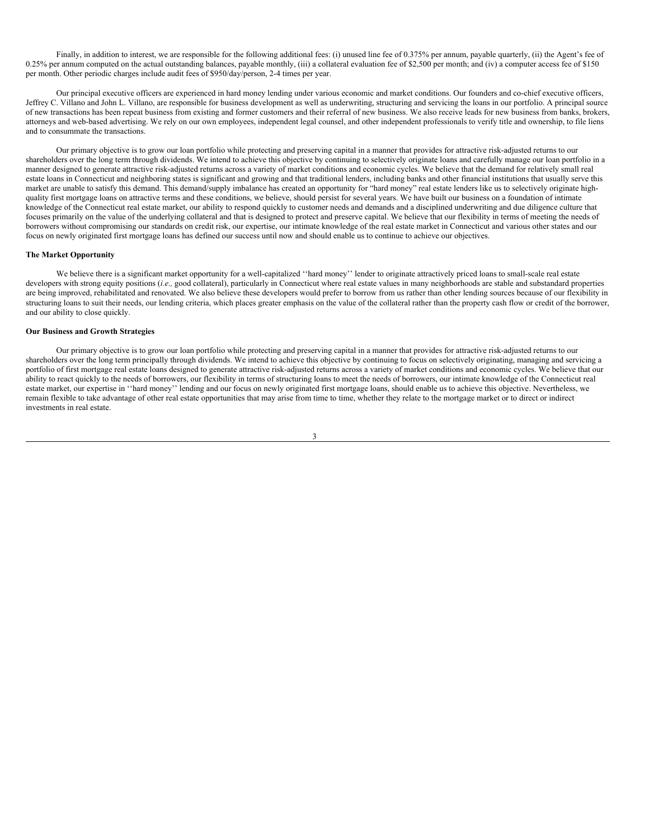Finally, in addition to interest, we are responsible for the following additional fees: (i) unused line fee of 0.375% per annum, payable quarterly, (ii) the Agent's fee of 0.25% per annum computed on the actual outstanding balances, payable monthly, (iii) a collateral evaluation fee of \$2,500 per month; and (iv) a computer access fee of \$150 per month. Other periodic charges include audit fees of \$950/day/person, 2-4 times per year.

Our principal executive officers are experienced in hard money lending under various economic and market conditions. Our founders and co-chief executive officers, Jeffrey C. Villano and John L. Villano, are responsible for business development as well as underwriting, structuring and servicing the loans in our portfolio. A principal source of new transactions has been repeat business from existing and former customers and their referral of new business. We also receive leads for new business from banks, brokers, attorneys and web-based advertising. We rely on our own employees, independent legal counsel, and other independent professionals to verify title and ownership, to file liens and to consummate the transactions.

Our primary objective is to grow our loan portfolio while protecting and preserving capital in a manner that provides for attractive risk-adjusted returns to our shareholders over the long term through dividends. We intend to achieve this objective by continuing to selectively originate loans and carefully manage our loan portfolio in a manner designed to generate attractive risk-adjusted returns across a variety of market conditions and economic cycles. We believe that the demand for relatively small real estate loans in Connecticut and neighboring states is significant and growing and that traditional lenders, including banks and other financial institutions that usually serve this market are unable to satisfy this demand. This demand/supply imbalance has created an opportunity for "hard money" real estate lenders like us to selectively originate highquality first mortgage loans on attractive terms and these conditions, we believe, should persist for several years. We have built our business on a foundation of intimate knowledge of the Connecticut real estate market, our ability to respond quickly to customer needs and demands and a disciplined underwriting and due diligence culture that focuses primarily on the value of the underlying collateral and that is designed to protect and preserve capital. We believe that our flexibility in terms of meeting the needs of borrowers without compromising our standards on credit risk, our expertise, our intimate knowledge of the real estate market in Connecticut and various other states and our focus on newly originated first mortgage loans has defined our success until now and should enable us to continue to achieve our objectives.

### **The Market Opportunity**

We believe there is a significant market opportunity for a well-capitalized "hard money" lender to originate attractively priced loans to small-scale real estate developers with strong equity positions (*i.e., good collateral*), particularly in Connecticut where real estate values in many neighborhoods are stable and substandard properties are being improved, rehabilitated and renovated. We also believe these developers would prefer to borrow from us rather than other lending sources because of our flexibility in structuring loans to suit their needs, our lending criteria, which places greater emphasis on the value of the collateral rather than the property cash flow or credit of the borrower, and our ability to close quickly.

# **Our Business and Growth Strategies**

Our primary objective is to grow our loan portfolio while protecting and preserving capital in a manner that provides for attractive risk-adjusted returns to our shareholders over the long term principally through dividends. We intend to achieve this objective by continuing to focus on selectively originating, managing and servicing a portfolio of first mortgage real estate loans designed to generate attractive risk-adjusted returns across a variety of market conditions and economic cycles. We believe that our ability to react quickly to the needs of borrowers, our flexibility in terms of structuring loans to meet the needs of borrowers, our intimate knowledge of the Connecticut real estate market, our expertise in ''hard money'' lending and our focus on newly originated first mortgage loans, should enable us to achieve this objective. Nevertheless, we remain flexible to take advantage of other real estate opportunities that may arise from time to time, whether they relate to the mortgage market or to direct or indirect investments in real estate.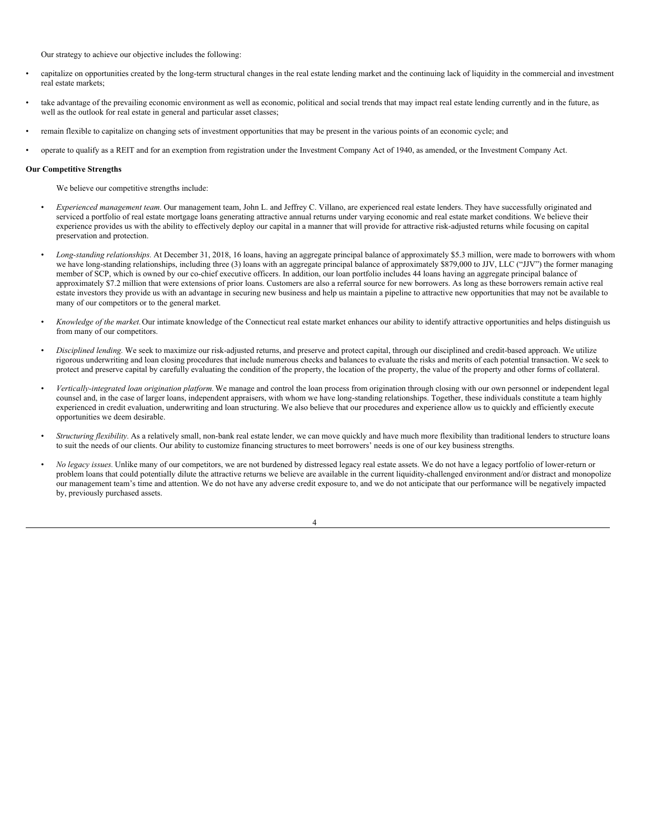Our strategy to achieve our objective includes the following:

- capitalize on opportunities created by the long-term structural changes in the real estate lending market and the continuing lack of liquidity in the commercial and investment real estate markets;
- take advantage of the prevailing economic environment as well as economic, political and social trends that may impact real estate lending currently and in the future, as well as the outlook for real estate in general and particular asset classes;
- remain flexible to capitalize on changing sets of investment opportunities that may be present in the various points of an economic cycle; and
- operate to qualify as a REIT and for an exemption from registration under the Investment Company Act of 1940, as amended, or the Investment Company Act.

### **Our Competitive Strengths**

We believe our competitive strengths include:

- *Experienced management team.* Our management team, John L. and Jeffrey C. Villano, are experienced real estate lenders. They have successfully originated and serviced a portfolio of real estate mortgage loans generating attractive annual returns under varying economic and real estate market conditions. We believe their experience provides us with the ability to effectively deploy our capital in a manner that will provide for attractive risk-adjusted returns while focusing on capital preservation and protection.
- *Long-standing relationships.* At December 31, 2018, 16 loans, having an aggregate principal balance of approximately \$5.3 million, were made to borrowers with whom we have long-standing relationships, including three (3) loans with an aggregate principal balance of approximately \$879,000 to JJV, LLC ("JJV") the former managing member of SCP, which is owned by our co-chief executive officers. In addition, our loan portfolio includes 44 loans having an aggregate principal balance of approximately \$7.2 million that were extensions of prior loans. Customers are also a referral source for new borrowers. As long as these borrowers remain active real estate investors they provide us with an advantage in securing new business and help us maintain a pipeline to attractive new opportunities that may not be available to many of our competitors or to the general market.
- *Knowledge of the market.*Our intimate knowledge of the Connecticut real estate market enhances our ability to identify attractive opportunities and helps distinguish us from many of our competitors.
- *Disciplined lending.* We seek to maximize our risk-adjusted returns, and preserve and protect capital, through our disciplined and credit-based approach. We utilize rigorous underwriting and loan closing procedures that include numerous checks and balances to evaluate the risks and merits of each potential transaction. We seek to protect and preserve capital by carefully evaluating the condition of the property, the location of the property, the value of the property and other forms of collateral.
- *Vertically-integrated loan origination platform.*We manage and control the loan process from origination through closing with our own personnel or independent legal counsel and, in the case of larger loans, independent appraisers, with whom we have long-standing relationships. Together, these individuals constitute a team highly experienced in credit evaluation, underwriting and loan structuring. We also believe that our procedures and experience allow us to quickly and efficiently execute opportunities we deem desirable.
- *Structuring flexibility.* As a relatively small, non-bank real estate lender, we can move quickly and have much more flexibility than traditional lenders to structure loans to suit the needs of our clients. Our ability to customize financing structures to meet borrowers' needs is one of our key business strengths.
- *No legacy issues.* Unlike many of our competitors, we are not burdened by distressed legacy real estate assets. We do not have a legacy portfolio of lower-return or problem loans that could potentially dilute the attractive returns we believe are available in the current liquidity-challenged environment and/or distract and monopolize our management team's time and attention. We do not have any adverse credit exposure to, and we do not anticipate that our performance will be negatively impacted by, previously purchased assets.

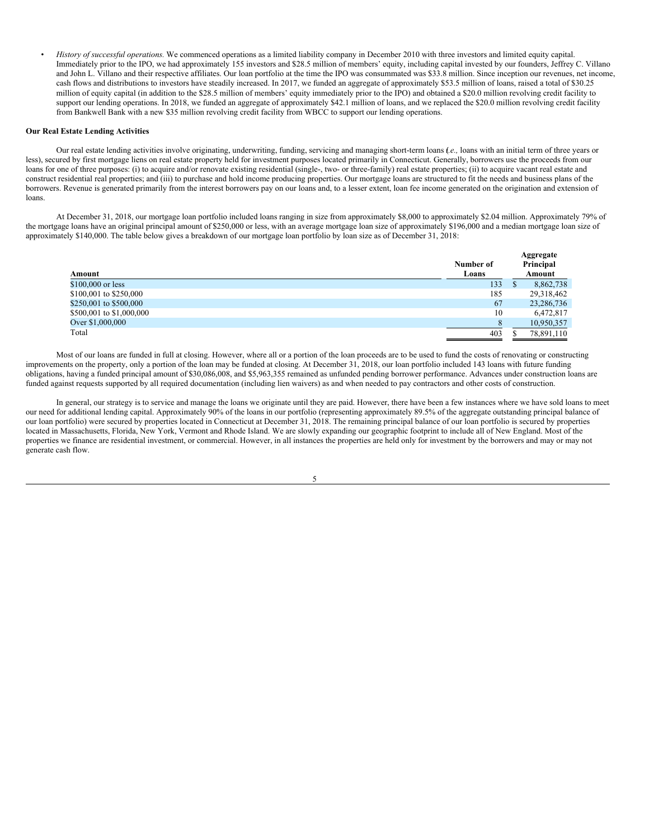• *History of successful operations.* We commenced operations as a limited liability company in December 2010 with three investors and limited equity capital. Immediately prior to the IPO, we had approximately 155 investors and \$28.5 million of members' equity, including capital invested by our founders, Jeffrey C. Villano and John L. Villano and their respective affiliates. Our loan portfolio at the time the IPO was consummated was \$33.8 million. Since inception our revenues, net income, cash flows and distributions to investors have steadily increased. In 2017, we funded an aggregate of approximately \$53.5 million of loans, raised a total of \$30.25 million of equity capital (in addition to the \$28.5 million of members' equity immediately prior to the IPO) and obtained a \$20.0 million revolving credit facility to support our lending operations. In 2018, we funded an aggregate of approximately \$42.1 million of loans, and we replaced the \$20.0 million revolving credit facility from Bankwell Bank with a new \$35 million revolving credit facility from WBCC to support our lending operations.

### **Our Real Estate Lending Activities**

Our real estate lending activities involve originating, underwriting, funding, servicing and managing short-term loans *i*(*.e.,* loans with an initial term of three years or less), secured by first mortgage liens on real estate property held for investment purposes located primarily in Connecticut. Generally, borrowers use the proceeds from our loans for one of three purposes: (i) to acquire and/or renovate existing residential (single-, two- or three-family) real estate properties; (ii) to acquire vacant real estate and construct residential real properties; and (iii) to purchase and hold income producing properties. Our mortgage loans are structured to fit the needs and business plans of the borrowers. Revenue is generated primarily from the interest borrowers pay on our loans and, to a lesser extent, loan fee income generated on the origination and extension of loans.

At December 31, 2018, our mortgage loan portfolio included loans ranging in size from approximately \$8,000 to approximately \$2.04 million. Approximately 79% of the mortgage loans have an original principal amount of \$250,000 or less, with an average mortgage loan size of approximately \$196,000 and a median mortgage loan size of approximately \$140,000. The table below gives a breakdown of our mortgage loan portfolio by loan size as of December 31, 2018:

| Amount                   | Number of<br>Loans | Aggregate<br>Principal<br>Amount |
|--------------------------|--------------------|----------------------------------|
| \$100,000 or less        | 133                | 8,862,738                        |
| \$100,001 to \$250,000   | 185                | 29,318,462                       |
| \$250,001 to \$500,000   | 67                 | 23,286,736                       |
| \$500,001 to \$1,000,000 | 10                 | 6,472,817                        |
| Over \$1,000,000         | 8                  | 10,950,357                       |
| Total                    | 403                | 78.891.110                       |

Most of our loans are funded in full at closing. However, where all or a portion of the loan proceeds are to be used to fund the costs of renovating or constructing improvements on the property, only a portion of the loan may be funded at closing. At December 31, 2018, our loan portfolio included 143 loans with future funding obligations, having a funded principal amount of \$30,086,008, and \$5,963,355 remained as unfunded pending borrower performance. Advances under construction loans are funded against requests supported by all required documentation (including lien waivers) as and when needed to pay contractors and other costs of construction.

In general, our strategy is to service and manage the loans we originate until they are paid. However, there have been a few instances where we have sold loans to meet our need for additional lending capital. Approximately 90% of the loans in our portfolio (representing approximately 89.5% of the aggregate outstanding principal balance of our loan portfolio) were secured by properties located in Connecticut at December 31, 2018. The remaining principal balance of our loan portfolio is secured by properties located in Massachusetts, Florida, New York, Vermont and Rhode Island. We are slowly expanding our geographic footprint to include all of New England. Most of the properties we finance are residential investment, or commercial. However, in all instances the properties are held only for investment by the borrowers and may or may not generate cash flow.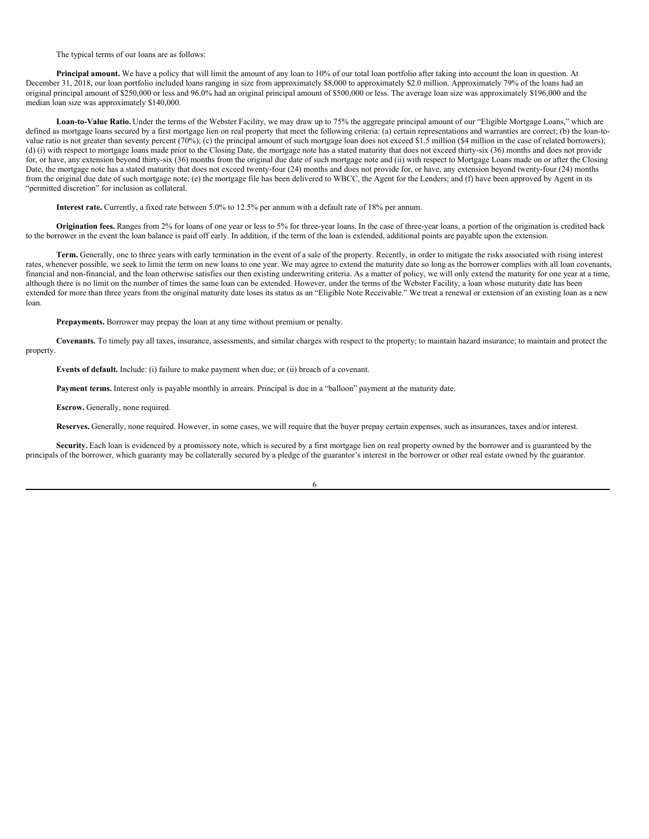The typical terms of our loans are as follows:

**Principal amount.** We have a policy that will limit the amount of any loan to 10% of our total loan portfolio after taking into account the loan in question. At December 31, 2018, our loan portfolio included loans ranging in size from approximately \$8,000 to approximately \$2.0 million. Approximately 79% of the loans had an original principal amount of \$250,000 or less and 96.0% had an original principal amount of \$500,000 or less. The average loan size was approximately \$196,000 and the median loan size was approximately \$140,000.

**Loan-to-Value Ratio.** Under the terms of the Webster Facility, we may draw up to 75% the aggregate principal amount of our "Eligible Mortgage Loans," which are defined as mortgage loans secured by a first mortgage lien on real property that meet the following criteria: (a) certain representations and warranties are correct; (b) the loan-tovalue ratio is not greater than seventy percent (70%); (c) the principal amount of such mortgage loan does not exceed \$1.5 million (\$4 million in the case of related borrowers); (d) (i) with respect to mortgage loans made prior to the Closing Date, the mortgage note has a stated maturity that does not exceed thirty-six (36) months and does not provide for, or have, any extension beyond thirty-six (36) months from the original due date of such mortgage note and (ii) with respect to Mortgage Loans made on or after the Closing Date, the mortgage note has a stated maturity that does not exceed twenty-four (24) months and does not provide for, or have, any extension beyond twenty-four (24) months from the original due date of such mortgage note; (e) the mortgage file has been delivered to WBCC, the Agent for the Lenders; and (f) have been approved by Agent in its "permitted discretion" for inclusion as collateral.

**Interest rate.** Currently, a fixed rate between 5.0% to 12.5% per annum with a default rate of 18% per annum.

**Origination fees.** Ranges from 2% for loans of one year or less to 5% for three-year loans. In the case of three-year loans, a portion of the origination is credited back to the borrower in the event the loan balance is paid off early. In addition, if the term of the loan is extended, additional points are payable upon the extension.

**Term.** Generally, one to three years with early termination in the event of a sale of the property. Recently, in order to mitigate the risks associated with rising interest rates, whenever possible, we seek to limit the term on new loans to one year. We may agree to extend the maturity date so long as the borrower complies with all loan covenants, financial and non-financial, and the loan otherwise satisfies our then existing underwriting criteria. As a matter of policy, we will only extend the maturity for one year at a time, although there is no limit on the number of times the same loan can be extended. However, under the terms of the Webster Facility, a loan whose maturity date has been extended for more than three years from the original maturity date loses its status as an "Eligible Note Receivable." We treat a renewal or extension of an existing loan as a new loan.

**Prepayments.** Borrower may prepay the loan at any time without premium or penalty.

**Covenants.** To timely pay all taxes, insurance, assessments, and similar charges with respect to the property; to maintain hazard insurance; to maintain and protect the property.

**Events of default.** Include: (i) failure to make payment when due; or (ii) breach of a covenant.

**Payment terms.** Interest only is payable monthly in arrears. Principal is due in a "balloon" payment at the maturity date.

**Escrow.** Generally, none required.

**Reserves.** Generally, none required. However, in some cases, we will require that the buyer prepay certain expenses, such as insurances, taxes and/or interest.

Security. Each loan is evidenced by a promissory note, which is secured by a first mortgage lien on real property owned by the borrower and is guaranteed by the principals of the borrower, which guaranty may be collaterally secured by a pledge of the guarantor's interest in the borrower or other real estate owned by the guarantor.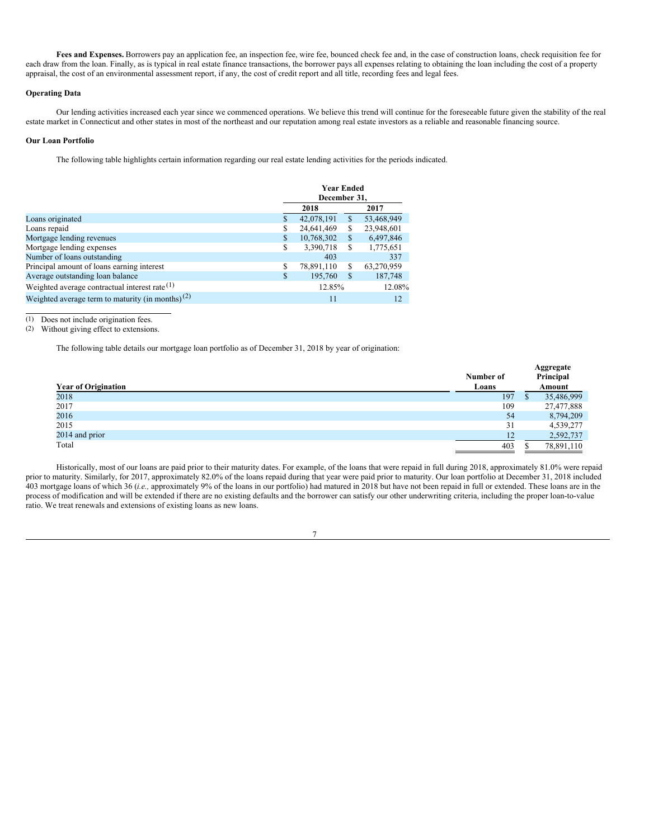Fees and Expenses. Borrowers pay an application fee, an inspection fee, wire fee, bounced check fee and, in the case of construction loans, check requisition fee for each draw from the loan. Finally, as is typical in real estate finance transactions, the borrower pays all expenses relating to obtaining the loan including the cost of a property appraisal, the cost of an environmental assessment report, if any, the cost of credit report and all title, recording fees and legal fees.

# **Operating Data**

Our lending activities increased each year since we commenced operations. We believe this trend will continue for the foreseeable future given the stability of the real estate market in Connecticut and other states in most of the northeast and our reputation among real estate investors as a reliable and reasonable financing source.

### **Our Loan Portfolio**

The following table highlights certain information regarding our real estate lending activities for the periods indicated.

|                                                              | <b>Year Ended</b><br>December 31, |   |            |  |
|--------------------------------------------------------------|-----------------------------------|---|------------|--|
|                                                              | 2018                              |   | 2017       |  |
| Loans originated                                             | 42,078,191                        | S | 53,468,949 |  |
| Loans repaid                                                 | \$<br>24,641,469                  | S | 23,948,601 |  |
| Mortgage lending revenues                                    | \$<br>10,768,302                  | S | 6,497,846  |  |
| Mortgage lending expenses                                    | \$<br>3,390,718                   | S | 1,775,651  |  |
| Number of loans outstanding                                  | 403                               |   | 337        |  |
| Principal amount of loans earning interest                   | 78,891,110                        | S | 63,270,959 |  |
| Average outstanding loan balance                             | \$<br>195,760                     | S | 187,748    |  |
| Weighted average contractual interest rate $(1)$             | 12.85%                            |   | 12.08%     |  |
| Weighted average term to maturity (in months) <sup>(2)</sup> | 11                                |   | 12         |  |

(1) Does not include origination fees.<br>(2) Without giving effect to extension Without giving effect to extensions.

The following table details our mortgage loan portfolio as of December 31, 2018 by year of origination:

| <b>Year of Origination</b> | Number of<br>Loans | Aggregate<br>Principal<br>Amount |
|----------------------------|--------------------|----------------------------------|
| 2018                       | 197                | 35,486,999                       |
| 2017                       | 109                | 27,477,888                       |
| 2016                       | 54                 | 8,794,209                        |
| 2015                       | 31                 | 4,539,277                        |
| 2014 and prior             | 12                 | 2,592,737                        |
| Total                      | 403                | 78,891,110                       |

Historically, most of our loans are paid prior to their maturity dates. For example, of the loans that were repaid in full during 2018, approximately 81.0% were repaid prior to maturity. Similarly, for 2017, approximately 82.0% of the loans repaid during that year were paid prior to maturity. Our loan portfolio at December 31, 2018 included 403 mortgage loans of which 36 (*i.e.,* approximately 9% of the loans in our portfolio) had matured in 2018 but have not been repaid in full or extended. These loans are in the process of modification and will be extended if there are no existing defaults and the borrower can satisfy our other underwriting criteria, including the proper loan-to-value ratio. We treat renewals and extensions of existing loans as new loans.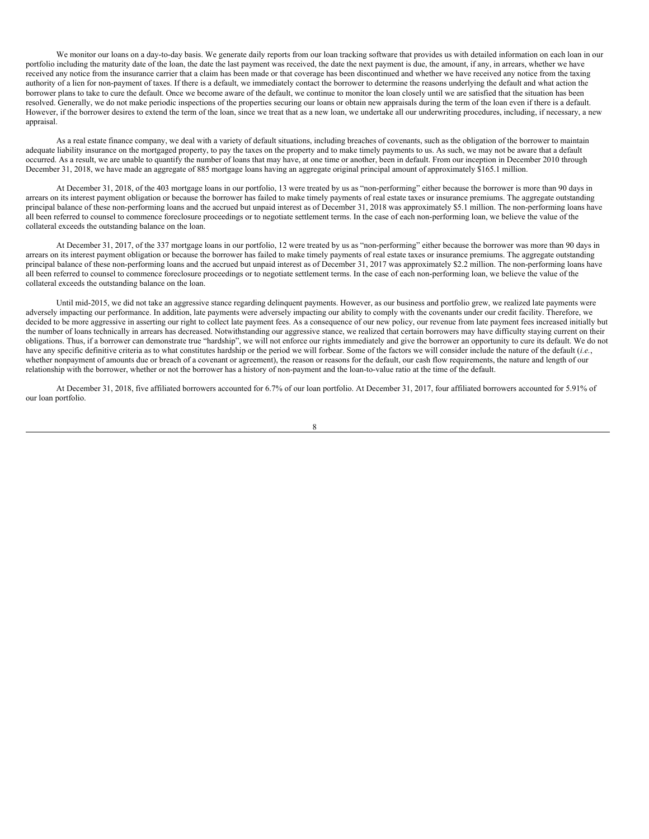We monitor our loans on a day-to-day basis. We generate daily reports from our loan tracking software that provides us with detailed information on each loan in our portfolio including the maturity date of the loan, the date the last payment was received, the date the next payment is due, the amount, if any, in arrears, whether we have received any notice from the insurance carrier that a claim has been made or that coverage has been discontinued and whether we have received any notice from the taxing authority of a lien for non-payment of taxes. If there is a default, we immediately contact the borrower to determine the reasons underlying the default and what action the borrower plans to take to cure the default. Once we become aware of the default, we continue to monitor the loan closely until we are satisfied that the situation has been resolved. Generally, we do not make periodic inspections of the properties securing our loans or obtain new appraisals during the term of the loan even if there is a default. However, if the borrower desires to extend the term of the loan, since we treat that as a new loan, we undertake all our underwriting procedures, including, if necessary, a new appraisal.

As a real estate finance company, we deal with a variety of default situations, including breaches of covenants, such as the obligation of the borrower to maintain adequate liability insurance on the mortgaged property, to pay the taxes on the property and to make timely payments to us. As such, we may not be aware that a default occurred. As a result, we are unable to quantify the number of loans that may have, at one time or another, been in default. From our inception in December 2010 through December 31, 2018, we have made an aggregate of 885 mortgage loans having an aggregate original principal amount of approximately \$165.1 million.

At December 31, 2018, of the 403 mortgage loans in our portfolio, 13 were treated by us as "non-performing" either because the borrower is more than 90 days in arrears on its interest payment obligation or because the borrower has failed to make timely payments of real estate taxes or insurance premiums. The aggregate outstanding principal balance of these non-performing loans and the accrued but unpaid interest as of December 31, 2018 was approximately \$5.1 million. The non-performing loans have all been referred to counsel to commence foreclosure proceedings or to negotiate settlement terms. In the case of each non-performing loan, we believe the value of the collateral exceeds the outstanding balance on the loan.

At December 31, 2017, of the 337 mortgage loans in our portfolio, 12 were treated by us as "non-performing" either because the borrower was more than 90 days in arrears on its interest payment obligation or because the borrower has failed to make timely payments of real estate taxes or insurance premiums. The aggregate outstanding principal balance of these non-performing loans and the accrued but unpaid interest as of December 31, 2017 was approximately \$2.2 million. The non-performing loans have all been referred to counsel to commence foreclosure proceedings or to negotiate settlement terms. In the case of each non-performing loan, we believe the value of the collateral exceeds the outstanding balance on the loan.

Until mid-2015, we did not take an aggressive stance regarding delinquent payments. However, as our business and portfolio grew, we realized late payments were adversely impacting our performance. In addition, late payments were adversely impacting our ability to comply with the covenants under our credit facility. Therefore, we decided to be more aggressive in asserting our right to collect late payment fees. As a consequence of our new policy, our revenue from late payment fees increased initially but the number of loans technically in arrears has decreased. Notwithstanding our aggressive stance, we realized that certain borrowers may have difficulty staying current on their obligations. Thus, if a borrower can demonstrate true "hardship", we will not enforce our rights immediately and give the borrower an opportunity to cure its default. We do not have any specific definitive criteria as to what constitutes hardship or the period we will forbear. Some of the factors we will consider include the nature of the default (*i.e.*, whether nonpayment of amounts due or breach of a covenant or agreement), the reason or reasons for the default, our cash flow requirements, the nature and length of our relationship with the borrower, whether or not the borrower has a history of non-payment and the loan-to-value ratio at the time of the default.

At December 31, 2018, five affiliated borrowers accounted for 6.7% of our loan portfolio. At December 31, 2017, four affiliated borrowers accounted for 5.91% of our loan portfolio.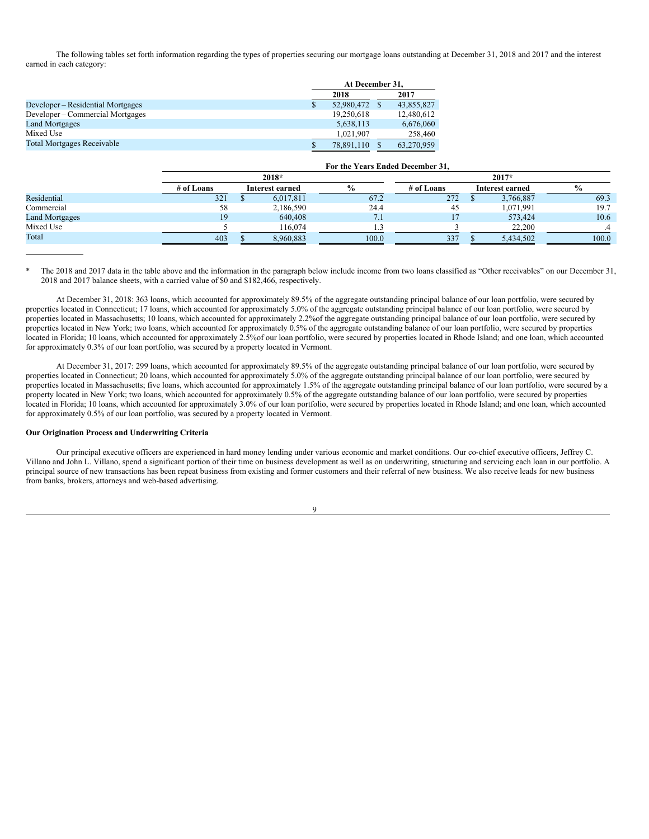The following tables set forth information regarding the types of properties securing our mortgage loans outstanding at December 31, 2018 and 2017 and the interest earned in each category:

|                                   | At December 31,  |  |            |
|-----------------------------------|------------------|--|------------|
|                                   | 2018             |  | 2017       |
| Developer – Residential Mortgages | \$<br>52,980,472 |  | 43,855,827 |
| Developer – Commercial Mortgages  | 19.250.618       |  | 12,480,612 |
| <b>Land Mortgages</b>             | 5,638,113        |  | 6,676,060  |
| Mixed Use                         | 1.021.907        |  | 258,460    |
| <b>Total Mortgages Receivable</b> | \$<br>78,891,110 |  | 63,270,959 |

|                       | For the Years Ended December 31. |  |                 |               |            |  |                 |               |
|-----------------------|----------------------------------|--|-----------------|---------------|------------|--|-----------------|---------------|
|                       | 2018*                            |  |                 |               | $2017*$    |  |                 |               |
|                       | # of Loans                       |  | Interest earned | $\frac{0}{0}$ | # of Loans |  | Interest earned | $\frac{6}{9}$ |
| Residential           | 321                              |  | 6,017,811       | 67.2          | 272        |  | 3,766,887       | 69.3          |
| Commercial            | 58                               |  | 2,186,590       | 24.4          | 45         |  | 1,071,991       | 19.7          |
| <b>Land Mortgages</b> | 19                               |  | 640,408         | 7.1           |            |  | 573.424         | 10.6          |
| Mixed Use             |                                  |  | 116,074         |               |            |  | 22,200          |               |
| Total                 | 403                              |  | 8.960.883       | 100.0         | 337        |  | 5.434.502       | 100.0         |

The 2018 and 2017 data in the table above and the information in the paragraph below include income from two loans classified as "Other receivables" on our December 31, 2018 and 2017 balance sheets, with a carried value of \$0 and \$182,466, respectively.

At December 31, 2018: 363 loans, which accounted for approximately 89.5% of the aggregate outstanding principal balance of our loan portfolio, were secured by properties located in Connecticut; 17 loans, which accounted for approximately 5.0% of the aggregate outstanding principal balance of our loan portfolio, were secured by properties located in Massachusetts; 10 loans, which accounted for approximately 2.2%of the aggregate outstanding principal balance of our loan portfolio, were secured by properties located in New York; two loans, which accounted for approximately 0.5% of the aggregate outstanding balance of our loan portfolio, were secured by properties located in Florida; 10 loans, which accounted for approximately 2.5%of our loan portfolio, were secured by properties located in Rhode Island; and one loan, which accounted for approximately 0.3% of our loan portfolio, was secured by a property located in Vermont.

At December 31, 2017: 299 loans, which accounted for approximately 89.5% of the aggregate outstanding principal balance of our loan portfolio, were secured by properties located in Connecticut; 20 loans, which accounted for approximately 5.0% of the aggregate outstanding principal balance of our loan portfolio, were secured by properties located in Massachusetts; five loans, which accounted for approximately 1.5% of the aggregate outstanding principal balance of our loan portfolio, were secured by a property located in New York; two loans, which accounted for approximately 0.5% of the aggregate outstanding balance of our loan portfolio, were secured by properties located in Florida; 10 loans, which accounted for approximately 3.0% of our loan portfolio, were secured by properties located in Rhode Island; and one loan, which accounted for approximately 0.5% of our loan portfolio, was secured by a property located in Vermont.

# **Our Origination Process and Underwriting Criteria**

Our principal executive officers are experienced in hard money lending under various economic and market conditions. Our co-chief executive officers, Jeffrey C. Villano and John L. Villano, spend a significant portion of their time on business development as well as on underwriting, structuring and servicing each loan in our portfolio. A principal source of new transactions has been repeat business from existing and former customers and their referral of new business. We also receive leads for new business from banks, brokers, attorneys and web-based advertising.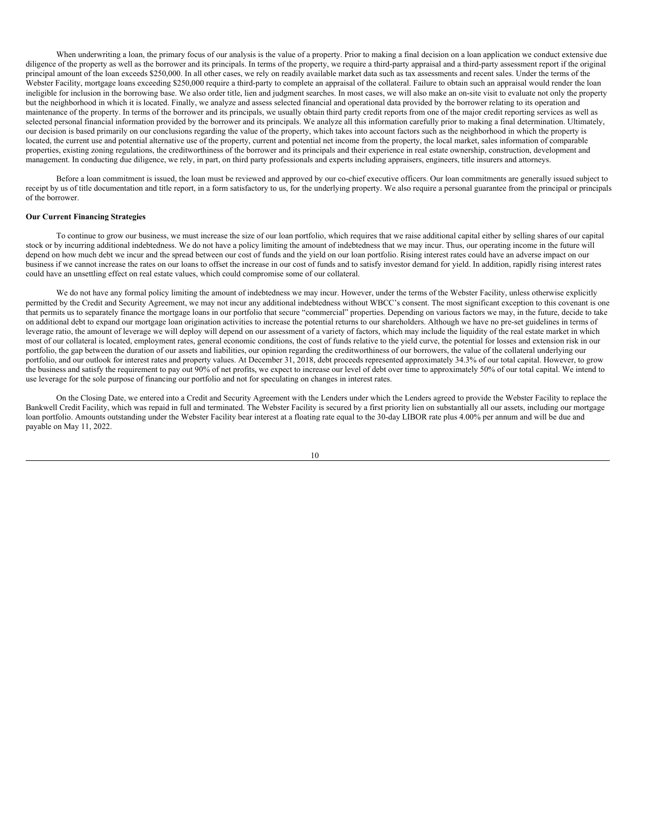When underwriting a loan, the primary focus of our analysis is the value of a property. Prior to making a final decision on a loan application we conduct extensive due diligence of the property as well as the borrower and its principals. In terms of the property, we require a third-party appraisal and a third-party assessment report if the original principal amount of the loan exceeds \$250,000. In all other cases, we rely on readily available market data such as tax assessments and recent sales. Under the terms of the Webster Facility, mortgage loans exceeding \$250,000 require a third-party to complete an appraisal of the collateral. Failure to obtain such an appraisal would render the loan ineligible for inclusion in the borrowing base. We also order title, lien and judgment searches. In most cases, we will also make an on-site visit to evaluate not only the property but the neighborhood in which it is located. Finally, we analyze and assess selected financial and operational data provided by the borrower relating to its operation and maintenance of the property. In terms of the borrower and its principals, we usually obtain third party credit reports from one of the major credit reporting services as well as selected personal financial information provided by the borrower and its principals. We analyze all this information carefully prior to making a final determination. Ultimately, our decision is based primarily on our conclusions regarding the value of the property, which takes into account factors such as the neighborhood in which the property is located, the current use and potential alternative use of the property, current and potential net income from the property, the local market, sales information of comparable properties, existing zoning regulations, the creditworthiness of the borrower and its principals and their experience in real estate ownership, construction, development and management. In conducting due diligence, we rely, in part, on third party professionals and experts including appraisers, engineers, title insurers and attorneys.

Before a loan commitment is issued, the loan must be reviewed and approved by our co-chief executive officers. Our loan commitments are generally issued subject to receipt by us of title documentation and title report, in a form satisfactory to us, for the underlying property. We also require a personal guarantee from the principal or principals of the borrower.

# **Our Current Financing Strategies**

To continue to grow our business, we must increase the size of our loan portfolio, which requires that we raise additional capital either by selling shares of our capital stock or by incurring additional indebtedness. We do not have a policy limiting the amount of indebtedness that we may incur. Thus, our operating income in the future will depend on how much debt we incur and the spread between our cost of funds and the yield on our loan portfolio. Rising interest rates could have an adverse impact on our business if we cannot increase the rates on our loans to offset the increase in our cost of funds and to satisfy investor demand for yield. In addition, rapidly rising interest rates could have an unsettling effect on real estate values, which could compromise some of our collateral.

We do not have any formal policy limiting the amount of indebtedness we may incur. However, under the terms of the Webster Facility, unless otherwise explicitly permitted by the Credit and Security Agreement, we may not incur any additional indebtedness without WBCC's consent. The most significant exception to this covenant is one that permits us to separately finance the mortgage loans in our portfolio that secure "commercial" properties. Depending on various factors we may, in the future, decide to take on additional debt to expand our mortgage loan origination activities to increase the potential returns to our shareholders. Although we have no pre-set guidelines in terms of leverage ratio, the amount of leverage we will deploy will depend on our assessment of a variety of factors, which may include the liquidity of the real estate market in which most of our collateral is located, employment rates, general economic conditions, the cost of funds relative to the yield curve, the potential for losses and extension risk in our portfolio, the gap between the duration of our assets and liabilities, our opinion regarding the creditworthiness of our borrowers, the value of the collateral underlying our portfolio, and our outlook for interest rates and property values. At December 31, 2018, debt proceeds represented approximately 34.3% of our total capital. However, to grow the business and satisfy the requirement to pay out 90% of net profits, we expect to increase our level of debt over time to approximately 50% of our total capital. We intend to use leverage for the sole purpose of financing our portfolio and not for speculating on changes in interest rates.

On the Closing Date, we entered into a Credit and Security Agreement with the Lenders under which the Lenders agreed to provide the Webster Facility to replace the Bankwell Credit Facility, which was repaid in full and terminated. The Webster Facility is secured by a first priority lien on substantially all our assets, including our mortgage loan portfolio. Amounts outstanding under the Webster Facility bear interest at a floating rate equal to the 30-day LIBOR rate plus 4.00% per annum and will be due and payable on May 11, 2022.

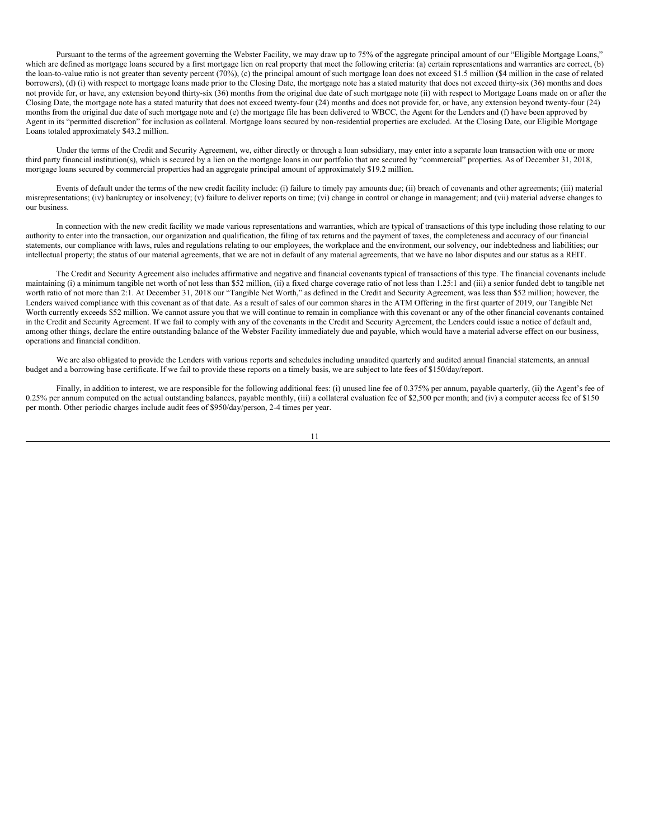Pursuant to the terms of the agreement governing the Webster Facility, we may draw up to 75% of the aggregate principal amount of our "Eligible Mortgage Loans," which are defined as mortgage loans secured by a first mortgage lien on real property that meet the following criteria: (a) certain representations and warranties are correct, (b) the loan-to-value ratio is not greater than seventy percent  $(70%)$ , (c) the principal amount of such mortgage loan does not exceed \$1.5 million (\$4 million in the case of related borrowers), (d) (i) with respect to mortgage loans made prior to the Closing Date, the mortgage note has a stated maturity that does not exceed thirty-six (36) months and does not provide for, or have, any extension beyond thirty-six (36) months from the original due date of such mortgage note (ii) with respect to Mortgage Loans made on or after the Closing Date, the mortgage note has a stated maturity that does not exceed twenty-four (24) months and does not provide for, or have, any extension beyond twenty-four (24) months from the original due date of such mortgage note and (e) the mortgage file has been delivered to WBCC, the Agent for the Lenders and (f) have been approved by Agent in its "permitted discretion" for inclusion as collateral. Mortgage loans secured by non-residential properties are excluded. At the Closing Date, our Eligible Mortgage Loans totaled approximately \$43.2 million.

Under the terms of the Credit and Security Agreement, we, either directly or through a loan subsidiary, may enter into a separate loan transaction with one or more third party financial institution(s), which is secured by a lien on the mortgage loans in our portfolio that are secured by "commercial" properties. As of December 31, 2018, mortgage loans secured by commercial properties had an aggregate principal amount of approximately \$19.2 million.

Events of default under the terms of the new credit facility include: (i) failure to timely pay amounts due; (ii) breach of covenants and other agreements; (iii) material misrepresentations; (iv) bankruptcy or insolvency; (v) failure to deliver reports on time; (vi) change in control or change in management; and (vii) material adverse changes to our business.

In connection with the new credit facility we made various representations and warranties, which are typical of transactions of this type including those relating to our authority to enter into the transaction, our organization and qualification, the filing of tax returns and the payment of taxes, the completeness and accuracy of our financial statements, our compliance with laws, rules and regulations relating to our employees, the workplace and the environment, our solvency, our indebtedness and liabilities; our intellectual property; the status of our material agreements, that we are not in default of any material agreements, that we have no labor disputes and our status as a REIT.

The Credit and Security Agreement also includes affirmative and negative and financial covenants typical of transactions of this type. The financial covenants include maintaining (i) a minimum tangible net worth of not less than \$52 million, (ii) a fixed charge coverage ratio of not less than 1.25:1 and (iii) a senior funded debt to tangible net worth ratio of not more than 2:1. At December 31, 2018 our "Tangible Net Worth," as defined in the Credit and Security Agreement, was less than \$52 million; however, the Lenders waived compliance with this covenant as of that date. As a result of sales of our common shares in the ATM Offering in the first quarter of 2019, our Tangible Net Worth currently exceeds \$52 million. We cannot assure you that we will continue to remain in compliance with this covenant or any of the other financial covenants contained in the Credit and Security Agreement. If we fail to comply with any of the covenants in the Credit and Security Agreement, the Lenders could issue a notice of default and, among other things, declare the entire outstanding balance of the Webster Facility immediately due and payable, which would have a material adverse effect on our business, operations and financial condition.

We are also obligated to provide the Lenders with various reports and schedules including unaudited quarterly and audited annual financial statements, an annual budget and a borrowing base certificate. If we fail to provide these reports on a timely basis, we are subject to late fees of \$150/day/report.

Finally, in addition to interest, we are responsible for the following additional fees: (i) unused line fee of 0.375% per annum, payable quarterly, (ii) the Agent's fee of 0.25% per annum computed on the actual outstanding balances, payable monthly, (iii) a collateral evaluation fee of \$2,500 per month; and (iv) a computer access fee of \$150 per month. Other periodic charges include audit fees of \$950/day/person, 2-4 times per year.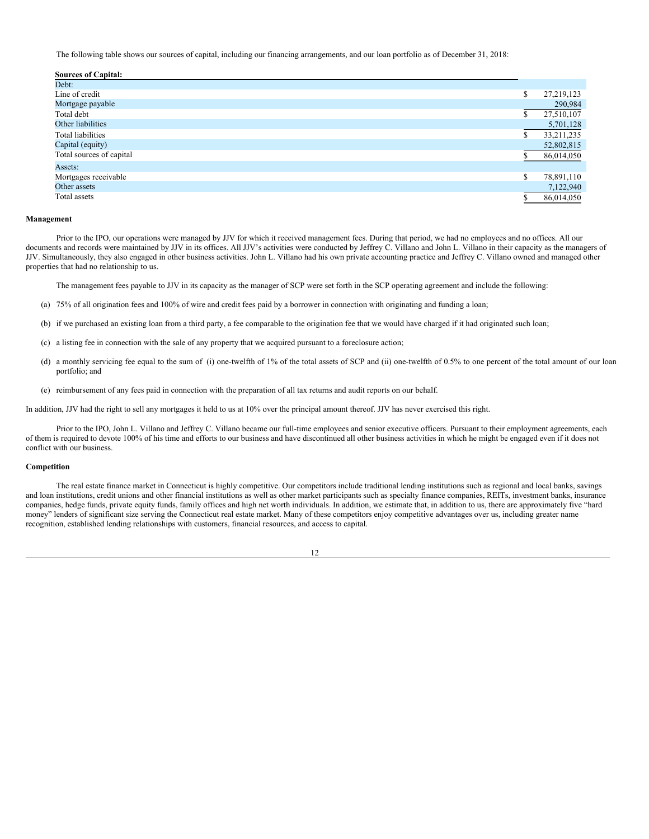The following table shows our sources of capital, including our financing arrangements, and our loan portfolio as of December 31, 2018:

| <b>Sources of Capital:</b> |                  |
|----------------------------|------------------|
| Debt:                      |                  |
| Line of credit             | \$<br>27,219,123 |
| Mortgage payable           | 290,984          |
| Total debt                 | \$<br>27,510,107 |
| Other liabilities          | 5,701,128        |
| <b>Total liabilities</b>   | 33,211,235       |
| Capital (equity)           | 52,802,815       |
| Total sources of capital   | 86,014,050       |
| Assets:                    |                  |
| Mortgages receivable       | \$<br>78,891,110 |
| Other assets               | 7,122,940        |
| Total assets               | 86,014,050       |

### **Management**

Prior to the IPO, our operations were managed by JJV for which it received management fees. During that period, we had no employees and no offices. All our documents and records were maintained by JJV in its offices. All JJV's activities were conducted by Jeffrey C. Villano and John L. Villano in their capacity as the managers of JJV. Simultaneously, they also engaged in other business activities. John L. Villano had his own private accounting practice and Jeffrey C. Villano owned and managed other properties that had no relationship to us.

The management fees payable to JJV in its capacity as the manager of SCP were set forth in the SCP operating agreement and include the following:

- (a) 75% of all origination fees and 100% of wire and credit fees paid by a borrower in connection with originating and funding a loan;
- (b) if we purchased an existing loan from a third party, a fee comparable to the origination fee that we would have charged if it had originated such loan;
- (c) a listing fee in connection with the sale of any property that we acquired pursuant to a foreclosure action;
- (d) a monthly servicing fee equal to the sum of (i) one-twelfth of 1% of the total assets of SCP and (ii) one-twelfth of 0.5% to one percent of the total amount of our loan portfolio; and
- (e) reimbursement of any fees paid in connection with the preparation of all tax returns and audit reports on our behalf.

In addition, JJV had the right to sell any mortgages it held to us at 10% over the principal amount thereof. JJV has never exercised this right.

Prior to the IPO, John L. Villano and Jeffrey C. Villano became our full-time employees and senior executive officers. Pursuant to their employment agreements, each of them is required to devote 100% of his time and efforts to our business and have discontinued all other business activities in which he might be engaged even if it does not conflict with our business.

### **Competition**

The real estate finance market in Connecticut is highly competitive. Our competitors include traditional lending institutions such as regional and local banks, savings and loan institutions, credit unions and other financial institutions as well as other market participants such as specialty finance companies, REITs, investment banks, insurance companies, hedge funds, private equity funds, family offices and high net worth individuals. In addition, we estimate that, in addition to us, there are approximately five "hard money" lenders of significant size serving the Connecticut real estate market. Many of these competitors enjoy competitive advantages over us, including greater name recognition, established lending relationships with customers, financial resources, and access to capital.

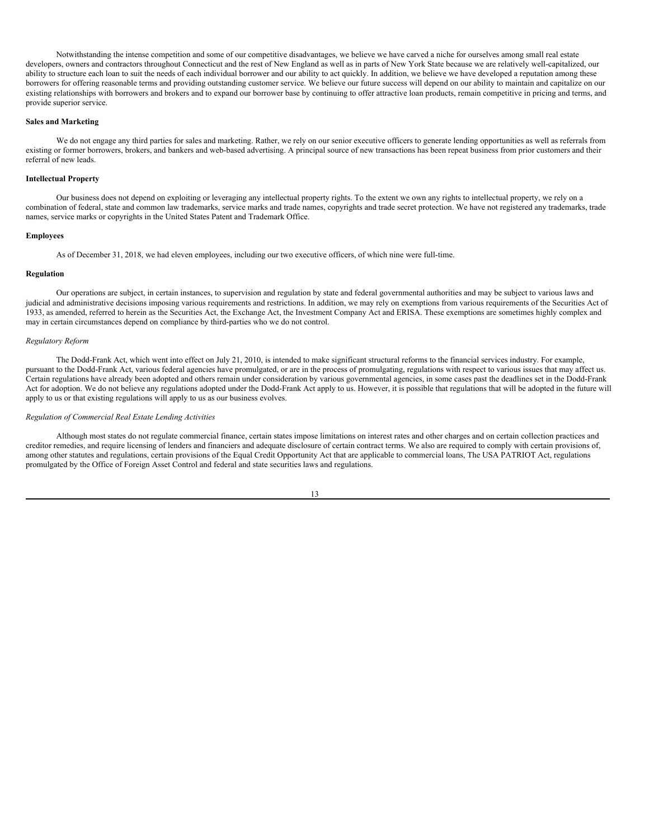Notwithstanding the intense competition and some of our competitive disadvantages, we believe we have carved a niche for ourselves among small real estate developers, owners and contractors throughout Connecticut and the rest of New England as well as in parts of New York State because we are relatively well-capitalized, our ability to structure each loan to suit the needs of each individual borrower and our ability to act quickly. In addition, we believe we have developed a reputation among these borrowers for offering reasonable terms and providing outstanding customer service. We believe our future success will depend on our ability to maintain and capitalize on our existing relationships with borrowers and brokers and to expand our borrower base by continuing to offer attractive loan products, remain competitive in pricing and terms, and provide superior service.

# **Sales and Marketing**

We do not engage any third parties for sales and marketing. Rather, we rely on our senior executive officers to generate lending opportunities as well as referrals from existing or former borrowers, brokers, and bankers and web-based advertising. A principal source of new transactions has been repeat business from prior customers and their referral of new leads.

#### **Intellectual Property**

Our business does not depend on exploiting or leveraging any intellectual property rights. To the extent we own any rights to intellectual property, we rely on a combination of federal, state and common law trademarks, service marks and trade names, copyrights and trade secret protection. We have not registered any trademarks, trade names, service marks or copyrights in the United States Patent and Trademark Office.

#### **Employees**

As of December 31, 2018, we had eleven employees, including our two executive officers, of which nine were full-time.

# **Regulation**

Our operations are subject, in certain instances, to supervision and regulation by state and federal governmental authorities and may be subject to various laws and judicial and administrative decisions imposing various requirements and restrictions. In addition, we may rely on exemptions from various requirements of the Securities Act of 1933, as amended, referred to herein as the Securities Act, the Exchange Act, the Investment Company Act and ERISA. These exemptions are sometimes highly complex and may in certain circumstances depend on compliance by third-parties who we do not control.

#### *Regulatory Reform*

The Dodd-Frank Act, which went into effect on July 21, 2010, is intended to make significant structural reforms to the financial services industry. For example, pursuant to the Dodd-Frank Act, various federal agencies have promulgated, or are in the process of promulgating, regulations with respect to various issues that may affect us. Certain regulations have already been adopted and others remain under consideration by various governmental agencies, in some cases past the deadlines set in the Dodd-Frank Act for adoption. We do not believe any regulations adopted under the Dodd-Frank Act apply to us. However, it is possible that regulations that will be adopted in the future will apply to us or that existing regulations will apply to us as our business evolves.

### *Regulation of Commercial Real Estate Lending Activities*

Although most states do not regulate commercial finance, certain states impose limitations on interest rates and other charges and on certain collection practices and creditor remedies, and require licensing of lenders and financiers and adequate disclosure of certain contract terms. We also are required to comply with certain provisions of, among other statutes and regulations, certain provisions of the Equal Credit Opportunity Act that are applicable to commercial loans, The USA PATRIOT Act, regulations promulgated by the Office of Foreign Asset Control and federal and state securities laws and regulations.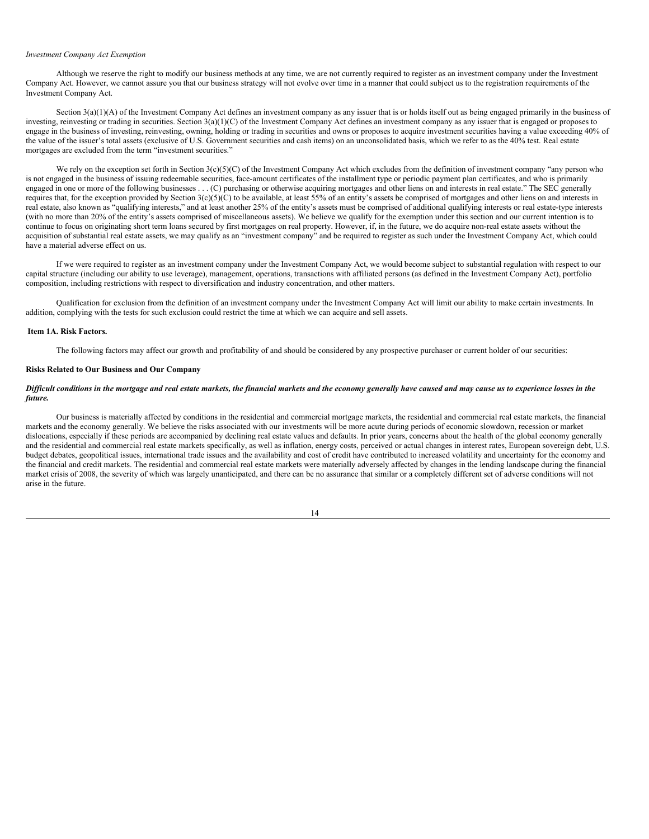#### *Investment Company Act Exemption*

Although we reserve the right to modify our business methods at any time, we are not currently required to register as an investment company under the Investment Company Act. However, we cannot assure you that our business strategy will not evolve over time in a manner that could subject us to the registration requirements of the Investment Company Act.

Section 3(a)(1)(A) of the Investment Company Act defines an investment company as any issuer that is or holds itself out as being engaged primarily in the business of investing, reinvesting or trading in securities. Section 3(a)(1)(C) of the Investment Company Act defines an investment company as any issuer that is engaged or proposes to engage in the business of investing, reinvesting, owning, holding or trading in securities and owns or proposes to acquire investment securities having a value exceeding 40% of the value of the issuer's total assets (exclusive of U.S. Government securities and cash items) on an unconsolidated basis, which we refer to as the 40% test. Real estate mortgages are excluded from the term "investment securities."

We rely on the exception set forth in Section  $3(c)(5)(C)$  of the Investment Company Act which excludes from the definition of investment company "any person who is not engaged in the business of issuing redeemable securities, face-amount certificates of the installment type or periodic payment plan certificates, and who is primarily engaged in one or more of the following businesses . . . (C) purchasing or otherwise acquiring mortgages and other liens on and interests in real estate." The SEC generally requires that, for the exception provided by Section  $3(c)(5)(C)$  to be available, at least 55% of an entity's assets be comprised of mortgages and other liens on and interests in real estate, also known as "qualifying interests," and at least another 25% of the entity's assets must be comprised of additional qualifying interests or real estate-type interests (with no more than 20% of the entity's assets comprised of miscellaneous assets). We believe we qualify for the exemption under this section and our current intention is to continue to focus on originating short term loans secured by first mortgages on real property. However, if, in the future, we do acquire non-real estate assets without the acquisition of substantial real estate assets, we may qualify as an "investment company" and be required to register as such under the Investment Company Act, which could have a material adverse effect on us.

If we were required to register as an investment company under the Investment Company Act, we would become subject to substantial regulation with respect to our capital structure (including our ability to use leverage), management, operations, transactions with affiliated persons (as defined in the Investment Company Act), portfolio composition, including restrictions with respect to diversification and industry concentration, and other matters.

Qualification for exclusion from the definition of an investment company under the Investment Company Act will limit our ability to make certain investments. In addition, complying with the tests for such exclusion could restrict the time at which we can acquire and sell assets.

### <span id="page-16-0"></span>**Item 1A. Risk Factors.**

The following factors may affect our growth and profitability of and should be considered by any prospective purchaser or current holder of our securities:

### **Risks Related to Our Business and Our Company**

### Difficult conditions in the mortgage and real estate markets, the financial markets and the economy generally have caused and may cause us to experience losses in the *future.*

Our business is materially affected by conditions in the residential and commercial mortgage markets, the residential and commercial real estate markets, the financial markets and the economy generally. We believe the risks associated with our investments will be more acute during periods of economic slowdown, recession or market dislocations, especially if these periods are accompanied by declining real estate values and defaults. In prior years, concerns about the health of the global economy generally and the residential and commercial real estate markets specifically, as well as inflation, energy costs, perceived or actual changes in interest rates, European sovereign debt, U.S. budget debates, geopolitical issues, international trade issues and the availability and cost of credit have contributed to increased volatility and uncertainty for the economy and the financial and credit markets. The residential and commercial real estate markets were materially adversely affected by changes in the lending landscape during the financial market crisis of 2008, the severity of which was largely unanticipated, and there can be no assurance that similar or a completely different set of adverse conditions will not arise in the future.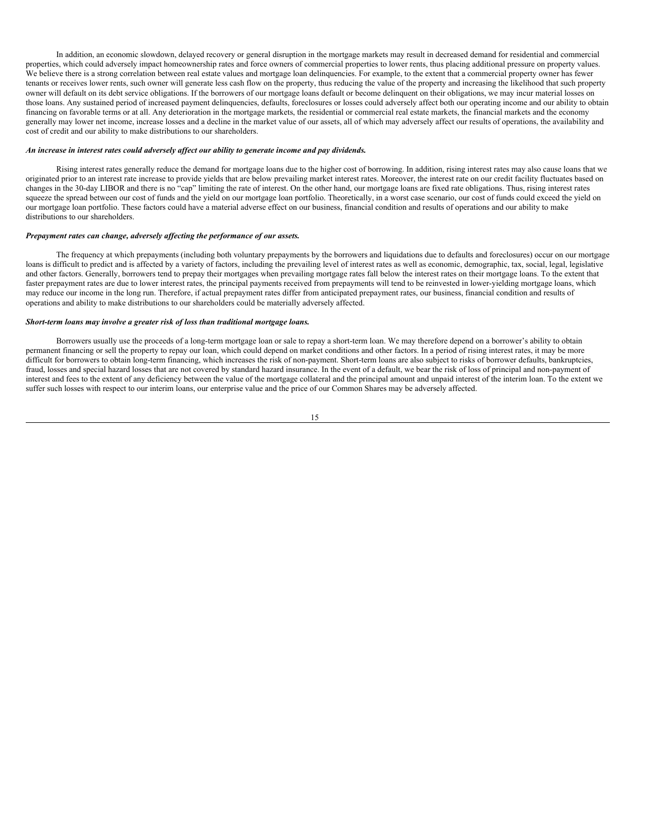In addition, an economic slowdown, delayed recovery or general disruption in the mortgage markets may result in decreased demand for residential and commercial properties, which could adversely impact homeownership rates and force owners of commercial properties to lower rents, thus placing additional pressure on property values. We believe there is a strong correlation between real estate values and mortgage loan delinquencies. For example, to the extent that a commercial property owner has fewer tenants or receives lower rents, such owner will generate less cash flow on the property, thus reducing the value of the property and increasing the likelihood that such property owner will default on its debt service obligations. If the borrowers of our mortgage loans default or become delinquent on their obligations, we may incur material losses on those loans. Any sustained period of increased payment delinquencies, defaults, foreclosures or losses could adversely affect both our operating income and our ability to obtain financing on favorable terms or at all. Any deterioration in the mortgage markets, the residential or commercial real estate markets, the financial markets and the economy generally may lower net income, increase losses and a decline in the market value of our assets, all of which may adversely affect our results of operations, the availability and cost of credit and our ability to make distributions to our shareholders.

### *An increase in interest rates could adversely af ect our ability to generate income and pay dividends.*

Rising interest rates generally reduce the demand for mortgage loans due to the higher cost of borrowing. In addition, rising interest rates may also cause loans that we originated prior to an interest rate increase to provide yields that are below prevailing market interest rates. Moreover, the interest rate on our credit facility fluctuates based on changes in the 30-day LIBOR and there is no "cap" limiting the rate of interest. On the other hand, our mortgage loans are fixed rate obligations. Thus, rising interest rates squeeze the spread between our cost of funds and the yield on our mortgage loan portfolio. Theoretically, in a worst case scenario, our cost of funds could exceed the yield on our mortgage loan portfolio. These factors could have a material adverse effect on our business, financial condition and results of operations and our ability to make distributions to our shareholders.

### *Prepayment rates can change, adversely af ecting the performance of our assets.*

The frequency at which prepayments (including both voluntary prepayments by the borrowers and liquidations due to defaults and foreclosures) occur on our mortgage loans is difficult to predict and is affected by a variety of factors, including the prevailing level of interest rates as well as economic, demographic, tax, social, legal, legislative and other factors. Generally, borrowers tend to prepay their mortgages when prevailing mortgage rates fall below the interest rates on their mortgage loans. To the extent that faster prepayment rates are due to lower interest rates, the principal payments received from prepayments will tend to be reinvested in lower-yielding mortgage loans, which may reduce our income in the long run. Therefore, if actual prepayment rates differ from anticipated prepayment rates, our business, financial condition and results of operations and ability to make distributions to our shareholders could be materially adversely affected.

### *Short-term loans may involve a greater risk of loss than traditional mortgage loans.*

Borrowers usually use the proceeds of a long-term mortgage loan or sale to repay a short-term loan. We may therefore depend on a borrower's ability to obtain permanent financing or sell the property to repay our loan, which could depend on market conditions and other factors. In a period of rising interest rates, it may be more difficult for borrowers to obtain long-term financing, which increases the risk of non-payment. Short-term loans are also subject to risks of borrower defaults, bankruptcies, fraud, losses and special hazard losses that are not covered by standard hazard insurance. In the event of a default, we bear the risk of loss of principal and non-payment of interest and fees to the extent of any deficiency between the value of the mortgage collateral and the principal amount and unpaid interest of the interim loan. To the extent we suffer such losses with respect to our interim loans, our enterprise value and the price of our Common Shares may be adversely affected.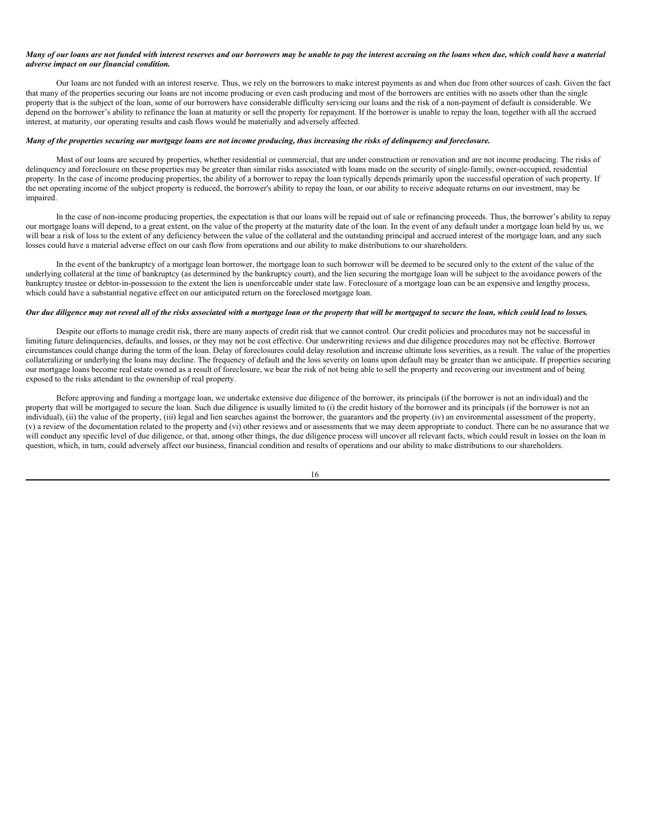### Many of our loans are not funded with interest reserves and our borrowers may be unable to pay the interest accruing on the loans when due, which could have a material *adverse impact on our financial condition.*

Our loans are not funded with an interest reserve. Thus, we rely on the borrowers to make interest payments as and when due from other sources of cash. Given the fact that many of the properties securing our loans are not income producing or even cash producing and most of the borrowers are entities with no assets other than the single property that is the subject of the loan, some of our borrowers have considerable difficulty servicing our loans and the risk of a non-payment of default is considerable. We depend on the borrower's ability to refinance the loan at maturity or sell the property for repayment. If the borrower is unable to repay the loan, together with all the accrued interest, at maturity, our operating results and cash flows would be materially and adversely affected.

### Many of the properties securing our mortgage loans are not income producing, thus increasing the risks of delinguency and foreclosure.

Most of our loans are secured by properties, whether residential or commercial, that are under construction or renovation and are not income producing. The risks of delinguency and foreclosure on these properties may be greater than similar risks associated with loans made on the security of single-family, owner-occupied, residential property. In the case of income producing properties, the ability of a borrower to repay the loan typically depends primarily upon the successful operation of such property. If the net operating income of the subject property is reduced, the borrower's ability to repay the loan, or our ability to receive adequate returns on our investment, may be impaired.

In the case of non-income producing properties, the expectation is that our loans will be repaid out of sale or refinancing proceeds. Thus, the borrower's ability to repay our mortgage loans will depend, to a great extent, on the value of the property at the maturity date of the loan. In the event of any default under a mortgage loan held by us, we will bear a risk of loss to the extent of any deficiency between the value of the collateral and the outstanding principal and accrued interest of the mortgage loan, and any such losses could have a material adverse effect on our cash flow from operations and our ability to make distributions to our shareholders.

In the event of the bankruptcy of a mortgage loan borrower, the mortgage loan to such borrower will be deemed to be secured only to the extent of the value of the underlying collateral at the time of bankruptcy (as determined by the bankruptcy court), and the lien securing the mortgage loan will be subject to the avoidance powers of the bankruptcy trustee or debtor-in-possession to the extent the lien is unenforceable under state law. Foreclosure of a mortgage loan can be an expensive and lengthy process, which could have a substantial negative effect on our anticipated return on the foreclosed mortgage loan.

# Our due diligence may not reveal all of the risks associated with a mortgage loan or the property that will be mortgaged to secure the loan, which could lead to losses.

Despite our efforts to manage credit risk, there are many aspects of credit risk that we cannot control. Our credit policies and procedures may not be successful in limiting future delinquencies, defaults, and losses, or they may not be cost effective. Our underwriting reviews and due diligence procedures may not be effective. Borrower circumstances could change during the term of the loan. Delay of foreclosures could delay resolution and increase ultimate loss severities, as a result. The value of the properties collateralizing or underlying the loans may decline. The frequency of default and the loss severity on loans upon default may be greater than we anticipate. If properties securing our mortgage loans become real estate owned as a result of foreclosure, we bear the risk of not being able to sell the property and recovering our investment and of being exposed to the risks attendant to the ownership of real property.

Before approving and funding a mortgage loan, we undertake extensive due diligence of the borrower, its principals (if the borrower is not an individual) and the property that will be mortgaged to secure the loan. Such due diligence is usually limited to (i) the credit history of the borrower and its principals (if the borrower is not an individual), (ii) the value of the property, (iii) legal and lien searches against the borrower, the guarantors and the property (iv) an environmental assessment of the property, (v) a review of the documentation related to the property and (vi) other reviews and or assessments that we may deem appropriate to conduct. There can be no assurance that we will conduct any specific level of due diligence, or that, among other things, the due diligence process will uncover all relevant facts, which could result in losses on the loan in question, which, in turn, could adversely affect our business, financial condition and results of operations and our ability to make distributions to our shareholders.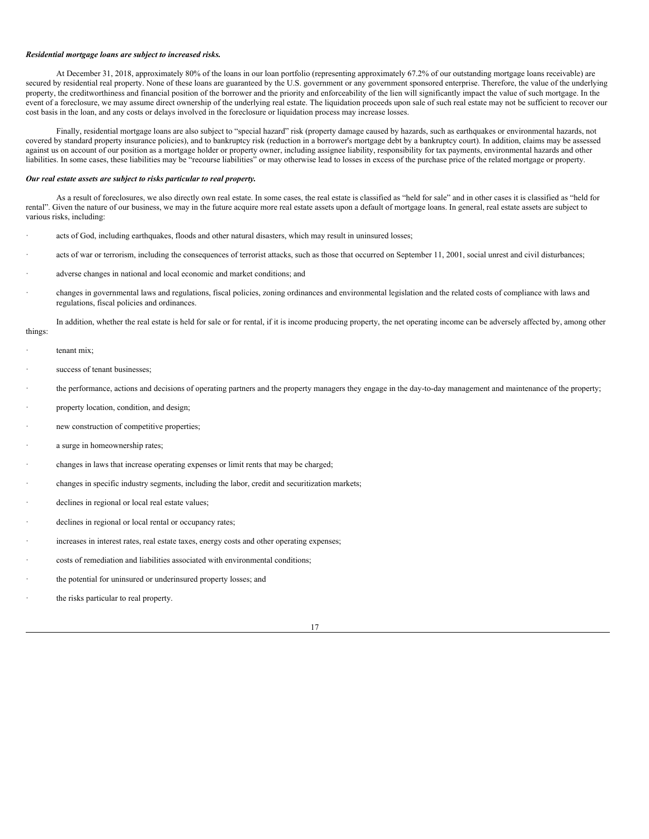#### *Residential mortgage loans are subject to increased risks.*

At December 31, 2018, approximately 80% of the loans in our loan portfolio (representing approximately 67.2% of our outstanding mortgage loans receivable) are secured by residential real property. None of these loans are guaranteed by the U.S. government or any government sponsored enterprise. Therefore, the value of the underlying property, the creditworthiness and financial position of the borrower and the priority and enforceability of the lien will significantly impact the value of such mortgage. In the event of a foreclosure, we may assume direct ownership of the underlying real estate. The liquidation proceeds upon sale of such real estate may not be sufficient to recover our cost basis in the loan, and any costs or delays involved in the foreclosure or liquidation process may increase losses.

Finally, residential mortgage loans are also subject to "special hazard" risk (property damage caused by hazards, such as earthquakes or environmental hazards, not covered by standard property insurance policies), and to bankruptcy risk (reduction in a borrower's mortgage debt by a bankruptcy court). In addition, claims may be assessed against us on account of our position as a mortgage holder or property owner, including assignee liability, responsibility for tax payments, environmental hazards and other liabilities. In some cases, these liabilities may be "recourse liabilities" or may otherwise lead to losses in excess of the purchase price of the related mortgage or property.

#### *Our real estate assets are subject to risks particular to real property.*

As a result of foreclosures, we also directly own real estate. In some cases, the real estate is classified as "held for sale" and in other cases it is classified as "held for rental". Given the nature of our business, we may in the future acquire more real estate assets upon a default of mortgage loans. In general, real estate assets are subject to various risks, including:

- acts of God, including earthquakes, floods and other natural disasters, which may result in uninsured losses;
- acts of war or terrorism, including the consequences of terrorist attacks, such as those that occurred on September 11, 2001, social unrest and civil disturbances;
- adverse changes in national and local economic and market conditions; and
- · changes in governmental laws and regulations, fiscal policies, zoning ordinances and environmental legislation and the related costs of compliance with laws and regulations, fiscal policies and ordinances.

#### In addition, whether the real estate is held for sale or for rental, if it is income producing property, the net operating income can be adversely affected by, among other things:

- tenant mix;
- success of tenant businesses:
- the performance, actions and decisions of operating partners and the property managers they engage in the day-to-day management and maintenance of the property;
- property location, condition, and design;
- new construction of competitive properties;
- a surge in homeownership rates;
- · changes in laws that increase operating expenses or limit rents that may be charged;
- · changes in specific industry segments, including the labor, credit and securitization markets;
- declines in regional or local real estate values;
- declines in regional or local rental or occupancy rates;
- increases in interest rates, real estate taxes, energy costs and other operating expenses;
- costs of remediation and liabilities associated with environmental conditions;
- the potential for uninsured or underinsured property losses; and
- the risks particular to real property.

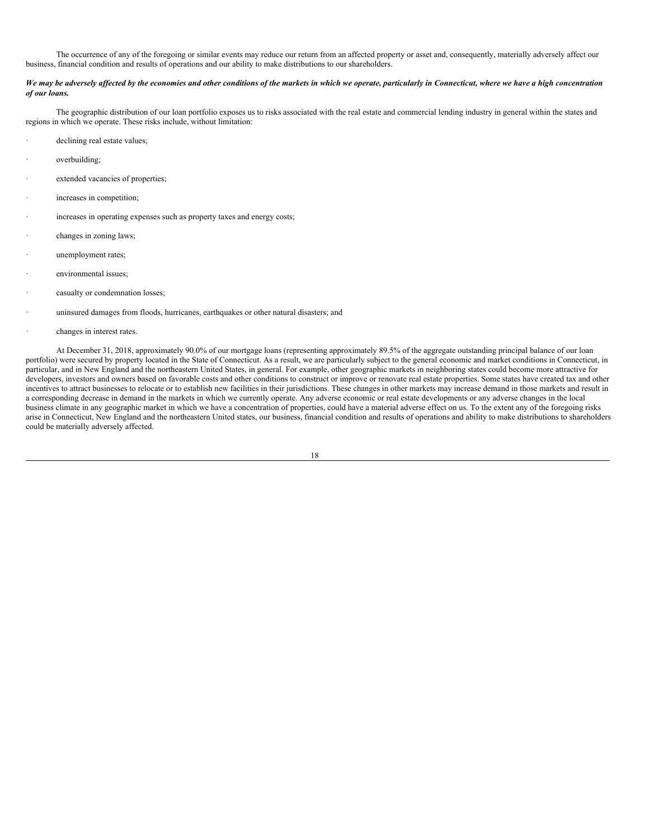The occurrence of any of the foregoing or similar events may reduce our return from an affected property or asset and, consequently, materially adversely affect our business, financial condition and results of operations and our ability to make distributions to our shareholders.

# We may be adversely affected by the economies and other conditions of the markets in which we operate, particularly in Connecticut, where we have a high concentration *of our loans.*

The geographic distribution of our loan portfolio exposes us to risks associated with the real estate and commercial lending industry in general within the states and regions in which we operate. These risks include, without limitation:

- declining real estate values;
- overbuilding;
- extended vacancies of properties;
- increases in competition;
- increases in operating expenses such as property taxes and energy costs;
- changes in zoning laws;
- unemployment rates;
- environmental issues;
- casualty or condemnation losses;
- uninsured damages from floods, hurricanes, earthquakes or other natural disasters; and
- changes in interest rates.

At December 31, 2018, approximately 90.0% of our mortgage loans (representing approximately 89.5% of the aggregate outstanding principal balance of our loan portfolio) were secured by property located in the State of Connecticut. As a result, we are particularly subject to the general economic and market conditions in Connecticut, in particular, and in New England and the northeastern United States, in general. For example, other geographic markets in neighboring states could become more attractive for developers, investors and owners based on favorable costs and other conditions to construct or improve or renovate real estate properties. Some states have created tax and other incentives to attract businesses to relocate or to establish new facilities in their jurisdictions. These changes in other markets may increase demand in those markets and result in a corresponding decrease in demand in the markets in which we currently operate. Any adverse economic or real estate developments or any adverse changes in the local business climate in any geographic market in which we have a concentration of properties, could have a material adverse effect on us. To the extent any of the foregoing risks arise in Connecticut, New England and the northeastern United states, our business, financial condition and results of operations and ability to make distributions to shareholders could be materially adversely affected.

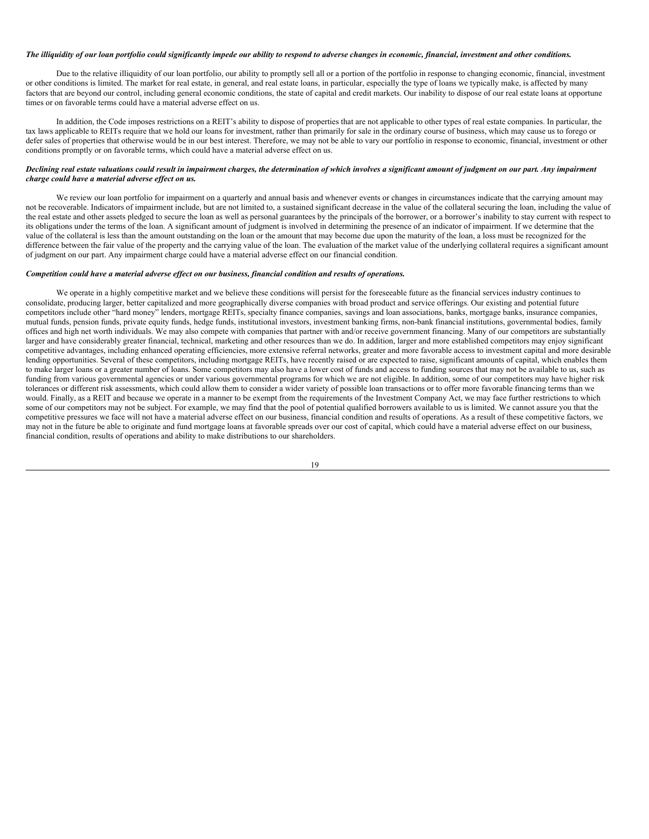### The illiquidity of our loan portfolio could significantly impede our ability to respond to adverse changes in economic, financial, investment and other conditions.

Due to the relative illiquidity of our loan portfolio, our ability to promptly sell all or a portion of the portfolio in response to changing economic, financial, investment or other conditions is limited. The market for real estate, in general, and real estate loans, in particular, especially the type of loans we typically make, is affected by many factors that are beyond our control, including general economic conditions, the state of capital and credit markets. Our inability to dispose of our real estate loans at opportune times or on favorable terms could have a material adverse effect on us.

In addition, the Code imposes restrictions on a REIT's ability to dispose of properties that are not applicable to other types of real estate companies. In particular, the tax laws applicable to REITs require that we hold our loans for investment, rather than primarily for sale in the ordinary course of business, which may cause us to forego or defer sales of properties that otherwise would be in our best interest. Therefore, we may not be able to vary our portfolio in response to economic, financial, investment or other conditions promptly or on favorable terms, which could have a material adverse effect on us.

# Declining real estate valuations could result in impairment charges, the determination of which involves a significant amount of judgment on our part. Any impairment *charge could have a material adverse ef ect on us.*

We review our loan portfolio for impairment on a quarterly and annual basis and whenever events or changes in circumstances indicate that the carrying amount may not be recoverable. Indicators of impairment include, but are not limited to, a sustained significant decrease in the value of the collateral securing the loan, including the value of the real estate and other assets pledged to secure the loan as well as personal guarantees by the principals of the borrower, or a borrower's inability to stay current with respect to its obligations under the terms of the loan. A significant amount of judgment is involved in determining the presence of an indicator of impairment. If we determine that the value of the collateral is less than the amount outstanding on the loan or the amount that may become due upon the maturity of the loan, a loss must be recognized for the difference between the fair value of the property and the carrying value of the loan. The evaluation of the market value of the underlying collateral requires a significant amount of judgment on our part. Any impairment charge could have a material adverse effect on our financial condition.

### Competition could have a material adverse effect on our business, financial condition and results of operations.

We operate in a highly competitive market and we believe these conditions will persist for the foreseeable future as the financial services industry continues to consolidate, producing larger, better capitalized and more geographically diverse companies with broad product and service offerings. Our existing and potential future competitors include other "hard money" lenders, mortgage REITs, specialty finance companies, savings and loan associations, banks, mortgage banks, insurance companies, mutual funds, pension funds, private equity funds, hedge funds, institutional investors, investment banking firms, non-bank financial institutions, governmental bodies, family offices and high net worth individuals. We may also compete with companies that partner with and/or receive government financing. Many of our competitors are substantially larger and have considerably greater financial, technical, marketing and other resources than we do. In addition, larger and more established competitors may enjoy significant competitive advantages, including enhanced operating efficiencies, more extensive referral networks, greater and more favorable access to investment capital and more desirable lending opportunities. Several of these competitors, including mortgage REITs, have recently raised or are expected to raise, significant amounts of capital, which enables them to make larger loans or a greater number of loans. Some competitors may also have a lower cost of funds and access to funding sources that may not be available to us, such as funding from various governmental agencies or under various governmental programs for which we are not eligible. In addition, some of our competitors may have higher risk tolerances or different risk assessments, which could allow them to consider a wider variety of possible loan transactions or to offer more favorable financing terms than we would. Finally, as a REIT and because we operate in a manner to be exempt from the requirements of the Investment Company Act, we may face further restrictions to which some of our competitors may not be subject. For example, we may find that the pool of potential qualified borrowers available to us is limited. We cannot assure you that the competitive pressures we face will not have a material adverse effect on our business, financial condition and results of operations. As a result of these competitive factors, we may not in the future be able to originate and fund mortgage loans at favorable spreads over our cost of capital, which could have a material adverse effect on our business, financial condition, results of operations and ability to make distributions to our shareholders.

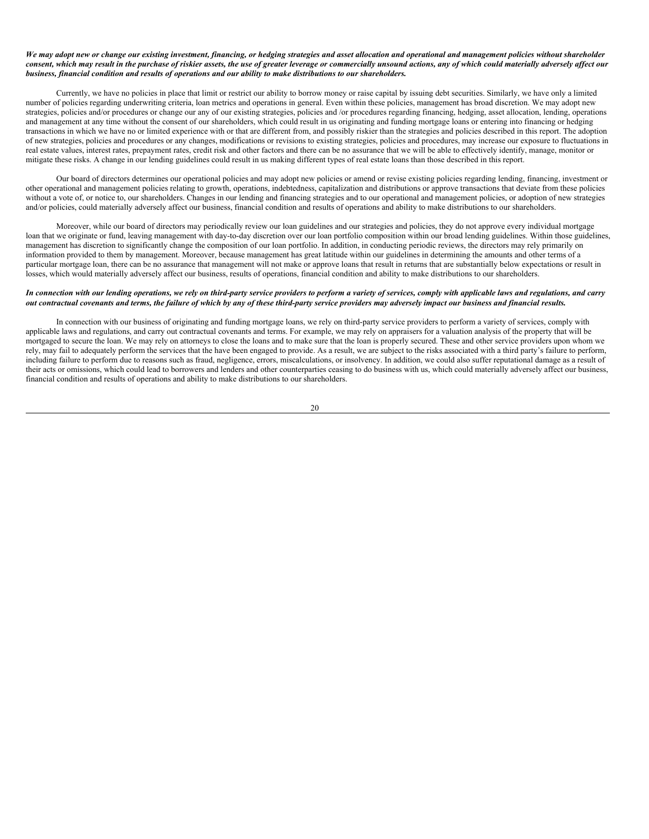#### We may adopt new or change our existing investment, financing, or hedging strategies and asset allocation and operational and management policies without shareholder consent, which may result in the purchase of riskier assets, the use of greater leverage or commercially unsound actions, any of which could materially adversely affect our business, financial condition and results of operations and our ability to make distributions to our shareholders.

Currently, we have no policies in place that limit or restrict our ability to borrow money or raise capital by issuing debt securities. Similarly, we have only a limited number of policies regarding underwriting criteria, loan metrics and operations in general. Even within these policies, management has broad discretion. We may adopt new strategies, policies and/or procedures or change our any of our existing strategies, policies and /or procedures regarding financing, hedging, asset allocation, lending, operations and management at any time without the consent of our shareholders, which could result in us originating and funding mortgage loans or entering into financing or hedging transactions in which we have no or limited experience with or that are different from, and possibly riskier than the strategies and policies described in this report. The adoption of new strategies, policies and procedures or any changes, modifications or revisions to existing strategies, policies and procedures, may increase our exposure to fluctuations in real estate values, interest rates, prepayment rates, credit risk and other factors and there can be no assurance that we will be able to effectively identify, manage, monitor or mitigate these risks. A change in our lending guidelines could result in us making different types of real estate loans than those described in this report.

Our board of directors determines our operational policies and may adopt new policies or amend or revise existing policies regarding lending, financing, investment or other operational and management policies relating to growth, operations, indebtedness, capitalization and distributions or approve transactions that deviate from these policies without a vote of, or notice to, our shareholders. Changes in our lending and financing strategies and to our operational and management policies, or adoption of new strategies and/or policies, could materially adversely affect our business, financial condition and results of operations and ability to make distributions to our shareholders.

Moreover, while our board of directors may periodically review our loan guidelines and our strategies and policies, they do not approve every individual mortgage loan that we originate or fund, leaving management with day-to-day discretion over our loan portfolio composition within our broad lending guidelines. Within those guidelines, management has discretion to significantly change the composition of our loan portfolio. In addition, in conducting periodic reviews, the directors may rely primarily on information provided to them by management. Moreover, because management has great latitude within our guidelines in determining the amounts and other terms of a particular mortgage loan, there can be no assurance that management will not make or approve loans that result in returns that are substantially below expectations or result in losses, which would materially adversely affect our business, results of operations, financial condition and ability to make distributions to our shareholders.

### In connection with our lending operations, we rely on third-party service providers to perform a variety of services, comply with applicable laws and regulations, and carry out contractual covenants and terms, the failure of which by any of these third-party service providers may adversely impact our business and financial results.

In connection with our business of originating and funding mortgage loans, we rely on third-party service providers to perform a variety of services, comply with applicable laws and regulations, and carry out contractual covenants and terms. For example, we may rely on appraisers for a valuation analysis of the property that will be mortgaged to secure the loan. We may rely on attorneys to close the loans and to make sure that the loan is properly secured. These and other service providers upon whom we rely, may fail to adequately perform the services that the have been engaged to provide. As a result, we are subject to the risks associated with a third party's failure to perform, including failure to perform due to reasons such as fraud, negligence, errors, miscalculations, or insolvency. In addition, we could also suffer reputational damage as a result of their acts or omissions, which could lead to borrowers and lenders and other counterparties ceasing to do business with us, which could materially adversely affect our business, financial condition and results of operations and ability to make distributions to our shareholders.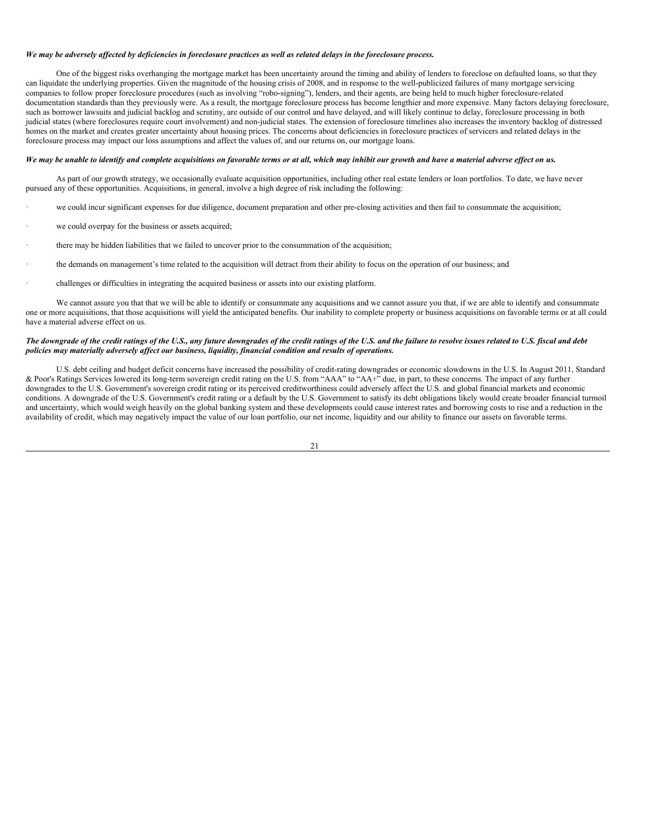#### We may be adversely affected by deficiencies in foreclosure practices as well as related delays in the foreclosure process.

One of the biggest risks overhanging the mortgage market has been uncertainty around the timing and ability of lenders to foreclose on defaulted loans, so that they can liquidate the underlying properties. Given the magnitude of the housing crisis of 2008, and in response to the well-publicized failures of many mortgage servicing companies to follow proper foreclosure procedures (such as involving "robo-signing"), lenders, and their agents, are being held to much higher foreclosure-related documentation standards than they previously were. As a result, the mortgage foreclosure process has become lengthier and more expensive. Many factors delaying foreclosure, such as borrower lawsuits and judicial backlog and scrutiny, are outside of our control and have delayed, and will likely continue to delay, foreclosure processing in both judicial states (where foreclosures require court involvement) and non-judicial states. The extension of foreclosure timelines also increases the inventory backlog of distressed homes on the market and creates greater uncertainty about housing prices. The concerns about deficiencies in foreclosure practices of servicers and related delays in the foreclosure process may impact our loss assumptions and affect the values of, and our returns on, our mortgage loans.

### We may be unable to identify and complete acquisitions on favorable terms or at all, which may inhibit our growth and have a material adverse effect on us.

As part of our growth strategy, we occasionally evaluate acquisition opportunities, including other real estate lenders or loan portfolios. To date, we have never pursued any of these opportunities. Acquisitions, in general, involve a high degree of risk including the following:

- we could incur significant expenses for due diligence, document preparation and other pre-closing activities and then fail to consummate the acquisition;
- we could overpay for the business or assets acquired;
- there may be hidden liabilities that we failed to uncover prior to the consummation of the acquisition;
- · the demands on management's time related to the acquisition will detract from their ability to focus on the operation of our business; and
- · challenges or difficulties in integrating the acquired business or assets into our existing platform.

We cannot assure you that that we will be able to identify or consummate any acquisitions and we cannot assure you that, if we are able to identify and consummate one or more acquisitions, that those acquisitions will yield the anticipated benefits. Our inability to complete property or business acquisitions on favorable terms or at all could have a material adverse effect on us.

### The downgrade of the credit ratings of the U.S., any future downgrades of the credit ratings of the U.S. and the failure to resolve issues related to U.S. fiscal and debt *policies may materially adversely af ect our business, liquidity, financial condition and results of operations.*

U.S. debt ceiling and budget deficit concerns have increased the possibility of credit-rating downgrades or economic slowdowns in the U.S. In August 2011, Standard & Poor's Ratings Services lowered its long-term sovereign credit rating on the U.S. from "AAA" to "AA+" due, in part, to these concerns. The impact of any further downgrades to the U.S. Government's sovereign credit rating or its perceived creditworthiness could adversely affect the U.S. and global financial markets and economic conditions. A downgrade of the U.S. Government's credit rating or a default by the U.S. Government to satisfy its debt obligations likely would create broader financial turmoil and uncertainty, which would weigh heavily on the global banking system and these developments could cause interest rates and borrowing costs to rise and a reduction in the availability of credit, which may negatively impact the value of our loan portfolio, our net income, liquidity and our ability to finance our assets on favorable terms.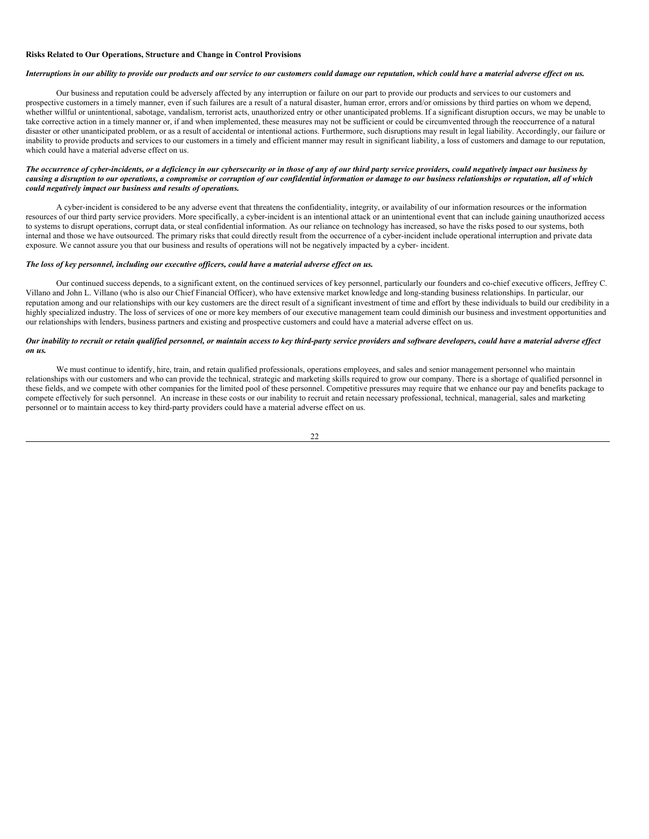#### **Risks Related to Our Operations, Structure and Change in Control Provisions**

# Interruptions in our ability to provide our products and our service to our customers could damage our reputation, which could have a material adverse effect on us.

Our business and reputation could be adversely affected by any interruption or failure on our part to provide our products and services to our customers and prospective customers in a timely manner, even if such failures are a result of a natural disaster, human error, errors and/or omissions by third parties on whom we depend, whether willful or unintentional, sabotage, vandalism, terrorist acts, unauthorized entry or other unanticipated problems. If a significant disruption occurs, we may be unable to take corrective action in a timely manner or, if and when implemented, these measures may not be sufficient or could be circumvented through the reoccurrence of a natural disaster or other unanticipated problem, or as a result of accidental or intentional actions. Furthermore, such disruptions may result in legal liability. Accordingly, our failure or inability to provide products and services to our customers in a timely and efficient manner may result in significant liability, a loss of customers and damage to our reputation, which could have a material adverse effect on us.

# The occurrence of cyber-incidents, or a deficiency in our cybersecurity or in those of any of our third party service providers, could negatively impact our business by causing a disruption to our operations, a compromise or corruption of our confidential information or damage to our business relationships or reputation, all of which *could negatively impact our business and results of operations.*

A cyber-incident is considered to be any adverse event that threatens the confidentiality, integrity, or availability of our information resources or the information resources of our third party service providers. More specifically, a cyber-incident is an intentional attack or an unintentional event that can include gaining unauthorized access to systems to disrupt operations, corrupt data, or steal confidential information. As our reliance on technology has increased, so have the risks posed to our systems, both internal and those we have outsourced. The primary risks that could directly result from the occurrence of a cyber-incident include operational interruption and private data exposure. We cannot assure you that our business and results of operations will not be negatively impacted by a cyber- incident.

### The loss of key personnel, including our executive officers, could have a material adverse effect on us.

Our continued success depends, to a significant extent, on the continued services of key personnel, particularly our founders and co-chief executive officers, Jeffrey C. Villano and John L. Villano (who is also our Chief Financial Officer), who have extensive market knowledge and long-standing business relationships. In particular, our reputation among and our relationships with our key customers are the direct result of a significant investment of time and effort by these individuals to build our credibility in a highly specialized industry. The loss of services of one or more key members of our executive management team could diminish our business and investment opportunities and our relationships with lenders, business partners and existing and prospective customers and could have a material adverse effect on us.

#### Our inability to recruit or retain qualified personnel, or maintain access to key third-party service providers and software developers, could have a material adverse effect *on us.*

We must continue to identify, hire, train, and retain qualified professionals, operations employees, and sales and senior management personnel who maintain relationships with our customers and who can provide the technical, strategic and marketing skills required to grow our company. There is a shortage of qualified personnel in these fields, and we compete with other companies for the limited pool of these personnel. Competitive pressures may require that we enhance our pay and benefits package to compete effectively for such personnel. An increase in these costs or our inability to recruit and retain necessary professional, technical, managerial, sales and marketing personnel or to maintain access to key third-party providers could have a material adverse effect on us.

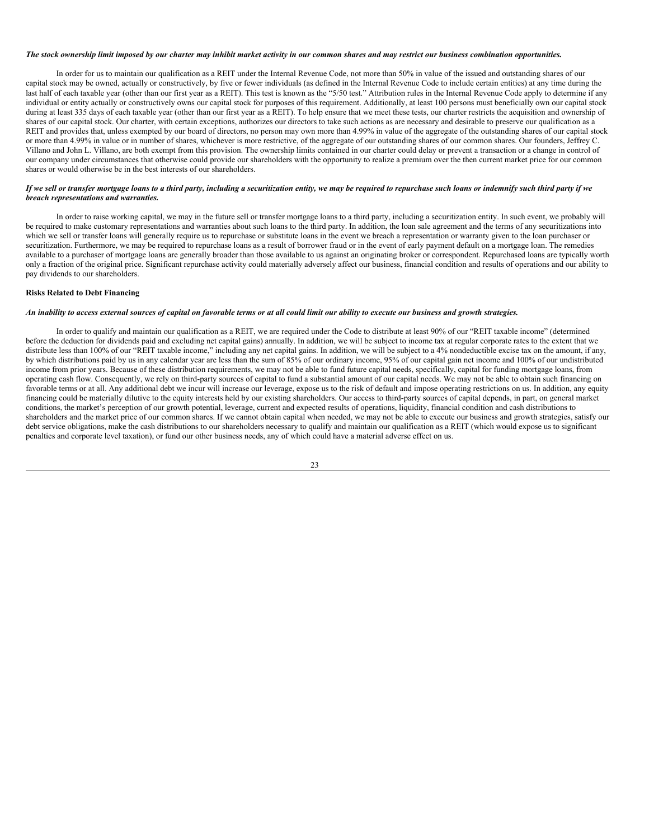#### The stock ownership limit imposed by our charter may inhibit market activity in our common shares and may restrict our business combination opportunities.

In order for us to maintain our qualification as a REIT under the Internal Revenue Code, not more than 50% in value of the issued and outstanding shares of our capital stock may be owned, actually or constructively, by five or fewer individuals (as defined in the Internal Revenue Code to include certain entities) at any time during the last half of each taxable year (other than our first year as a REIT). This test is known as the "5/50 test." Attribution rules in the Internal Revenue Code apply to determine if any individual or entity actually or constructively owns our capital stock for purposes of this requirement. Additionally, at least 100 persons must beneficially own our capital stock during at least 335 days of each taxable year (other than our first year as a REIT). To help ensure that we meet these tests, our charter restricts the acquisition and ownership of shares of our capital stock. Our charter, with certain exceptions, authorizes our directors to take such actions as are necessary and desirable to preserve our qualification as a REIT and provides that, unless exempted by our board of directors, no person may own more than 4.99% in value of the aggregate of the outstanding shares of our capital stock or more than 4.99% in value or in number of shares, whichever is more restrictive, of the aggregate of our outstanding shares of our common shares. Our founders, Jeffrey C. Villano and John L. Villano, are both exempt from this provision. The ownership limits contained in our charter could delay or prevent a transaction or a change in control of our company under circumstances that otherwise could provide our shareholders with the opportunity to realize a premium over the then current market price for our common shares or would otherwise be in the best interests of our shareholders.

### If we sell or transfer mortgage loans to a third party, including a securitization entity, we may be required to repurchase such loans or indemnify such third party if we *breach representations and warranties.*

In order to raise working capital, we may in the future sell or transfer mortgage loans to a third party, including a securitization entity. In such event, we probably will be required to make customary representations and warranties about such loans to the third party. In addition, the loan sale agreement and the terms of any securitizations into which we sell or transfer loans will generally require us to repurchase or substitute loans in the event we breach a representation or warranty given to the loan purchaser or securitization. Furthermore, we may be required to repurchase loans as a result of borrower fraud or in the event of early payment default on a mortgage loan. The remedies available to a purchaser of mortgage loans are generally broader than those available to us against an originating broker or correspondent. Repurchased loans are typically worth only a fraction of the original price. Significant repurchase activity could materially adversely affect our business, financial condition and results of operations and our ability to pay dividends to our shareholders.

### **Risks Related to Debt Financing**

#### An inability to access external sources of capital on favorable terms or at all could limit our ability to execute our business and growth strategies.

In order to qualify and maintain our qualification as a REIT, we are required under the Code to distribute at least 90% of our "REIT taxable income" (determined before the deduction for dividends paid and excluding net capital gains) annually. In addition, we will be subject to income tax at regular corporate rates to the extent that we distribute less than 100% of our "REIT taxable income," including any net capital gains. In addition, we will be subject to a 4% nondeductible excise tax on the amount, if any, by which distributions paid by us in any calendar year are less than the sum of 85% of our ordinary income, 95% of our capital gain net income and 100% of our undistributed income from prior years. Because of these distribution requirements, we may not be able to fund future capital needs, specifically, capital for funding mortgage loans, from operating cash flow. Consequently, we rely on third-party sources of capital to fund a substantial amount of our capital needs. We may not be able to obtain such financing on favorable terms or at all. Any additional debt we incur will increase our leverage, expose us to the risk of default and impose operating restrictions on us. In addition, any equity financing could be materially dilutive to the equity interests held by our existing shareholders. Our access to third-party sources of capital depends, in part, on general market conditions, the market's perception of our growth potential, leverage, current and expected results of operations, liquidity, financial condition and cash distributions to shareholders and the market price of our common shares. If we cannot obtain capital when needed, we may not be able to execute our business and growth strategies, satisfy our debt service obligations, make the cash distributions to our shareholders necessary to qualify and maintain our qualification as a REIT (which would expose us to significant penalties and corporate level taxation), or fund our other business needs, any of which could have a material adverse effect on us.

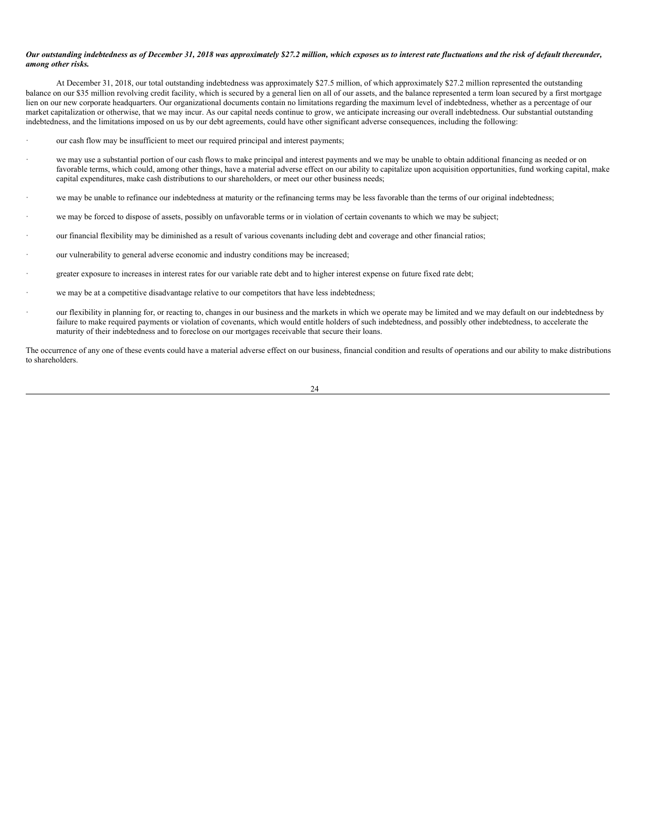### Our outstanding indebtedness as of December 31, 2018 was approximately \$27.2 million, which exposes us to interest rate fluctuations and the risk of default thereunder, *among other risks.*

At December 31, 2018, our total outstanding indebtedness was approximately \$27.5 million, of which approximately \$27.2 million represented the outstanding balance on our \$35 million revolving credit facility, which is secured by a general lien on all of our assets, and the balance represented a term loan secured by a first mortgage lien on our new corporate headquarters. Our organizational documents contain no limitations regarding the maximum level of indebtedness, whether as a percentage of our market capitalization or otherwise, that we may incur. As our capital needs continue to grow, we anticipate increasing our overall indebtedness. Our substantial outstanding indebtedness, and the limitations imposed on us by our debt agreements, could have other significant adverse consequences, including the following:

- our cash flow may be insufficient to meet our required principal and interest payments;
- we may use a substantial portion of our cash flows to make principal and interest payments and we may be unable to obtain additional financing as needed or on favorable terms, which could, among other things, have a material adverse effect on our ability to capitalize upon acquisition opportunities, fund working capital, make capital expenditures, make cash distributions to our shareholders, or meet our other business needs;
- we may be unable to refinance our indebtedness at maturity or the refinancing terms may be less favorable than the terms of our original indebtedness;
- we may be forced to dispose of assets, possibly on unfavorable terms or in violation of certain covenants to which we may be subject;
- · our financial flexibility may be diminished as a result of various covenants including debt and coverage and other financial ratios;
- our vulnerability to general adverse economic and industry conditions may be increased;
- · greater exposure to increases in interest rates for our variable rate debt and to higher interest expense on future fixed rate debt;
- · we may be at a competitive disadvantage relative to our competitors that have less indebtedness;
- our flexibility in planning for, or reacting to, changes in our business and the markets in which we operate may be limited and we may default on our indebtedness by failure to make required payments or violation of covenants, which would entitle holders of such indebtedness, and possibly other indebtedness, to accelerate the maturity of their indebtedness and to foreclose on our mortgages receivable that secure their loans.

The occurrence of any one of these events could have a material adverse effect on our business, financial condition and results of operations and our ability to make distributions to shareholders.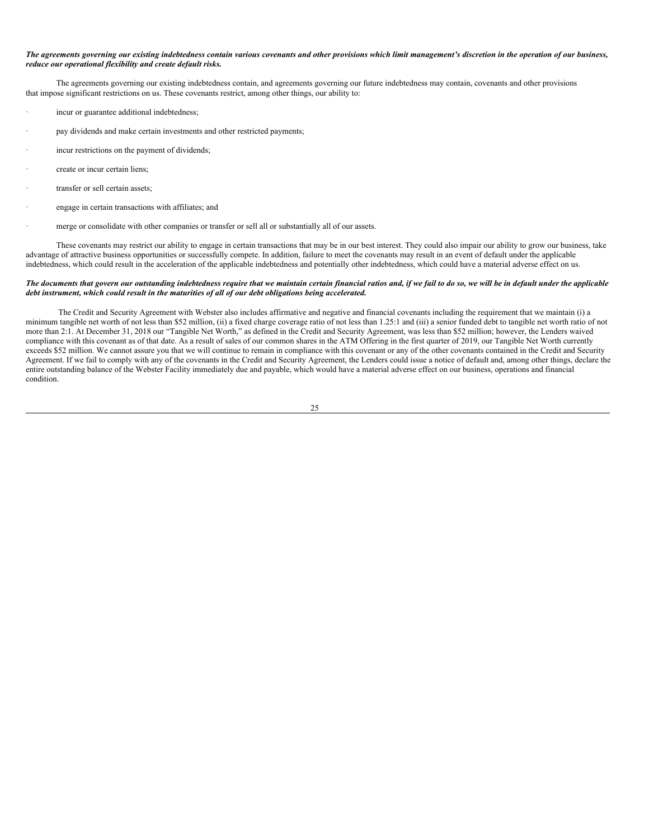### The agreements governing our existing indebtedness contain various covenants and other provisions which limit management's discretion in the operation of our business, *reduce our operational flexibility and create default risks.*

The agreements governing our existing indebtedness contain, and agreements governing our future indebtedness may contain, covenants and other provisions that impose significant restrictions on us. These covenants restrict, among other things, our ability to:

- incur or guarantee additional indebtedness;
- pay dividends and make certain investments and other restricted payments;
- incur restrictions on the payment of dividends;
- create or incur certain liens;
- transfer or sell certain assets;
- engage in certain transactions with affiliates; and
- merge or consolidate with other companies or transfer or sell all or substantially all of our assets.

These covenants may restrict our ability to engage in certain transactions that may be in our best interest. They could also impair our ability to grow our business, take advantage of attractive business opportunities or successfully compete. In addition, failure to meet the covenants may result in an event of default under the applicable indebtedness, which could result in the acceleration of the applicable indebtedness and potentially other indebtedness, which could have a material adverse effect on us.

### The documents that govern our outstanding indebtedness require that we maintain certain financial ratios and, if we fail to do so, we will be in default under the applicable *debt instrument, which could result in the maturities of all of our debt obligations being accelerated.*

The Credit and Security Agreement with Webster also includes affirmative and negative and financial covenants including the requirement that we maintain (i) a minimum tangible net worth of not less than \$52 million, (ii) a fixed charge coverage ratio of not less than 1.25:1 and (iii) a senior funded debt to tangible net worth ratio of not more than 2:1. At December 31, 2018 our "Tangible Net Worth," as defined in the Credit and Security Agreement, was less than \$52 million; however, the Lenders waived compliance with this covenant as of that date. As a result of sales of our common shares in the ATM Offering in the first quarter of 2019, our Tangible Net Worth currently exceeds \$52 million. We cannot assure you that we will continue to remain in compliance with this covenant or any of the other covenants contained in the Credit and Security Agreement. If we fail to comply with any of the covenants in the Credit and Security Agreement, the Lenders could issue a notice of default and, among other things, declare the entire outstanding balance of the Webster Facility immediately due and payable, which would have a material adverse effect on our business, operations and financial condition.

25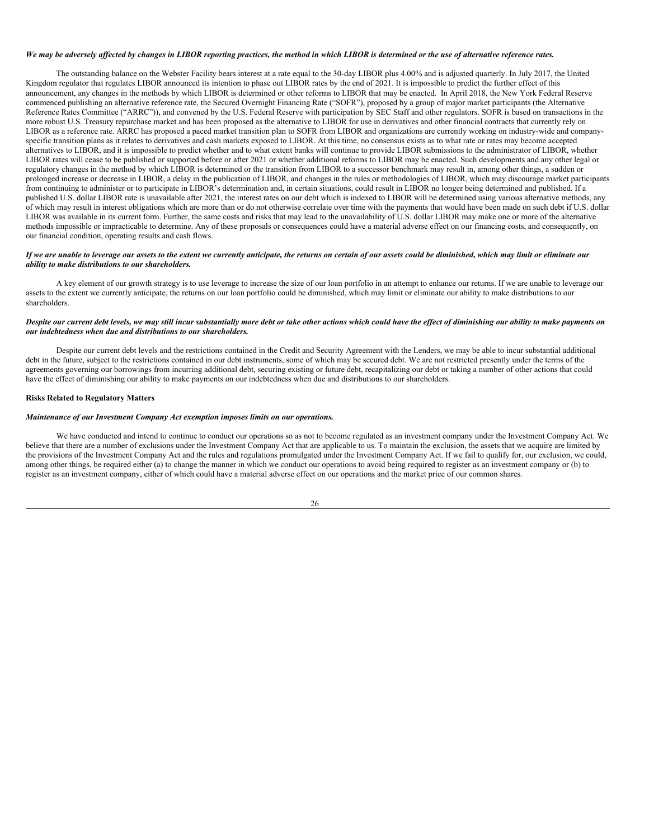### We may be adversely affected by changes in LIBOR reporting practices, the method in which LIBOR is determined or the use of alternative reference rates.

The outstanding balance on the Webster Facility bears interest at a rate equal to the 30-day LIBOR plus 4.00% and is adjusted quarterly. In July 2017, the United Kingdom regulator that regulates LIBOR announced its intention to phase out LIBOR rates by the end of 2021. It is impossible to predict the further effect of this announcement, any changes in the methods by which LIBOR is determined or other reforms to LIBOR that may be enacted. In April 2018, the New York Federal Reserve commenced publishing an alternative reference rate, the Secured Overnight Financing Rate ("SOFR"), proposed by a group of major market participants (the Alternative Reference Rates Committee ("ARRC")), and convened by the U.S. Federal Reserve with participation by SEC Staff and other regulators. SOFR is based on transactions in the more robust U.S. Treasury repurchase market and has been proposed as the alternative to LIBOR for use in derivatives and other financial contracts that currently rely on LIBOR as a reference rate. ARRC has proposed a paced market transition plan to SOFR from LIBOR and organizations are currently working on industry-wide and companyspecific transition plans as it relates to derivatives and cash markets exposed to LIBOR. At this time, no consensus exists as to what rate or rates may become accepted alternatives to LIBOR, and it is impossible to predict whether and to what extent banks will continue to provide LIBOR submissions to the administrator of LIBOR, whether LIBOR rates will cease to be published or supported before or after 2021 or whether additional reforms to LIBOR may be enacted. Such developments and any other legal or regulatory changes in the method by which LIBOR is determined or the transition from LIBOR to a successor benchmark may result in, among other things, a sudden or prolonged increase or decrease in LIBOR, a delay in the publication of LIBOR, and changes in the rules or methodologies of LIBOR, which may discourage market participants from continuing to administer or to participate in LIBOR's determination and, in certain situations, could result in LIBOR no longer being determined and published. If a published U.S. dollar LIBOR rate is unavailable after 2021, the interest rates on our debt which is indexed to LIBOR will be determined using various alternative methods, any of which may result in interest obligations which are more than or do not otherwise correlate over time with the payments that would have been made on such debt if U.S. dollar LIBOR was available in its current form. Further, the same costs and risks that may lead to the unavailability of U.S. dollar LIBOR may make one or more of the alternative methods impossible or impracticable to determine. Any of these proposals or consequences could have a material adverse effect on our financing costs, and consequently, on our financial condition, operating results and cash flows.

### If we are unable to leverage our assets to the extent we currently anticipate, the returns on certain of our assets could be diminished, which may limit or eliminate our *ability to make distributions to our shareholders.*

A key element of our growth strategy is to use leverage to increase the size of our loan portfolio in an attempt to enhance our returns. If we are unable to leverage our assets to the extent we currently anticipate, the returns on our loan portfolio could be diminished, which may limit or eliminate our ability to make distributions to our shareholders.

### Despite our current debt levels, we may still incur substantially more debt or take other actions which could have the effect of diminishing our ability to make payments on *our indebtedness when due and distributions to our shareholders.*

Despite our current debt levels and the restrictions contained in the Credit and Security Agreement with the Lenders, we may be able to incur substantial additional debt in the future, subject to the restrictions contained in our debt instruments, some of which may be secured debt. We are not restricted presently under the terms of the agreements governing our borrowings from incurring additional debt, securing existing or future debt, recapitalizing our debt or taking a number of other actions that could have the effect of diminishing our ability to make payments on our indebtedness when due and distributions to our shareholders.

### **Risks Related to Regulatory Matters**

### *Maintenance of our Investment Company Act exemption imposes limits on our operations.*

We have conducted and intend to continue to conduct our operations so as not to become regulated as an investment company under the Investment Company Act. We believe that there are a number of exclusions under the Investment Company Act that are applicable to us. To maintain the exclusion, the assets that we acquire are limited by the provisions of the Investment Company Act and the rules and regulations promulgated under the Investment Company Act. If we fail to qualify for, our exclusion, we could, among other things, be required either (a) to change the manner in which we conduct our operations to avoid being required to register as an investment company or (b) to register as an investment company, either of which could have a material adverse effect on our operations and the market price of our common shares.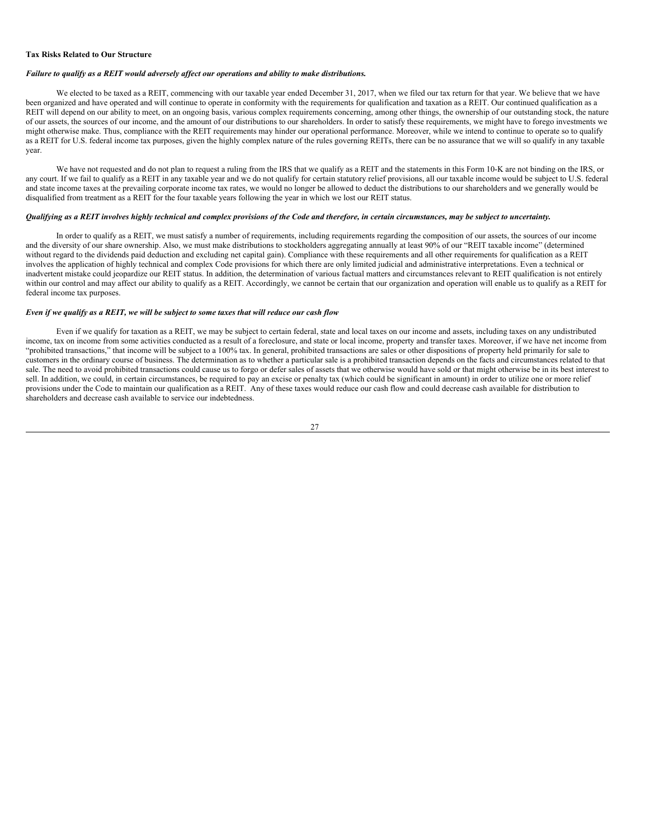### **Tax Risks Related to Our Structure**

### *Failure to qualify as a REIT would adversely af ect our operations and ability to make distributions.*

We elected to be taxed as a REIT, commencing with our taxable year ended December 31, 2017, when we filed our tax return for that year. We believe that we have been organized and have operated and will continue to operate in conformity with the requirements for qualification and taxation as a REIT. Our continued qualification as a REIT will depend on our ability to meet, on an ongoing basis, various complex requirements concerning, among other things, the ownership of our outstanding stock, the nature of our assets, the sources of our income, and the amount of our distributions to our shareholders. In order to satisfy these requirements, we might have to forego investments we might otherwise make. Thus, compliance with the REIT requirements may hinder our operational performance. Moreover, while we intend to continue to operate so to qualify as a REIT for U.S. federal income tax purposes, given the highly complex nature of the rules governing REITs, there can be no assurance that we will so qualify in any taxable year.

We have not requested and do not plan to request a ruling from the IRS that we qualify as a REIT and the statements in this Form 10-K are not binding on the IRS, or any court. If we fail to qualify as a REIT in any taxable year and we do not qualify for certain statutory relief provisions, all our taxable income would be subject to U.S. federal and state income taxes at the prevailing corporate income tax rates, we would no longer be allowed to deduct the distributions to our shareholders and we generally would be disqualified from treatment as a REIT for the four taxable years following the year in which we lost our REIT status.

### Qualifying as a REIT involves highly technical and complex provisions of the Code and therefore, in certain circumstances, may be subject to uncertainty.

In order to qualify as a REIT, we must satisfy a number of requirements, including requirements regarding the composition of our assets, the sources of our income and the diversity of our share ownership. Also, we must make distributions to stockholders aggregating annually at least 90% of our "REIT taxable income" (determined without regard to the dividends paid deduction and excluding net capital gain). Compliance with these requirements and all other requirements for qualification as a REIT involves the application of highly technical and complex Code provisions for which there are only limited judicial and administrative interpretations. Even a technical or inadvertent mistake could jeopardize our REIT status. In addition, the determination of various factual matters and circumstances relevant to REIT qualification is not entirely within our control and may affect our ability to qualify as a REIT. Accordingly, we cannot be certain that our organization and operation will enable us to qualify as a REIT for federal income tax purposes.

#### Even if we qualify as a REIT, we will be subject to some taxes that will reduce our cash flow

Even if we qualify for taxation as a REIT, we may be subject to certain federal, state and local taxes on our income and assets, including taxes on any undistributed income, tax on income from some activities conducted as a result of a foreclosure, and state or local income, property and transfer taxes. Moreover, if we have net income from "prohibited transactions," that income will be subject to a 100% tax. In general, prohibited transactions are sales or other dispositions of property held primarily for sale to customers in the ordinary course of business. The determination as to whether a particular sale is a prohibited transaction depends on the facts and circumstances related to that sale. The need to avoid prohibited transactions could cause us to forgo or defer sales of assets that we otherwise would have sold or that might otherwise be in its best interest to sell. In addition, we could, in certain circumstances, be required to pay an excise or penalty tax (which could be significant in amount) in order to utilize one or more relief provisions under the Code to maintain our qualification as a REIT. Any of these taxes would reduce our cash flow and could decrease cash available for distribution to shareholders and decrease cash available to service our indebtedness.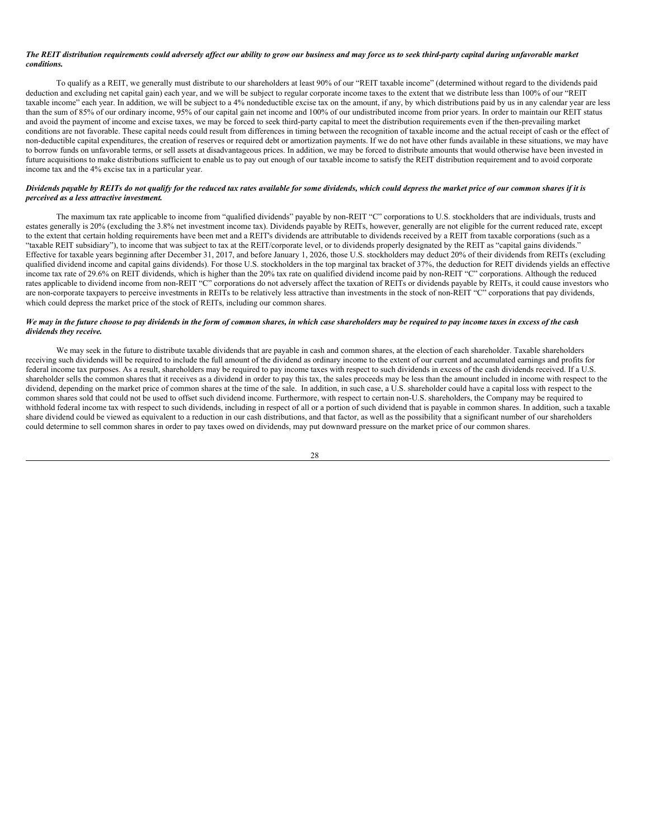### The REIT distribution requirements could adversely affect our ability to grow our business and may force us to seek third-party capital during unfavorable market *conditions.*

To qualify as a REIT, we generally must distribute to our shareholders at least 90% of our "REIT taxable income" (determined without regard to the dividends paid deduction and excluding net capital gain) each year, and we will be subject to regular corporate income taxes to the extent that we distribute less than 100% of our "REIT" taxable income" each year. In addition, we will be subject to a 4% nondeductible excise tax on the amount, if any, by which distributions paid by us in any calendar year are less than the sum of 85% of our ordinary income, 95% of our capital gain net income and 100% of our undistributed income from prior years. In order to maintain our REIT status and avoid the payment of income and excise taxes, we may be forced to seek third-party capital to meet the distribution requirements even if the then-prevailing market conditions are not favorable. These capital needs could result from differences in timing between the recognition of taxable income and the actual receipt of cash or the effect of non-deductible capital expenditures, the creation of reserves or required debt or amortization payments. If we do not have other funds available in these situations, we may have to borrow funds on unfavorable terms, or sell assets at disadvantageous prices. In addition, we may be forced to distribute amounts that would otherwise have been invested in future acquisitions to make distributions sufficient to enable us to pay out enough of our taxable income to satisfy the REIT distribution requirement and to avoid corporate income tax and the 4% excise tax in a particular year.

### Dividends payable by REITs do not qualify for the reduced tax rates available for some dividends, which could depress the market price of our common shares if it is *perceived as a less attractive investment.*

The maximum tax rate applicable to income from "qualified dividends" payable by non-REIT "C" corporations to U.S. stockholders that are individuals, trusts and estates generally is 20% (excluding the 3.8% net investment income tax). Dividends payable by REITs, however, generally are not eligible for the current reduced rate, except to the extent that certain holding requirements have been met and a REIT's dividends are attributable to dividends received by a REIT from taxable corporations (such as a "taxable REIT subsidiary"), to income that was subject to tax at the REIT/corporate level, or to dividends properly designated by the REIT as "capital gains dividends." Effective for taxable years beginning after December 31, 2017, and before January 1, 2026, those U.S. stockholders may deduct 20% of their dividends from REITs (excluding qualified dividend income and capital gains dividends). For those U.S. stockholders in the top marginal tax bracket of 37%, the deduction for REIT dividends yields an effective income tax rate of 29.6% on REIT dividends, which is higher than the 20% tax rate on qualified dividend income paid by non-REIT "C" corporations. Although the reduced rates applicable to dividend income from non-REIT "C" corporations do not adversely affect the taxation of REITs or dividends payable by REITs, it could cause investors who are non-corporate taxpayers to perceive investments in REITs to be relatively less attractive than investments in the stock of non-REIT "C" corporations that pay dividends, which could depress the market price of the stock of REITs, including our common shares.

## We may in the future choose to pay dividends in the form of common shares, in which case shareholders may be required to pay income taxes in excess of the cash *dividends they receive.*

We may seek in the future to distribute taxable dividends that are payable in cash and common shares, at the election of each shareholder. Taxable shareholders receiving such dividends will be required to include the full amount of the dividend as ordinary income to the extent of our current and accumulated earnings and profits for federal income tax purposes. As a result, shareholders may be required to pay income taxes with respect to such dividends in excess of the cash dividends received. If a U.S. shareholder sells the common shares that it receives as a dividend in order to pay this tax, the sales proceeds may be less than the amount included in income with respect to the dividend, depending on the market price of common shares at the time of the sale. In addition, in such case, a U.S. shareholder could have a capital loss with respect to the common shares sold that could not be used to offset such dividend income. Furthermore, with respect to certain non-U.S. shareholders, the Company may be required to withhold federal income tax with respect to such dividends, including in respect of all or a portion of such dividend that is payable in common shares. In addition, such a taxable share dividend could be viewed as equivalent to a reduction in our cash distributions, and that factor, as well as the possibility that a significant number of our shareholders could determine to sell common shares in order to pay taxes owed on dividends, may put downward pressure on the market price of our common shares.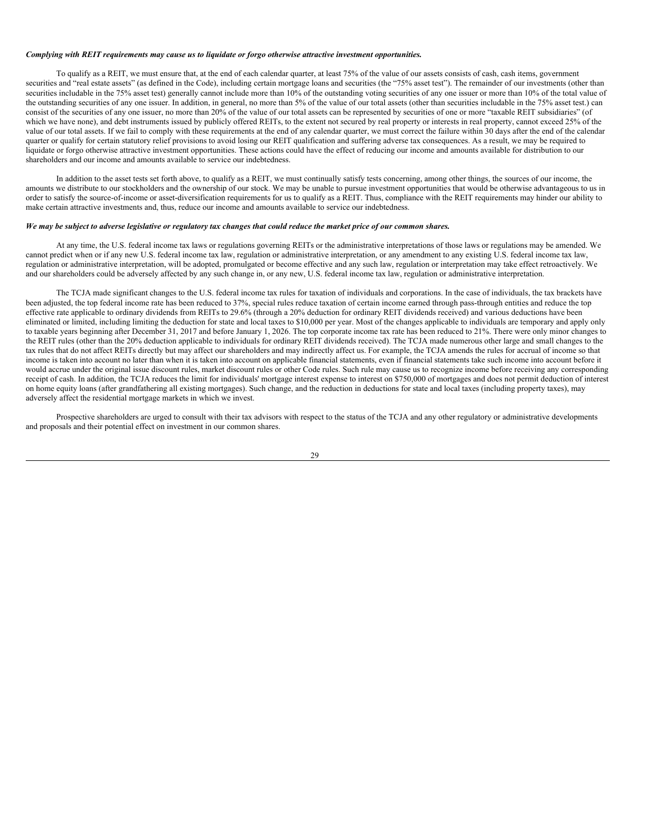#### *Complying with REIT requirements may cause us to liquidate or forgo otherwise attractive investment opportunities.*

To qualify as a REIT, we must ensure that, at the end of each calendar quarter, at least 75% of the value of our assets consists of cash, cash items, government securities and "real estate assets" (as defined in the Code), including certain mortgage loans and securities (the "75% asset test"). The remainder of our investments (other than securities includable in the 75% asset test) generally cannot include more than 10% of the outstanding voting securities of any one issuer or more than 10% of the total value of the outstanding securities of any one issuer. In addition, in general, no more than 5% of the value of our total assets (other than securities includable in the 75% asset test.) can consist of the securities of any one issuer, no more than 20% of the value of our total assets can be represented by securities of one or more "taxable REIT subsidiaries" (of which we have none), and debt instruments issued by publicly offered REITs, to the extent not secured by real property or interests in real property, cannot exceed 25% of the value of our total assets. If we fail to comply with these requirements at the end of any calendar quarter, we must correct the failure within 30 days after the end of the calendar quarter or qualify for certain statutory relief provisions to avoid losing our REIT qualification and suffering adverse tax consequences. As a result, we may be required to liquidate or forgo otherwise attractive investment opportunities. These actions could have the effect of reducing our income and amounts available for distribution to our shareholders and our income and amounts available to service our indebtedness.

In addition to the asset tests set forth above, to qualify as a REIT, we must continually satisfy tests concerning, among other things, the sources of our income, the amounts we distribute to our stockholders and the ownership of our stock. We may be unable to pursue investment opportunities that would be otherwise advantageous to us in order to satisfy the source-of-income or asset-diversification requirements for us to qualify as a REIT. Thus, compliance with the REIT requirements may hinder our ability to make certain attractive investments and, thus, reduce our income and amounts available to service our indebtedness.

### We may be subject to adverse legislative or regulatory tax changes that could reduce the market price of our common shares.

At any time, the U.S. federal income tax laws or regulations governing REITs or the administrative interpretations of those laws or regulations may be amended. We cannot predict when or if any new U.S. federal income tax law, regulation or administrative interpretation, or any amendment to any existing U.S. federal income tax law, regulation or administrative interpretation, will be adopted, promulgated or become effective and any such law, regulation or interpretation may take effect retroactively. We and our shareholders could be adversely affected by any such change in, or any new, U.S. federal income tax law, regulation or administrative interpretation.

The TCJA made significant changes to the U.S. federal income tax rules for taxation of individuals and corporations. In the case of individuals, the tax brackets have been adjusted, the top federal income rate has been reduced to 37%, special rules reduce taxation of certain income earned through pass-through entities and reduce the top effective rate applicable to ordinary dividends from REITs to 29.6% (through a 20% deduction for ordinary REIT dividends received) and various deductions have been eliminated or limited, including limiting the deduction for state and local taxes to \$10,000 per year. Most of the changes applicable to individuals are temporary and apply only to taxable years beginning after December 31, 2017 and before January 1, 2026. The top corporate income tax rate has been reduced to 21%. There were only minor changes to the REIT rules (other than the 20% deduction applicable to individuals for ordinary REIT dividends received). The TCJA made numerous other large and small changes to the tax rules that do not affect REITs directly but may affect our shareholders and may indirectly affect us. For example, the TCJA amends the rules for accrual of income so that income is taken into account no later than when it is taken into account on applicable financial statements, even if financial statements take such income into account before it would accrue under the original issue discount rules, market discount rules or other Code rules. Such rule may cause us to recognize income before receiving any corresponding receipt of cash. In addition, the TCJA reduces the limit for individuals' mortgage interest expense to interest on \$750,000 of mortgages and does not permit deduction of interest on home equity loans (after grandfathering all existing mortgages). Such change, and the reduction in deductions for state and local taxes (including property taxes), may adversely affect the residential mortgage markets in which we invest.

Prospective shareholders are urged to consult with their tax advisors with respect to the status of the TCJA and any other regulatory or administrative developments and proposals and their potential effect on investment in our common shares.

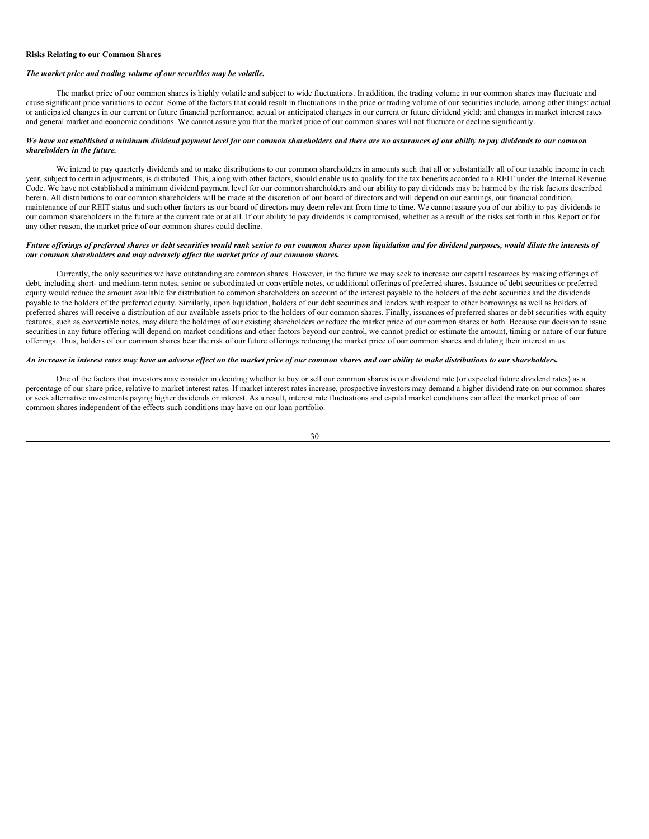#### **Risks Relating to our Common Shares**

#### *The market price and trading volume of our securities may be volatile.*

The market price of our common shares is highly volatile and subject to wide fluctuations. In addition, the trading volume in our common shares may fluctuate and cause significant price variations to occur. Some of the factors that could result in fluctuations in the price or trading volume of our securities include, among other things: actual or anticipated changes in our current or future financial performance; actual or anticipated changes in our current or future dividend yield; and changes in market interest rates and general market and economic conditions. We cannot assure you that the market price of our common shares will not fluctuate or decline significantly.

### We have not established a minimum dividend payment level for our common shareholders and there are no assurances of our ability to pay dividends to our common *shareholders in the future.*

We intend to pay quarterly dividends and to make distributions to our common shareholders in amounts such that all or substantially all of our taxable income in each year, subject to certain adjustments, is distributed. This, along with other factors, should enable us to qualify for the tax benefits accorded to a REIT under the Internal Revenue Code. We have not established a minimum dividend payment level for our common shareholders and our ability to pay dividends may be harmed by the risk factors described herein. All distributions to our common shareholders will be made at the discretion of our board of directors and will depend on our earnings, our financial condition, maintenance of our REIT status and such other factors as our board of directors may deem relevant from time to time. We cannot assure you of our ability to pay dividends to our common shareholders in the future at the current rate or at all. If our ability to pay dividends is compromised, whether as a result of the risks set forth in this Report or for any other reason, the market price of our common shares could decline.

#### Future offerings of preferred shares or debt securities would rank senior to our common shares upon liquidation and for dividend purposes, would dilute the interests of *our common shareholders and may adversely af ect the market price of our common shares.*

Currently, the only securities we have outstanding are common shares. However, in the future we may seek to increase our capital resources by making offerings of debt, including short- and medium-term notes, senior or subordinated or convertible notes, or additional offerings of preferred shares. Issuance of debt securities or preferred equity would reduce the amount available for distribution to common shareholders on account of the interest payable to the holders of the debt securities and the dividends payable to the holders of the preferred equity. Similarly, upon liquidation, holders of our debt securities and lenders with respect to other borrowings as well as holders of preferred shares will receive a distribution of our available assets prior to the holders of our common shares. Finally, issuances of preferred shares or debt securities with equity features, such as convertible notes, may dilute the holdings of our existing shareholders or reduce the market price of our common shares or both. Because our decision to issue securities in any future offering will depend on market conditions and other factors beyond our control, we cannot predict or estimate the amount, timing or nature of our future offerings. Thus, holders of our common shares bear the risk of our future offerings reducing the market price of our common shares and diluting their interest in us.

### An increase in interest rates may have an adverse effect on the market price of our common shares and our ability to make distributions to our shareholders.

One of the factors that investors may consider in deciding whether to buy or sell our common shares is our dividend rate (or expected future dividend rates) as a percentage of our share price, relative to market interest rates. If market interest rates increase, prospective investors may demand a higher dividend rate on our common shares or seek alternative investments paying higher dividends or interest. As a result, interest rate fluctuations and capital market conditions can affect the market price of our common shares independent of the effects such conditions may have on our loan portfolio.

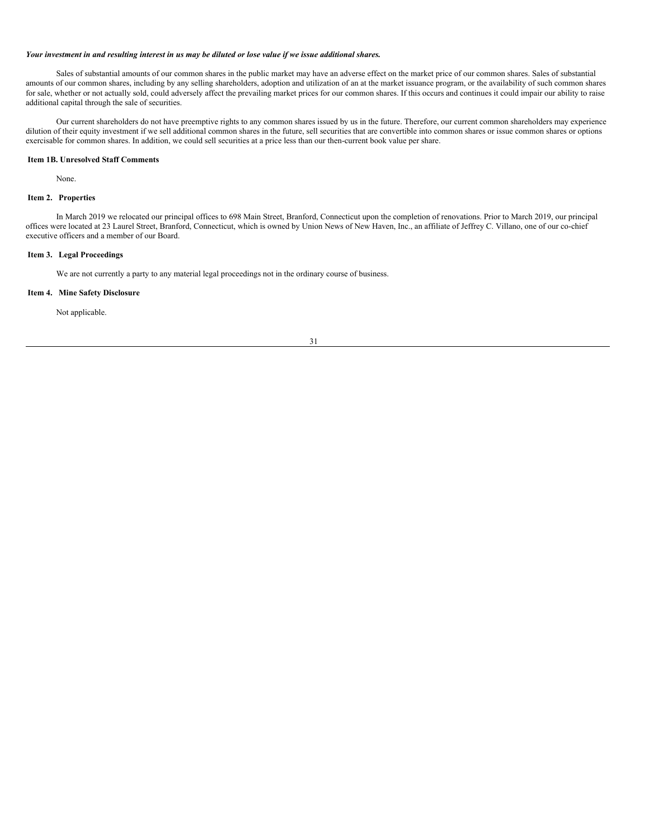### Your investment in and resulting interest in us may be diluted or lose value if we issue additional shares.

Sales of substantial amounts of our common shares in the public market may have an adverse effect on the market price of our common shares. Sales of substantial amounts of our common shares, including by any selling shareholders, adoption and utilization of an at the market issuance program, or the availability of such common shares for sale, whether or not actually sold, could adversely affect the prevailing market prices for our common shares. If this occurs and continues it could impair our ability to raise additional capital through the sale of securities.

Our current shareholders do not have preemptive rights to any common shares issued by us in the future. Therefore, our current common shareholders may experience dilution of their equity investment if we sell additional common shares in the future, sell securities that are convertible into common shares or issue common shares or options exercisable for common shares. In addition, we could sell securities at a price less than our then-current book value per share.

### <span id="page-33-0"></span>**Item 1B. Unresolved Staff Comments**

None.

### <span id="page-33-1"></span>**Item 2. Properties**

In March 2019 we relocated our principal offices to 698 Main Street, Branford, Connecticut upon the completion of renovations. Prior to March 2019, our principal offices were located at 23 Laurel Street, Branford, Connecticut, which is owned by Union News of New Haven, Inc., an affiliate of Jeffrey C. Villano, one of our co-chief executive officers and a member of our Board.

### <span id="page-33-2"></span>**Item 3. Legal Proceedings**

We are not currently a party to any material legal proceedings not in the ordinary course of business.

# <span id="page-33-3"></span>**Item 4. Mine Safety Disclosure**

Not applicable.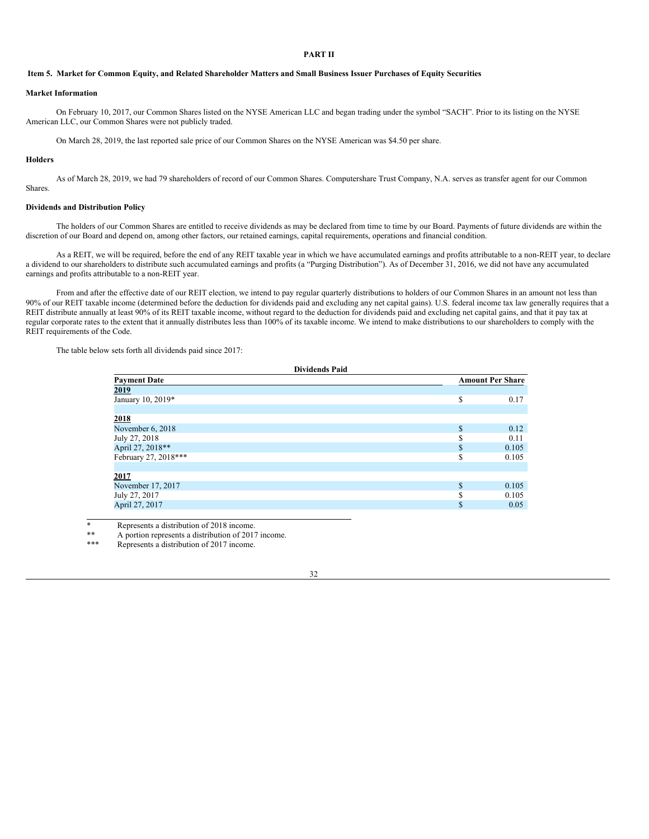# <span id="page-34-0"></span>**PART II**

### <span id="page-34-1"></span>Item 5. Market for Common Equity, and Related Shareholder Matters and Small Business Issuer Purchases of Equity Securities

### **Market Information**

On February 10, 2017, our Common Shares listed on the NYSE American LLC and began trading under the symbol "SACH". Prior to its listing on the NYSE American LLC, our Common Shares were not publicly traded.

On March 28, 2019, the last reported sale price of our Common Shares on the NYSE American was \$4.50 per share.

### **Holders**

As of March 28, 2019, we had 79 shareholders of record of our Common Shares. Computershare Trust Company, N.A. serves as transfer agent for our Common Shares.

# **Dividends and Distribution Policy**

The holders of our Common Shares are entitled to receive dividends as may be declared from time to time by our Board. Payments of future dividends are within the discretion of our Board and depend on, among other factors, our retained earnings, capital requirements, operations and financial condition.

As a REIT, we will be required, before the end of any REIT taxable year in which we have accumulated earnings and profits attributable to a non-REIT year, to declare a dividend to our shareholders to distribute such accumulated earnings and profits (a "Purging Distribution"). As of December 31, 2016, we did not have any accumulated earnings and profits attributable to a non-REIT year.

From and after the effective date of our REIT election, we intend to pay regular quarterly distributions to holders of our Common Shares in an amount not less than 90% of our REIT taxable income (determined before the deduction for dividends paid and excluding any net capital gains). U.S. federal income tax law generally requires that a REIT distribute annually at least 90% of its REIT taxable income, without regard to the deduction for dividends paid and excluding net capital gains, and that it pay tax at regular corporate rates to the extent that it annually distributes less than 100% of its taxable income. We intend to make distributions to our shareholders to comply with the REIT requirements of the Code.

The table below sets forth all dividends paid since 2017:

| <b>Dividends Paid</b> |              |                         |  |  |
|-----------------------|--------------|-------------------------|--|--|
| <b>Payment Date</b>   |              | <b>Amount Per Share</b> |  |  |
| 2019                  |              |                         |  |  |
| January 10, 2019*     | S            | 0.17                    |  |  |
|                       |              |                         |  |  |
| 2018                  |              |                         |  |  |
| November 6, 2018      | $\mathbf S$  | 0.12                    |  |  |
| July 27, 2018         | \$           | 0.11                    |  |  |
| April 27, 2018**      | \$           | 0.105                   |  |  |
| February 27, 2018***  | \$           | 0.105                   |  |  |
|                       |              |                         |  |  |
| 2017                  |              |                         |  |  |
| November 17, 2017     | $\mathbf{s}$ | 0.105                   |  |  |
| July 27, 2017         | S            | 0.105                   |  |  |
| April 27, 2017        | S            | 0.05                    |  |  |
|                       |              |                         |  |  |

Represents a distribution of 2018 income.

\*\* A portion represents a distribution of 2017 income.<br>\*\*\* Penresents a distribution of 2017 income.

Represents a distribution of 2017 income.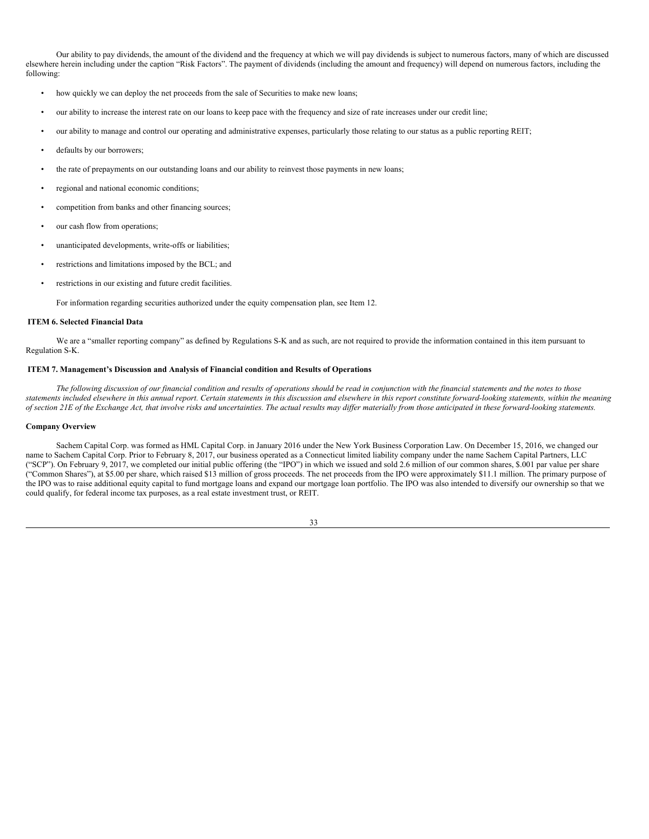Our ability to pay dividends, the amount of the dividend and the frequency at which we will pay dividends is subject to numerous factors, many of which are discussed elsewhere herein including under the caption "Risk Factors". The payment of dividends (including the amount and frequency) will depend on numerous factors, including the following:

- how quickly we can deploy the net proceeds from the sale of Securities to make new loans;
- our ability to increase the interest rate on our loans to keep pace with the frequency and size of rate increases under our credit line;
- our ability to manage and control our operating and administrative expenses, particularly those relating to our status as a public reporting REIT;
- defaults by our borrowers:
- the rate of prepayments on our outstanding loans and our ability to reinvest those payments in new loans;
- regional and national economic conditions;
- competition from banks and other financing sources;
- our cash flow from operations;
- unanticipated developments, write-offs or liabilities;
- restrictions and limitations imposed by the BCL; and
- restrictions in our existing and future credit facilities.

For information regarding securities authorized under the equity compensation plan, see Item 12.

# <span id="page-35-0"></span>**ITEM 6. Selected Financial Data**

We are a "smaller reporting company" as defined by Regulations S-K and as such, are not required to provide the information contained in this item pursuant to Regulation S-K.

### <span id="page-35-1"></span>**ITEM 7. Management's Discussion and Analysis of Financial condition and Results of Operations**

The following discussion of our financial condition and results of operations should be read in conjunction with the financial statements and the notes to those statements included elsewhere in this annual report. Certain statements in this discussion and elsewhere in this report constitute forward-looking statements, within the meaning of section 21E of the Exchange Act, that involve risks and uncertainties. The actual results may differ materially from those anticipated in these forward-looking statements.

### **Company Overview**

Sachem Capital Corp. was formed as HML Capital Corp. in January 2016 under the New York Business Corporation Law. On December 15, 2016, we changed our name to Sachem Capital Corp. Prior to February 8, 2017, our business operated as a Connecticut limited liability company under the name Sachem Capital Partners, LLC ("SCP"). On February 9, 2017, we completed our initial public offering (the "IPO") in which we issued and sold 2.6 million of our common shares, \$.001 par value per share ("Common Shares"), at \$5.00 per share, which raised \$13 million of gross proceeds. The net proceeds from the IPO were approximately \$11.1 million. The primary purpose of the IPO was to raise additional equity capital to fund mortgage loans and expand our mortgage loan portfolio. The IPO was also intended to diversify our ownership so that we could qualify, for federal income tax purposes, as a real estate investment trust, or REIT.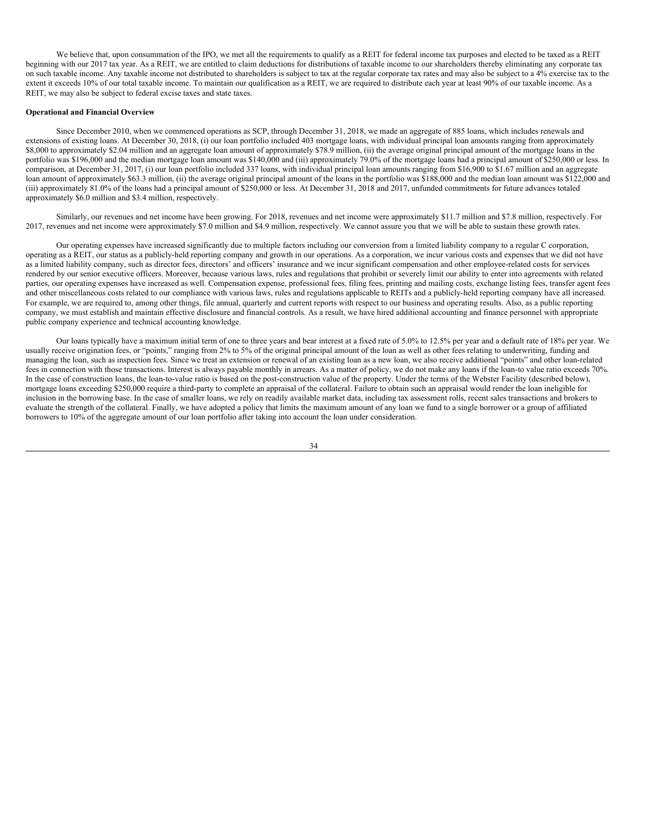We believe that, upon consummation of the IPO, we met all the requirements to qualify as a REIT for federal income tax purposes and elected to be taxed as a REIT beginning with our 2017 tax year. As a REIT, we are entitled to claim deductions for distributions of taxable income to our shareholders thereby eliminating any corporate tax on such taxable income. Any taxable income not distributed to shareholders is subject to tax at the regular corporate tax rates and may also be subject to a 4% exercise tax to the extent it exceeds 10% of our total taxable income. To maintain our qualification as a REIT, we are required to distribute each year at least 90% of our taxable income. As a REIT, we may also be subject to federal excise taxes and state taxes.

### **Operational and Financial Overview**

Since December 2010, when we commenced operations as SCP, through December 31, 2018, we made an aggregate of 885 loans, which includes renewals and extensions of existing loans. At December 30, 2018, (i) our loan portfolio included 403 mortgage loans, with individual principal loan amounts ranging from approximately \$8,000 to approximately \$2.04 million and an aggregate loan amount of approximately \$78.9 million, (ii) the average original principal amount of the mortgage loans in the portfolio was \$196,000 and the median mortgage loan amount was \$140,000 and (iii) approximately 79.0% of the mortgage loans had a principal amount of \$250,000 or less. In comparison, at December 31, 2017, (i) our loan portfolio included 337 loans, with individual principal loan amounts ranging from \$16,900 to \$1.67 million and an aggregate loan amount of approximately \$63.3 million, (ii) the average original principal amount of the loans in the portfolio was \$188,000 and the median loan amount was \$122,000 and (iii) approximately 81.0% of the loans had a principal amount of \$250,000 or less. At December 31, 2018 and 2017, unfunded commitments for future advances totaled approximately \$6.0 million and \$3.4 million, respectively.

Similarly, our revenues and net income have been growing. For 2018, revenues and net income were approximately \$11.7 million and \$7.8 million, respectively. For 2017, revenues and net income were approximately \$7.0 million and \$4.9 million, respectively. We cannot assure you that we will be able to sustain these growth rates.

Our operating expenses have increased significantly due to multiple factors including our conversion from a limited liability company to a regular C corporation, operating as a REIT, our status as a publicly-held reporting company and growth in our operations. As a corporation, we incur various costs and expenses that we did not have as a limited liability company, such as director fees, directors' and officers' insurance and we incur significant compensation and other employee-related costs for services rendered by our senior executive officers. Moreover, because various laws, rules and regulations that prohibit or severely limit our ability to enter into agreements with related parties, our operating expenses have increased as well. Compensation expense, professional fees, filing fees, printing and mailing costs, exchange listing fees, transfer agent fees and other miscellaneous costs related to our compliance with various laws, rules and regulations applicable to REITs and a publicly-held reporting company have all increased. For example, we are required to, among other things, file annual, quarterly and current reports with respect to our business and operating results. Also, as a public reporting company, we must establish and maintain effective disclosure and financial controls. As a result, we have hired additional accounting and finance personnel with appropriate public company experience and technical accounting knowledge.

Our loans typically have a maximum initial term of one to three years and bear interest at a fixed rate of 5.0% to 12.5% per year and a default rate of 18% per year. We usually receive origination fees, or "points," ranging from 2% to 5% of the original principal amount of the loan as well as other fees relating to underwriting, funding and managing the loan, such as inspection fees. Since we treat an extension or renewal of an existing loan as a new loan, we also receive additional "points" and other loan-related fees in connection with those transactions. Interest is always payable monthly in arrears. As a matter of policy, we do not make any loans if the loan-to value ratio exceeds 70%. In the case of construction loans, the loan-to-value ratio is based on the post-construction value of the property. Under the terms of the Webster Facility (described below), mortgage loans exceeding \$250,000 require a third-party to complete an appraisal of the collateral. Failure to obtain such an appraisal would render the loan ineligible for inclusion in the borrowing base. In the case of smaller loans, we rely on readily available market data, including tax assessment rolls, recent sales transactions and brokers to evaluate the strength of the collateral. Finally, we have adopted a policy that limits the maximum amount of any loan we fund to a single borrower or a group of affiliated borrowers to 10% of the aggregate amount of our loan portfolio after taking into account the loan under consideration.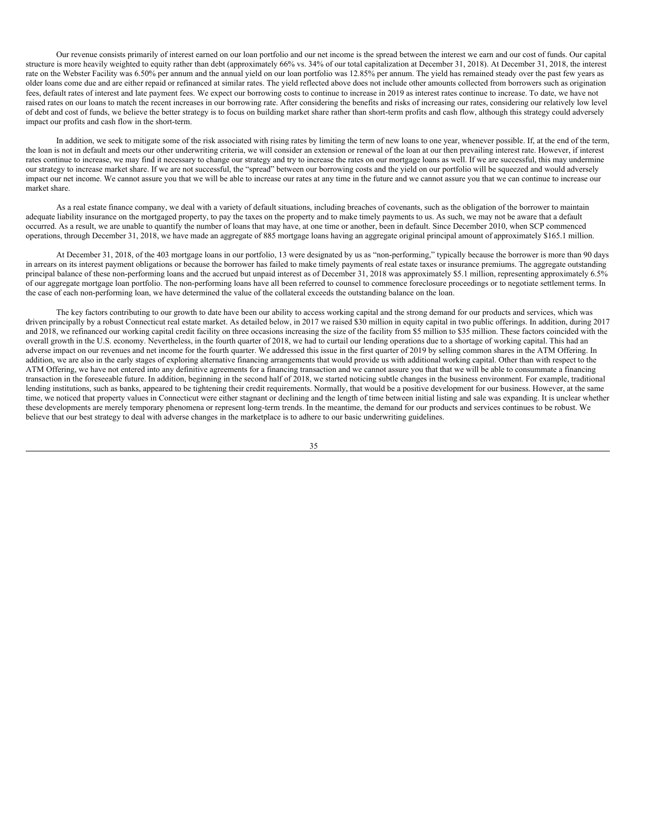Our revenue consists primarily of interest earned on our loan portfolio and our net income is the spread between the interest we earn and our cost of funds. Our capital structure is more heavily weighted to equity rather than debt (approximately 66% vs. 34% of our total capitalization at December 31, 2018). At December 31, 2018, the interest rate on the Webster Facility was 6.50% per annum and the annual yield on our loan portfolio was 12.85% per annum. The yield has remained steady over the past few years as older loans come due and are either repaid or refinanced at similar rates. The yield reflected above does not include other amounts collected from borrowers such as origination fees, default rates of interest and late payment fees. We expect our borrowing costs to continue to increase in 2019 as interest rates continue to increase. To date, we have not raised rates on our loans to match the recent increases in our borrowing rate. After considering the benefits and risks of increasing our rates, considering our relatively low level of debt and cost of funds, we believe the better strategy is to focus on building market share rather than short-term profits and cash flow, although this strategy could adversely impact our profits and cash flow in the short-term.

In addition, we seek to mitigate some of the risk associated with rising rates by limiting the term of new loans to one year, whenever possible. If, at the end of the term, the loan is not in default and meets our other underwriting criteria, we will consider an extension or renewal of the loan at our then prevailing interest rate. However, if interest rates continue to increase, we may find it necessary to change our strategy and try to increase the rates on our mortgage loans as well. If we are successful, this may undermine our strategy to increase market share. If we are not successful, the "spread" between our borrowing costs and the yield on our portfolio will be squeezed and would adversely impact our net income. We cannot assure you that we will be able to increase our rates at any time in the future and we cannot assure you that we can continue to increase our market share.

As a real estate finance company, we deal with a variety of default situations, including breaches of covenants, such as the obligation of the borrower to maintain adequate liability insurance on the mortgaged property, to pay the taxes on the property and to make timely payments to us. As such, we may not be aware that a default occurred. As a result, we are unable to quantify the number of loans that may have, at one time or another, been in default. Since December 2010, when SCP commenced operations, through December 31, 2018, we have made an aggregate of 885 mortgage loans having an aggregate original principal amount of approximately \$165.1 million.

At December 31, 2018, of the 403 mortgage loans in our portfolio, 13 were designated by us as "non-performing," typically because the borrower is more than 90 days in arrears on its interest payment obligations or because the borrower has failed to make timely payments of real estate taxes or insurance premiums. The aggregate outstanding principal balance of these non-performing loans and the accrued but unpaid interest as of December 31, 2018 was approximately \$5.1 million, representing approximately 6.5% of our aggregate mortgage loan portfolio. The non-performing loans have all been referred to counsel to commence foreclosure proceedings or to negotiate settlement terms. In the case of each non-performing loan, we have determined the value of the collateral exceeds the outstanding balance on the loan.

The key factors contributing to our growth to date have been our ability to access working capital and the strong demand for our products and services, which was driven principally by a robust Connecticut real estate market. As detailed below, in 2017 we raised \$30 million in equity capital in two public offerings. In addition, during 2017 and 2018, we refinanced our working capital credit facility on three occasions increasing the size of the facility from \$5 million to \$35 million. These factors coincided with the overall growth in the U.S. economy. Nevertheless, in the fourth quarter of 2018, we had to curtail our lending operations due to a shortage of working capital. This had an adverse impact on our revenues and net income for the fourth quarter. We addressed this issue in the first quarter of 2019 by selling common shares in the ATM Offering. In addition, we are also in the early stages of exploring alternative financing arrangements that would provide us with additional working capital. Other than with respect to the ATM Offering, we have not entered into any definitive agreements for a financing transaction and we cannot assure you that that we will be able to consummate a financing transaction in the foreseeable future. In addition, beginning in the second half of 2018, we started noticing subtle changes in the business environment. For example, traditional lending institutions, such as banks, appeared to be tightening their credit requirements. Normally, that would be a positive development for our business. However, at the same time, we noticed that property values in Connecticut were either stagnant or declining and the length of time between initial listing and sale was expanding. It is unclear whether these developments are merely temporary phenomena or represent long-term trends. In the meantime, the demand for our products and services continues to be robust. We believe that our best strategy to deal with adverse changes in the marketplace is to adhere to our basic underwriting guidelines.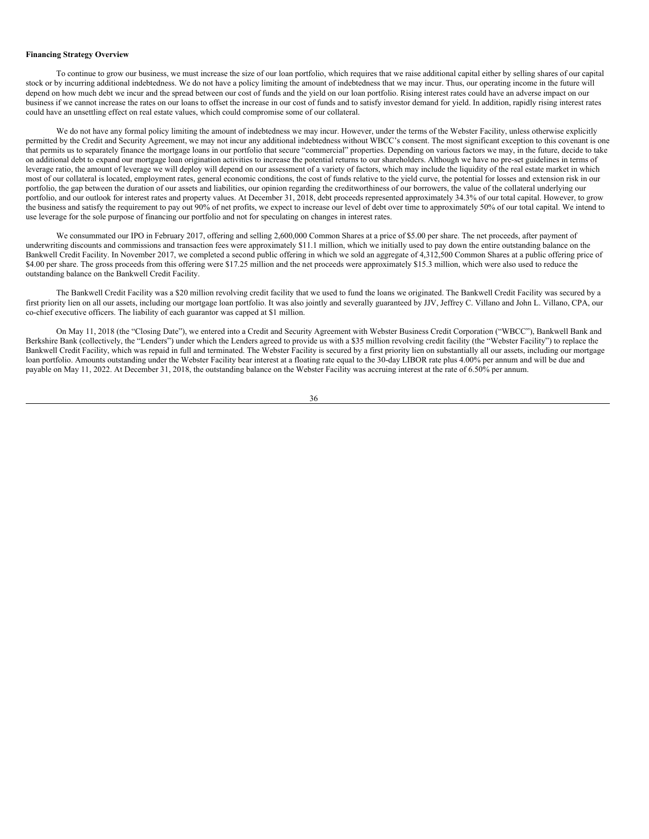### **Financing Strategy Overview**

To continue to grow our business, we must increase the size of our loan portfolio, which requires that we raise additional capital either by selling shares of our capital stock or by incurring additional indebtedness. We do not have a policy limiting the amount of indebtedness that we may incur. Thus, our operating income in the future will depend on how much debt we incur and the spread between our cost of funds and the yield on our loan portfolio. Rising interest rates could have an adverse impact on our business if we cannot increase the rates on our loans to offset the increase in our cost of funds and to satisfy investor demand for yield. In addition, rapidly rising interest rates could have an unsettling effect on real estate values, which could compromise some of our collateral.

We do not have any formal policy limiting the amount of indebtedness we may incur. However, under the terms of the Webster Facility, unless otherwise explicitly permitted by the Credit and Security Agreement, we may not incur any additional indebtedness without WBCC's consent. The most significant exception to this covenant is one that permits us to separately finance the mortgage loans in our portfolio that secure "commercial" properties. Depending on various factors we may, in the future, decide to take on additional debt to expand our mortgage loan origination activities to increase the potential returns to our shareholders. Although we have no pre-set guidelines in terms of leverage ratio, the amount of leverage we will deploy will depend on our assessment of a variety of factors, which may include the liquidity of the real estate market in which most of our collateral is located, employment rates, general economic conditions, the cost of funds relative to the yield curve, the potential for losses and extension risk in our portfolio, the gap between the duration of our assets and liabilities, our opinion regarding the creditworthiness of our borrowers, the value of the collateral underlying our portfolio, and our outlook for interest rates and property values. At December 31, 2018, debt proceeds represented approximately 34.3% of our total capital. However, to grow the business and satisfy the requirement to pay out 90% of net profits, we expect to increase our level of debt over time to approximately 50% of our total capital. We intend to use leverage for the sole purpose of financing our portfolio and not for speculating on changes in interest rates.

We consummated our IPO in February 2017, offering and selling 2,600,000 Common Shares at a price of \$5.00 per share. The net proceeds, after payment of underwriting discounts and commissions and transaction fees were approximately \$11.1 million, which we initially used to pay down the entire outstanding balance on the Bankwell Credit Facility. In November 2017, we completed a second public offering in which we sold an aggregate of 4,312,500 Common Shares at a public offering price of \$4.00 per share. The gross proceeds from this offering were \$17.25 million and the net proceeds were approximately \$15.3 million, which were also used to reduce the outstanding balance on the Bankwell Credit Facility.

The Bankwell Credit Facility was a \$20 million revolving credit facility that we used to fund the loans we originated. The Bankwell Credit Facility was secured by a first priority lien on all our assets, including our mortgage loan portfolio. It was also jointly and severally guaranteed by JJV, Jeffrey C. Villano and John L. Villano, CPA, our co-chief executive officers. The liability of each guarantor was capped at \$1 million.

On May 11, 2018 (the "Closing Date"), we entered into a Credit and Security Agreement with Webster Business Credit Corporation ("WBCC"), Bankwell Bank and Berkshire Bank (collectively, the "Lenders") under which the Lenders agreed to provide us with a \$35 million revolving credit facility (the "Webster Facility") to replace the Bankwell Credit Facility, which was repaid in full and terminated. The Webster Facility is secured by a first priority lien on substantially all our assets, including our mortgage loan portfolio. Amounts outstanding under the Webster Facility bear interest at a floating rate equal to the 30-day LIBOR rate plus 4.00% per annum and will be due and payable on May 11, 2022. At December 31, 2018, the outstanding balance on the Webster Facility was accruing interest at the rate of 6.50% per annum.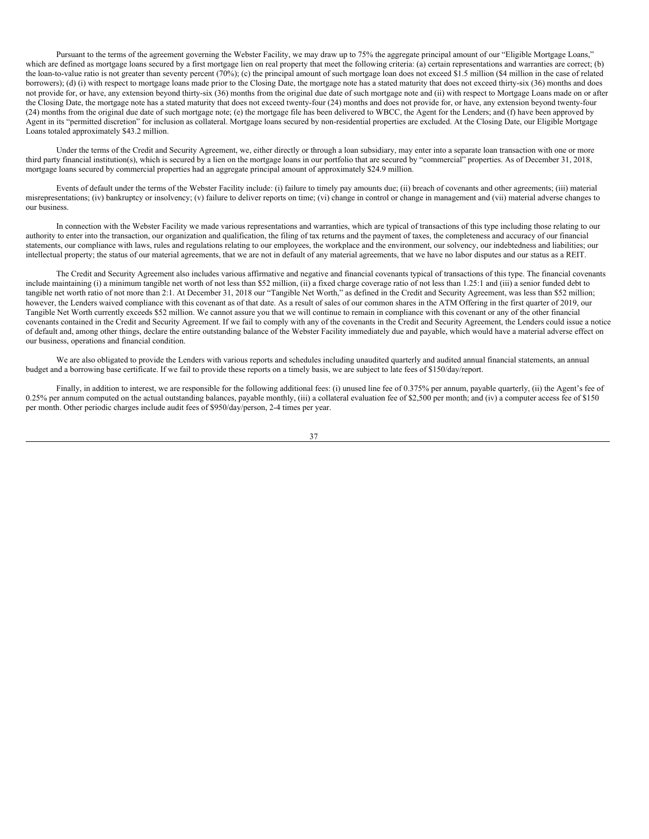Pursuant to the terms of the agreement governing the Webster Facility, we may draw up to 75% the aggregate principal amount of our "Eligible Mortgage Loans," which are defined as mortgage loans secured by a first mortgage lien on real property that meet the following criteria: (a) certain representations and warranties are correct; (b) the loan-to-value ratio is not greater than seventy percent  $(70\%)$ ; (c) the principal amount of such mortgage loan does not exceed \$1.5 million (\$4 million in the case of related borrowers); (d) (i) with respect to mortgage loans made prior to the Closing Date, the mortgage note has a stated maturity that does not exceed thirty-six (36) months and does not provide for, or have, any extension beyond thirty-six (36) months from the original due date of such mortgage note and (ii) with respect to Mortgage Loans made on or after the Closing Date, the mortgage note has a stated maturity that does not exceed twenty-four (24) months and does not provide for, or have, any extension beyond twenty-four (24) months from the original due date of such mortgage note; (e) the mortgage file has been delivered to WBCC, the Agent for the Lenders; and (f) have been approved by Agent in its "permitted discretion" for inclusion as collateral. Mortgage loans secured by non-residential properties are excluded. At the Closing Date, our Eligible Mortgage Loans totaled approximately \$43.2 million.

Under the terms of the Credit and Security Agreement, we, either directly or through a loan subsidiary, may enter into a separate loan transaction with one or more third party financial institution(s), which is secured by a lien on the mortgage loans in our portfolio that are secured by "commercial" properties. As of December 31, 2018, mortgage loans secured by commercial properties had an aggregate principal amount of approximately \$24.9 million.

Events of default under the terms of the Webster Facility include: (i) failure to timely pay amounts due; (ii) breach of covenants and other agreements; (iii) material misrepresentations; (iv) bankruptcy or insolvency; (v) failure to deliver reports on time; (vi) change in control or change in management and (vii) material adverse changes to our business.

In connection with the Webster Facility we made various representations and warranties, which are typical of transactions of this type including those relating to our authority to enter into the transaction, our organization and qualification, the filing of tax returns and the payment of taxes, the completeness and accuracy of our financial statements, our compliance with laws, rules and regulations relating to our employees, the workplace and the environment, our solvency, our indebtedness and liabilities; our intellectual property; the status of our material agreements, that we are not in default of any material agreements, that we have no labor disputes and our status as a REIT.

The Credit and Security Agreement also includes various affirmative and negative and financial covenants typical of transactions of this type. The financial covenants include maintaining (i) a minimum tangible net worth of not less than \$52 million, (ii) a fixed charge coverage ratio of not less than 1.25:1 and (iii) a senior funded debt to tangible net worth ratio of not more than 2:1. At December 31, 2018 our "Tangible Net Worth," as defined in the Credit and Security Agreement, was less than \$52 million; however, the Lenders waived compliance with this covenant as of that date. As a result of sales of our common shares in the ATM Offering in the first quarter of 2019, our Tangible Net Worth currently exceeds \$52 million. We cannot assure you that we will continue to remain in compliance with this covenant or any of the other financial covenants contained in the Credit and Security Agreement. If we fail to comply with any of the covenants in the Credit and Security Agreement, the Lenders could issue a notice of default and, among other things, declare the entire outstanding balance of the Webster Facility immediately due and payable, which would have a material adverse effect on our business, operations and financial condition.

We are also obligated to provide the Lenders with various reports and schedules including unaudited quarterly and audited annual financial statements, an annual budget and a borrowing base certificate. If we fail to provide these reports on a timely basis, we are subject to late fees of \$150/day/report.

Finally, in addition to interest, we are responsible for the following additional fees: (i) unused line fee of 0.375% per annum, payable quarterly, (ii) the Agent's fee of 0.25% per annum computed on the actual outstanding balances, payable monthly, (iii) a collateral evaluation fee of \$2,500 per month; and (iv) a computer access fee of \$150 per month. Other periodic charges include audit fees of \$950/day/person, 2-4 times per year.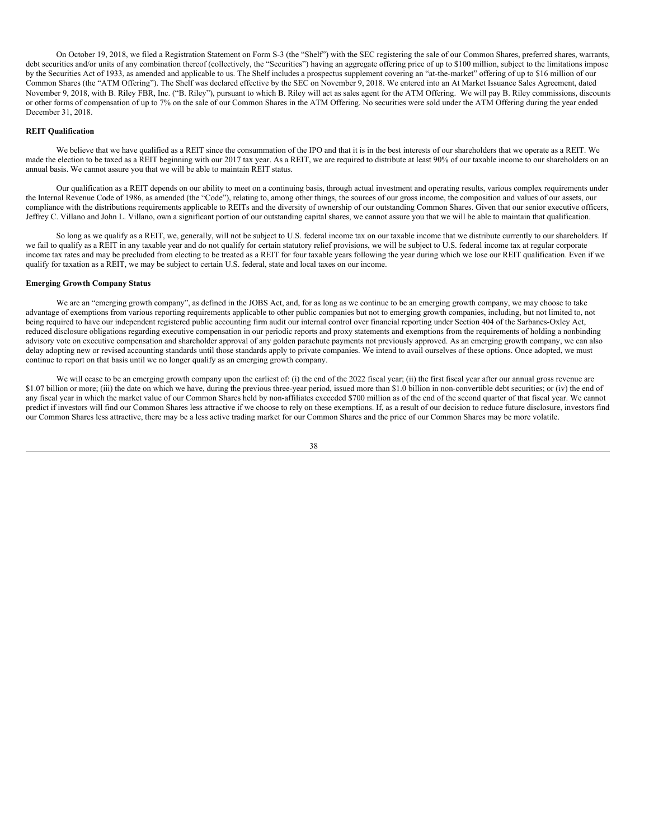On October 19, 2018, we filed a Registration Statement on Form S-3 (the "Shelf") with the SEC registering the sale of our Common Shares, preferred shares, warrants, debt securities and/or units of any combination thereof (collectively, the "Securities") having an aggregate offering price of up to \$100 million, subject to the limitations impose by the Securities Act of 1933, as amended and applicable to us. The Shelf includes a prospectus supplement covering an "at-the-market" offering of up to \$16 million of our Common Shares (the "ATM Offering"). The Shelf was declared effective by the SEC on November 9, 2018. We entered into an At Market Issuance Sales Agreement, dated November 9, 2018, with B. Riley FBR, Inc. ("B. Riley"), pursuant to which B. Riley will act as sales agent for the ATM Offering. We will pay B. Riley commissions, discounts or other forms of compensation of up to 7% on the sale of our Common Shares in the ATM Offering. No securities were sold under the ATM Offering during the year ended December 31, 2018.

## **REIT Qualification**

We believe that we have qualified as a REIT since the consummation of the IPO and that it is in the best interests of our shareholders that we operate as a REIT. We made the election to be taxed as a REIT beginning with our 2017 tax year. As a REIT, we are required to distribute at least 90% of our taxable income to our shareholders on an annual basis. We cannot assure you that we will be able to maintain REIT status.

Our qualification as a REIT depends on our ability to meet on a continuing basis, through actual investment and operating results, various complex requirements under the Internal Revenue Code of 1986, as amended (the "Code"), relating to, among other things, the sources of our gross income, the composition and values of our assets, our compliance with the distributions requirements applicable to REITs and the diversity of ownership of our outstanding Common Shares. Given that our senior executive officers, Jeffrey C. Villano and John L. Villano, own a significant portion of our outstanding capital shares, we cannot assure you that we will be able to maintain that qualification.

So long as we qualify as a REIT, we, generally, will not be subject to U.S. federal income tax on our taxable income that we distribute currently to our shareholders. If we fail to qualify as a REIT in any taxable year and do not qualify for certain statutory relief provisions, we will be subject to U.S. federal income tax at regular corporate income tax rates and may be precluded from electing to be treated as a REIT for four taxable years following the year during which we lose our REIT qualification. Even if we qualify for taxation as a REIT, we may be subject to certain U.S. federal, state and local taxes on our income.

#### **Emerging Growth Company Status**

We are an "emerging growth company", as defined in the JOBS Act, and, for as long as we continue to be an emerging growth company, we may choose to take advantage of exemptions from various reporting requirements applicable to other public companies but not to emerging growth companies, including, but not limited to, not being required to have our independent registered public accounting firm audit our internal control over financial reporting under Section 404 of the Sarbanes-Oxley Act, reduced disclosure obligations regarding executive compensation in our periodic reports and proxy statements and exemptions from the requirements of holding a nonbinding advisory vote on executive compensation and shareholder approval of any golden parachute payments not previously approved. As an emerging growth company, we can also delay adopting new or revised accounting standards until those standards apply to private companies. We intend to avail ourselves of these options. Once adopted, we must continue to report on that basis until we no longer qualify as an emerging growth company.

We will cease to be an emerging growth company upon the earliest of: (i) the end of the 2022 fiscal year; (ii) the first fiscal year after our annual gross revenue are \$1.07 billion or more; (iii) the date on which we have, during the previous three-year period, issued more than \$1.0 billion in non-convertible debt securities; or (iv) the end of any fiscal year in which the market value of our Common Shares held by non-affiliates exceeded \$700 million as of the end of the second quarter of that fiscal year. We cannot predict if investors will find our Common Shares less attractive if we choose to rely on these exemptions. If, as a result of our decision to reduce future disclosure, investors find our Common Shares less attractive, there may be a less active trading market for our Common Shares and the price of our Common Shares may be more volatile.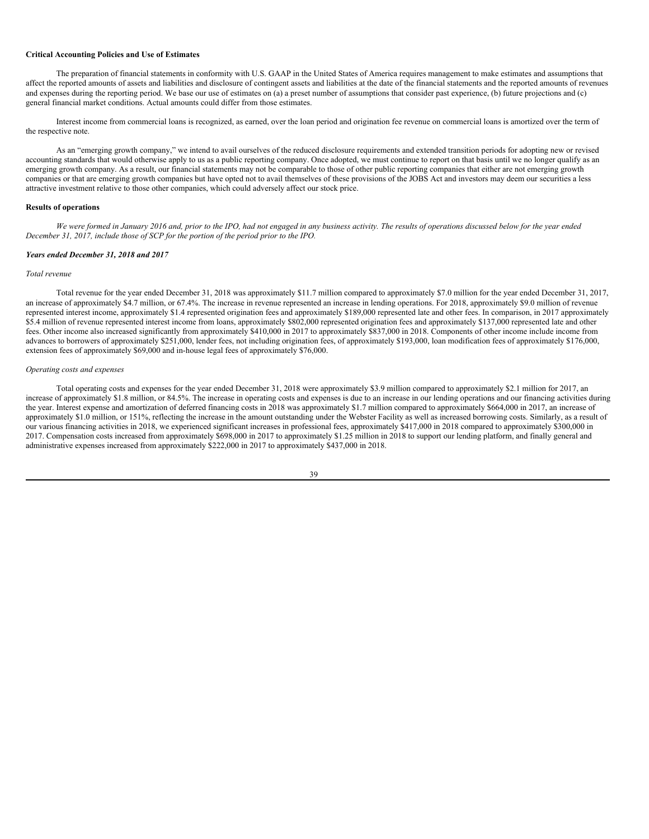#### **Critical Accounting Policies and Use of Estimates**

The preparation of financial statements in conformity with U.S. GAAP in the United States of America requires management to make estimates and assumptions that affect the reported amounts of assets and liabilities and disclosure of contingent assets and liabilities at the date of the financial statements and the reported amounts of revenues and expenses during the reporting period. We base our use of estimates on (a) a preset number of assumptions that consider past experience, (b) future projections and (c) general financial market conditions. Actual amounts could differ from those estimates.

Interest income from commercial loans is recognized, as earned, over the loan period and origination fee revenue on commercial loans is amortized over the term of the respective note.

As an "emerging growth company," we intend to avail ourselves of the reduced disclosure requirements and extended transition periods for adopting new or revised accounting standards that would otherwise apply to us as a public reporting company. Once adopted, we must continue to report on that basis until we no longer qualify as an emerging growth company. As a result, our financial statements may not be comparable to those of other public reporting companies that either are not emerging growth companies or that are emerging growth companies but have opted not to avail themselves of these provisions of the JOBS Act and investors may deem our securities a less attractive investment relative to those other companies, which could adversely affect our stock price.

#### **Results of operations**

We were formed in January 2016 and, prior to the IPO, had not engaged in any business activity. The results of operations discussed below for the year ended *December 31, 2017, include those of SCP for the portion of the period prior to the IPO.*

### *Years ended December 31, 2018 and 2017*

### *Total revenue*

Total revenue for the year ended December 31, 2018 was approximately \$11.7 million compared to approximately \$7.0 million for the year ended December 31, 2017, an increase of approximately \$4.7 million, or 67.4%. The increase in revenue represented an increase in lending operations. For 2018, approximately \$9.0 million of revenue represented interest income, approximately \$1.4 represented origination fees and approximately \$189,000 represented late and other fees. In comparison, in 2017 approximately \$5.4 million of revenue represented interest income from loans, approximately \$802,000 represented origination fees and approximately \$137,000 represented late and other fees. Other income also increased significantly from approximately \$410,000 in 2017 to approximately \$837,000 in 2018. Components of other income include income from advances to borrowers of approximately \$251,000, lender fees, not including origination fees, of approximately \$193,000, loan modification fees of approximately \$176,000, extension fees of approximately \$69,000 and in-house legal fees of approximately \$76,000.

#### *Operating costs and expenses*

Total operating costs and expenses for the year ended December 31, 2018 were approximately \$3.9 million compared to approximately \$2.1 million for 2017, an increase of approximately \$1.8 million, or 84.5%. The increase in operating costs and expenses is due to an increase in our lending operations and our financing activities during the year. Interest expense and amortization of deferred financing costs in 2018 was approximately \$1.7 million compared to approximately \$664,000 in 2017, an increase of approximately \$1.0 million, or 151%, reflecting the increase in the amount outstanding under the Webster Facility as well as increased borrowing costs. Similarly, as a result of our various financing activities in 2018, we experienced significant increases in professional fees, approximately \$417,000 in 2018 compared to approximately \$300,000 in 2017. Compensation costs increased from approximately \$698,000 in 2017 to approximately \$1.25 million in 2018 to support our lending platform, and finally general and administrative expenses increased from approximately \$222,000 in 2017 to approximately \$437,000 in 2018.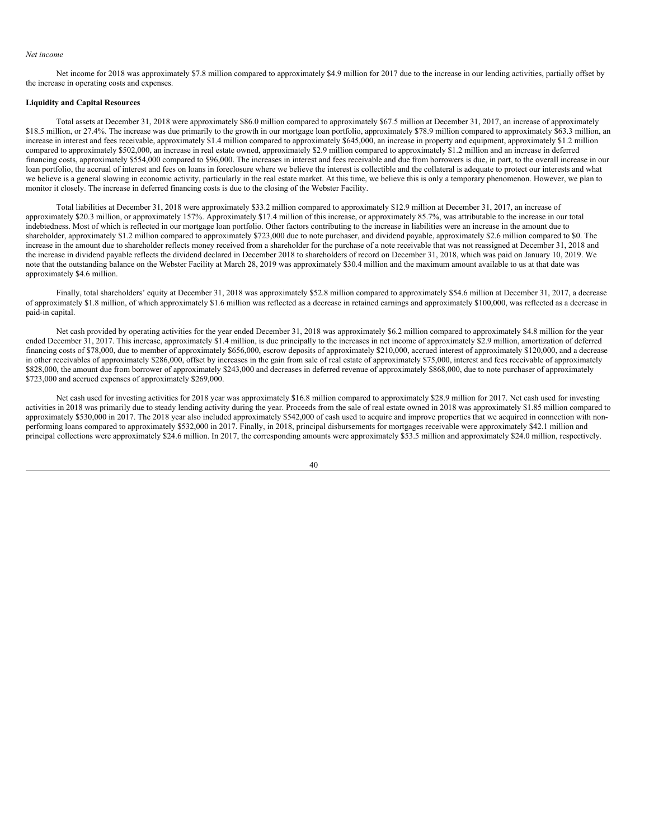#### *Net income*

Net income for 2018 was approximately \$7.8 million compared to approximately \$4.9 million for 2017 due to the increase in our lending activities, partially offset by the increase in operating costs and expenses.

### **Liquidity and Capital Resources**

Total assets at December 31, 2018 were approximately \$86.0 million compared to approximately \$67.5 million at December 31, 2017, an increase of approximately \$18.5 million, or 27.4%. The increase was due primarily to the growth in our mortgage loan portfolio, approximately \$78.9 million compared to approximately \$63.3 million, an increase in interest and fees receivable, approximately \$1.4 million compared to approximately \$645,000, an increase in property and equipment, approximately \$1.2 million compared to approximately \$502,000, an increase in real estate owned, approximately \$2.9 million compared to approximately \$1.2 million and an increase in deferred financing costs, approximately \$554,000 compared to \$96,000. The increases in interest and fees receivable and due from borrowers is due, in part, to the overall increase in our loan portfolio, the accrual of interest and fees on loans in foreclosure where we believe the interest is collectible and the collateral is adequate to protect our interests and what we believe is a general slowing in economic activity, particularly in the real estate market. At this time, we believe this is only a temporary phenomenon. However, we plan to monitor it closely. The increase in deferred financing costs is due to the closing of the Webster Facility.

Total liabilities at December 31, 2018 were approximately \$33.2 million compared to approximately \$12.9 million at December 31, 2017, an increase of approximately \$20.3 million, or approximately 157%. Approximately \$17.4 million of this increase, or approximately 85.7%, was attributable to the increase in our total indebtedness. Most of which is reflected in our mortgage loan portfolio. Other factors contributing to the increase in liabilities were an increase in the amount due to shareholder, approximately \$1.2 million compared to approximately \$723,000 due to note purchaser, and dividend payable, approximately \$2.6 million compared to \$0. The increase in the amount due to shareholder reflects money received from a shareholder for the purchase of a note receivable that was not reassigned at December 31, 2018 and the increase in dividend payable reflects the dividend declared in December 2018 to shareholders of record on December 31, 2018, which was paid on January 10, 2019. We note that the outstanding balance on the Webster Facility at March 28, 2019 was approximately \$30.4 million and the maximum amount available to us at that date was approximately \$4.6 million.

Finally, total shareholders' equity at December 31, 2018 was approximately \$52.8 million compared to approximately \$54.6 million at December 31, 2017, a decrease of approximately \$1.8 million, of which approximately \$1.6 million was reflected as a decrease in retained earnings and approximately \$100,000, was reflected as a decrease in paid-in capital.

Net cash provided by operating activities for the year ended December 31, 2018 was approximately \$6.2 million compared to approximately \$4.8 million for the year ended December 31, 2017. This increase, approximately \$1.4 million, is due principally to the increases in net income of approximately \$2.9 million, amortization of deferred financing costs of \$78,000, due to member of approximately \$656,000, escrow deposits of approximately \$210,000, accrued interest of approximately \$120,000, and a decrease in other receivables of approximately \$286,000, offset by increases in the gain from sale of real estate of approximately \$75,000, interest and fees receivable of approximately \$828,000, the amount due from borrower of approximately \$243,000 and decreases in deferred revenue of approximately \$868,000, due to note purchaser of approximately \$723,000 and accrued expenses of approximately \$269,000.

Net cash used for investing activities for 2018 year was approximately \$16.8 million compared to approximately \$28.9 million for 2017. Net cash used for investing activities in 2018 was primarily due to steady lending activity during the year. Proceeds from the sale of real estate owned in 2018 was approximately \$1.85 million compared to approximately \$530,000 in 2017. The 2018 year also included approximately \$542,000 of cash used to acquire and improve properties that we acquired in connection with nonperforming loans compared to approximately \$532,000 in 2017. Finally, in 2018, principal disbursements for mortgages receivable were approximately \$42.1 million and principal collections were approximately \$24.6 million. In 2017, the corresponding amounts were approximately \$53.5 million and approximately \$24.0 million, respectively.

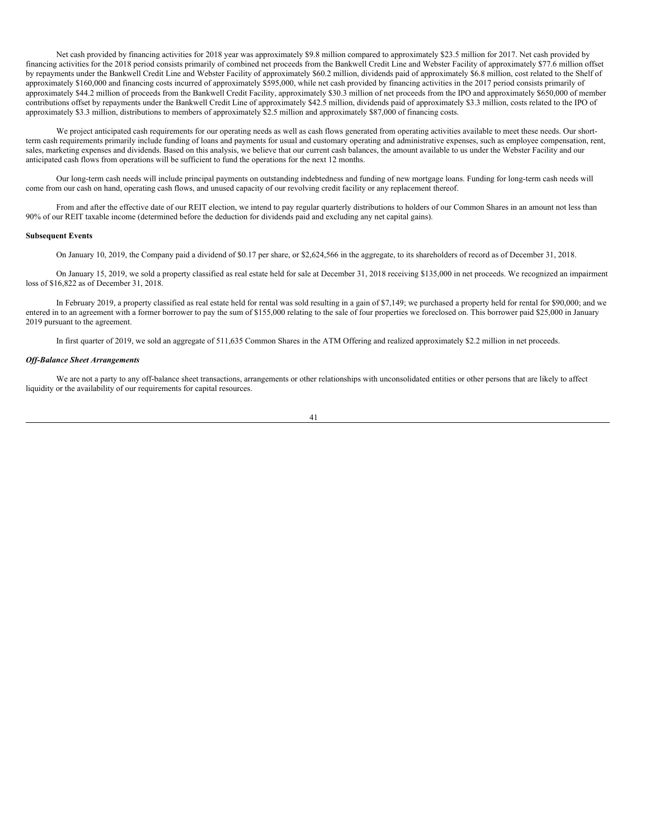Net cash provided by financing activities for 2018 year was approximately \$9.8 million compared to approximately \$23.5 million for 2017. Net cash provided by financing activities for the 2018 period consists primarily of combined net proceeds from the Bankwell Credit Line and Webster Facility of approximately \$77.6 million offset by repayments under the Bankwell Credit Line and Webster Facility of approximately \$60.2 million, dividends paid of approximately \$6.8 million, cost related to the Shelf of approximately \$160,000 and financing costs incurred of approximately \$595,000, while net cash provided by financing activities in the 2017 period consists primarily of approximately \$44.2 million of proceeds from the Bankwell Credit Facility, approximately \$30.3 million of net proceeds from the IPO and approximately  $$650,000$  of member contributions offset by repayments under the Bankwell Credit Line of approximately \$42.5 million, dividends paid of approximately \$3.3 million, costs related to the IPO of approximately \$3.3 million, distributions to members of approximately \$2.5 million and approximately \$87,000 of financing costs.

We project anticipated cash requirements for our operating needs as well as cash flows generated from operating activities available to meet these needs. Our shortterm cash requirements primarily include funding of loans and payments for usual and customary operating and administrative expenses, such as employee compensation, rent, sales, marketing expenses and dividends. Based on this analysis, we believe that our current cash balances, the amount available to us under the Webster Facility and our anticipated cash flows from operations will be sufficient to fund the operations for the next 12 months.

Our long-term cash needs will include principal payments on outstanding indebtedness and funding of new mortgage loans. Funding for long-term cash needs will come from our cash on hand, operating cash flows, and unused capacity of our revolving credit facility or any replacement thereof.

From and after the effective date of our REIT election, we intend to pay regular quarterly distributions to holders of our Common Shares in an amount not less than 90% of our REIT taxable income (determined before the deduction for dividends paid and excluding any net capital gains).

#### **Subsequent Events**

On January 10, 2019, the Company paid a dividend of \$0.17 per share, or \$2,624,566 in the aggregate, to its shareholders of record as of December 31, 2018.

On January 15, 2019, we sold a property classified as real estate held for sale at December 31, 2018 receiving \$135,000 in net proceeds. We recognized an impairment loss of \$16,822 as of December 31, 2018.

In February 2019, a property classified as real estate held for rental was sold resulting in a gain of \$7,149; we purchased a property held for rental for \$90,000; and we entered in to an agreement with a former borrower to pay the sum of \$155,000 relating to the sale of four properties we foreclosed on. This borrower paid \$25,000 in January 2019 pursuant to the agreement.

In first quarter of 2019, we sold an aggregate of 511,635 Common Shares in the ATM Offering and realized approximately \$2.2 million in net proceeds.

# *Of -Balance Sheet Arrangements*

We are not a party to any off-balance sheet transactions, arrangements or other relationships with unconsolidated entities or other persons that are likely to affect liquidity or the availability of our requirements for capital resources.

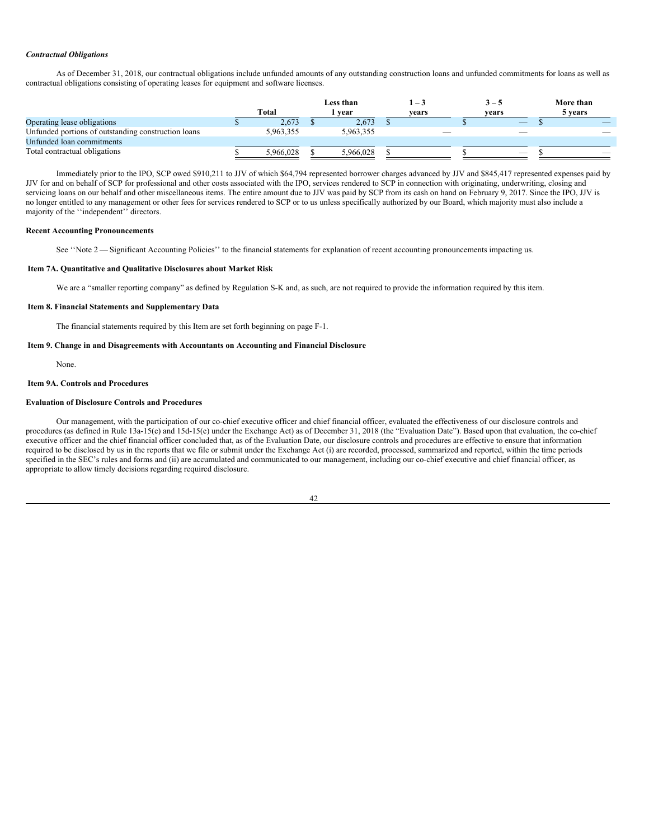### *Contractual Obligations*

As of December 31, 2018, our contractual obligations include unfunded amounts of any outstanding construction loans and unfunded commitments for loans as well as contractual obligations consisting of operating leases for equipment and software licenses.

|                                                     |           | Less than | $-1$  | $3 - 5$                  | More than |
|-----------------------------------------------------|-----------|-----------|-------|--------------------------|-----------|
|                                                     | Total     | vear      | vears | vears                    | 5 vears   |
| Operating lease obligations                         | 2.673     | 2,673     |       | $\overline{\phantom{a}}$ |           |
| Unfunded portions of outstanding construction loans | 5.963.355 | 5.963.355 |       |                          |           |
| Unfunded loan commitments                           |           |           |       |                          |           |
| Total contractual obligations                       | 5.966.028 | 5.966.028 |       | $\overline{\phantom{a}}$ |           |

Immediately prior to the IPO, SCP owed \$910,211 to JJV of which \$64,794 represented borrower charges advanced by JJV and \$845,417 represented expenses paid by JJV for and on behalf of SCP for professional and other costs associated with the IPO, services rendered to SCP in connection with originating, underwriting, closing and servicing loans on our behalf and other miscellaneous items. The entire amount due to JJV was paid by SCP from its cash on hand on February 9, 2017. Since the IPO, JJV is no longer entitled to any management or other fees for services rendered to SCP or to us unless specifically authorized by our Board, which majority must also include a majority of the ''independent'' directors.

### **Recent Accounting Pronouncements**

See "Note 2 — Significant Accounting Policies" to the financial statements for explanation of recent accounting pronouncements impacting us.

### **Item 7A. Quantitative and Qualitative Disclosures about Market Risk**

We are a "smaller reporting company" as defined by Regulation S-K and, as such, are not required to provide the information required by this item.

# **Item 8. Financial Statements and Supplementary Data**

The financial statements required by this Item are set forth beginning on page F-1.

# **Item 9. Change in and Disagreements with Accountants on Accounting and Financial Disclosure**

None.

# **Item 9A. Controls and Procedures**

# **Evaluation of Disclosure Controls and Procedures**

Our management, with the participation of our co-chief executive officer and chief financial officer, evaluated the effectiveness of our disclosure controls and procedures (as defined in Rule 13a-15(e) and 15d-15(e) under the Exchange Act) as of December 31, 2018 (the "Evaluation Date"). Based upon that evaluation, the co-chief executive officer and the chief financial officer concluded that, as of the Evaluation Date, our disclosure controls and procedures are effective to ensure that information required to be disclosed by us in the reports that we file or submit under the Exchange Act (i) are recorded, processed, summarized and reported, within the time periods specified in the SEC's rules and forms and (ii) are accumulated and communicated to our management, including our co-chief executive and chief financial officer, as appropriate to allow timely decisions regarding required disclosure.

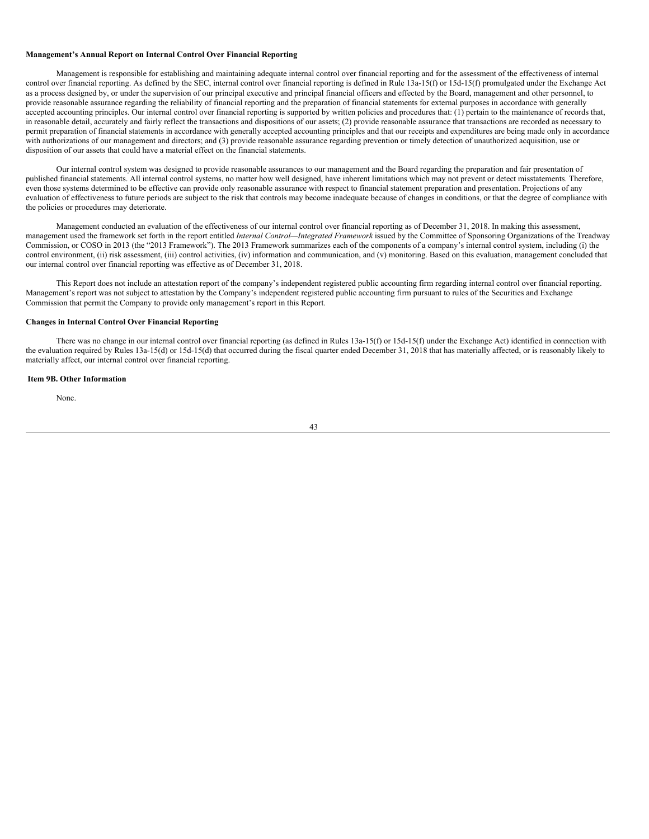### **Management's Annual Report on Internal Control Over Financial Reporting**

Management is responsible for establishing and maintaining adequate internal control over financial reporting and for the assessment of the effectiveness of internal control over financial reporting. As defined by the SEC, internal control over financial reporting is defined in Rule 13a-15(f) or 15d-15(f) promulgated under the Exchange Act as a process designed by, or under the supervision of our principal executive and principal financial officers and effected by the Board, management and other personnel, to provide reasonable assurance regarding the reliability of financial reporting and the preparation of financial statements for external purposes in accordance with generally accepted accounting principles. Our internal control over financial reporting is supported by written policies and procedures that: (1) pertain to the maintenance of records that, in reasonable detail, accurately and fairly reflect the transactions and dispositions of our assets; (2) provide reasonable assurance that transactions are recorded as necessary to permit preparation of financial statements in accordance with generally accepted accounting principles and that our receipts and expenditures are being made only in accordance with authorizations of our management and directors; and (3) provide reasonable assurance regarding prevention or timely detection of unauthorized acquisition, use or disposition of our assets that could have a material effect on the financial statements.

Our internal control system was designed to provide reasonable assurances to our management and the Board regarding the preparation and fair presentation of published financial statements. All internal control systems, no matter how well designed, have inherent limitations which may not prevent or detect misstatements. Therefore, even those systems determined to be effective can provide only reasonable assurance with respect to financial statement preparation and presentation. Projections of any evaluation of effectiveness to future periods are subject to the risk that controls may become inadequate because of changes in conditions, or that the degree of compliance with the policies or procedures may deteriorate.

Management conducted an evaluation of the effectiveness of our internal control over financial reporting as of December 31, 2018. In making this assessment, management used the framework set forth in the report entitled *Internal Control—Integrated Framework* issued by the Committee of Sponsoring Organizations of the Treadway Commission, or COSO in 2013 (the "2013 Framework"). The 2013 Framework summarizes each of the components of a company's internal control system, including (i) the control environment, (ii) risk assessment, (iii) control activities, (iv) information and communication, and  $(v)$  monitoring. Based on this evaluation, management concluded that our internal control over financial reporting was effective as of December 31, 2018.

This Report does not include an attestation report of the company's independent registered public accounting firm regarding internal control over financial reporting. Management's report was not subject to attestation by the Company's independent registered public accounting firm pursuant to rules of the Securities and Exchange Commission that permit the Company to provide only management's report in this Report.

# **Changes in Internal Control Over Financial Reporting**

There was no change in our internal control over financial reporting (as defined in Rules 13a-15(f) or 15d-15(f) under the Exchange Act) identified in connection with the evaluation required by Rules 13a-15(d) or 15d-15(d) that occurred during the fiscal quarter ended December 31, 2018 that has materially affected, or is reasonably likely to materially affect, our internal control over financial reporting.

## **Item 9B. Other Information**

None.

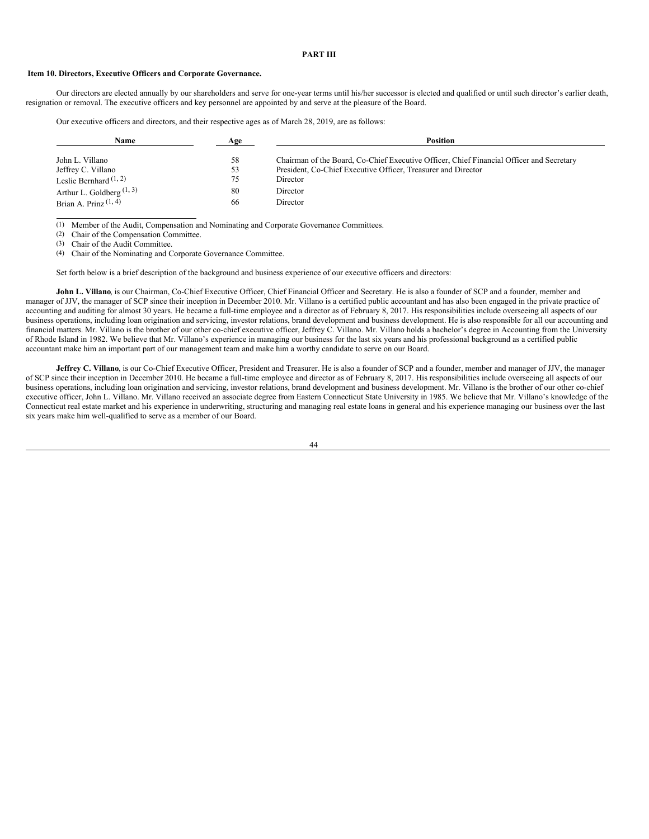# **PART III**

### **Item 10. Directors, Executive Officers and Corporate Governance.**

Our directors are elected annually by our shareholders and serve for one-year terms until his/her successor is elected and qualified or until such director's earlier death, resignation or removal. The executive officers and key personnel are appointed by and serve at the pleasure of the Board.

Our executive officers and directors, and their respective ages as of March 28, 2019, are as follows:

| Name                        | Age | <b>Position</b>                                                                          |
|-----------------------------|-----|------------------------------------------------------------------------------------------|
|                             |     |                                                                                          |
| John L. Villano             | 58  | Chairman of the Board, Co-Chief Executive Officer, Chief Financial Officer and Secretary |
| Jeffrey C. Villano          | 53  | President, Co-Chief Executive Officer, Treasurer and Director                            |
| Leslie Bernhard $(1, 2)$    | 75  | Director                                                                                 |
| Arthur L. Goldberg $(1, 3)$ | 80  | Director                                                                                 |
| Brian A. Prinz $(1, 4)$     | 66  | Director                                                                                 |

(1) Member of the Audit, Compensation and Nominating and Corporate Governance Committees.

(2) Chair of the Compensation Committee.

(3) Chair of the Audit Committee.

(4) Chair of the Nominating and Corporate Governance Committee.

Set forth below is a brief description of the background and business experience of our executive officers and directors:

**John L. Villano**, is our Chairman, Co-Chief Executive Officer, Chief Financial Officer and Secretary. He is also a founder of SCP and a founder, member and manager of JJV, the manager of SCP since their inception in December 2010. Mr. Villano is a certified public accountant and has also been engaged in the private practice of accounting and auditing for almost 30 years. He became a full-time employee and a director as of February 8, 2017. His responsibilities include overseeing all aspects of our business operations, including loan origination and servicing, investor relations, brand development and business development. He is also responsible for all our accounting and financial matters. Mr. Villano is the brother of our other co-chief executive officer, Jeffrey C. Villano. Mr. Villano holds a bachelor's degree in Accounting from the University of Rhode Island in 1982. We believe that Mr. Villano's experience in managing our business for the last six years and his professional background as a certified public accountant make him an important part of our management team and make him a worthy candidate to serve on our Board.

**Jeffrey C. Villano**, is our Co-Chief Executive Officer, President and Treasurer. He is also a founder of SCP and a founder, member and manager of JJV, the manager of SCP since their inception in December 2010. He became a full-time employee and director as of February 8, 2017. His responsibilities include overseeing all aspects of our business operations, including loan origination and servicing, investor relations, brand development and business development. Mr. Villano is the brother of our other co-chief executive officer, John L. Villano. Mr. Villano received an associate degree from Eastern Connecticut State University in 1985. We believe that Mr. Villano's knowledge of the Connecticut real estate market and his experience in underwriting, structuring and managing real estate loans in general and his experience managing our business over the last six years make him well-qualified to serve as a member of our Board.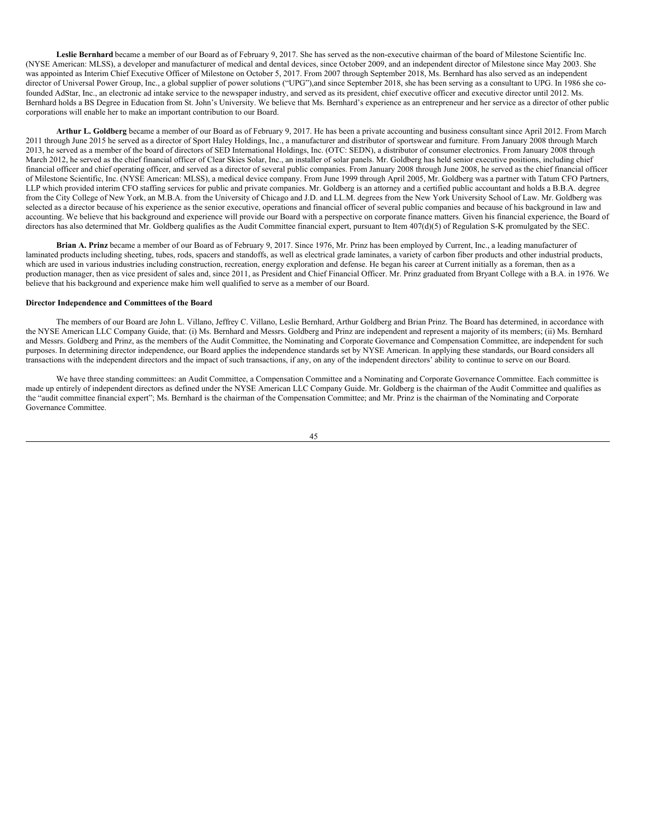**Leslie Bernhard** became a member of our Board as of February 9, 2017. She has served as the non-executive chairman of the board of Milestone Scientific Inc. (NYSE American: MLSS), a developer and manufacturer of medical and dental devices, since October 2009, and an independent director of Milestone since May 2003. She was appointed as Interim Chief Executive Officer of Milestone on October 5, 2017. From 2007 through September 2018, Ms. Bernhard has also served as an independent director of Universal Power Group, Inc., a global supplier of power solutions ("UPG"),and since September 2018, she has been serving as a consultant to UPG. In 1986 she cofounded AdStar, Inc., an electronic ad intake service to the newspaper industry, and served as its president, chief executive officer and executive director until 2012. Ms. Bernhard holds a BS Degree in Education from St. John's University. We believe that Ms. Bernhard's experience as an entrepreneur and her service as a director of other public corporations will enable her to make an important contribution to our Board.

**Arthur L. Goldberg** became a member of our Board as of February 9, 2017. He has been a private accounting and business consultant since April 2012. From March 2011 through June 2015 he served as a director of Sport Haley Holdings, Inc., a manufacturer and distributor of sportswear and furniture. From January 2008 through March 2013, he served as a member of the board of directors of SED International Holdings, Inc. (OTC: SEDN), a distributor of consumer electronics. From January 2008 through March 2012, he served as the chief financial officer of Clear Skies Solar, Inc., an installer of solar panels. Mr. Goldberg has held senior executive positions, including chief financial officer and chief operating officer, and served as a director of several public companies. From January 2008 through June 2008, he served as the chief financial officer of Milestone Scientific, Inc. (NYSE American: MLSS), a medical device company. From June 1999 through April 2005, Mr. Goldberg was a partner with Tatum CFO Partners, LLP which provided interim CFO staffing services for public and private companies. Mr. Goldberg is an attorney and a certified public accountant and holds a B.B.A. degree from the City College of New York, an M.B.A. from the University of Chicago and J.D. and LL.M. degrees from the New York University School of Law. Mr. Goldberg was selected as a director because of his experience as the senior executive, operations and financial officer of several public companies and because of his background in law and accounting. We believe that his background and experience will provide our Board with a perspective on corporate finance matters. Given his financial experience, the Board of directors has also determined that Mr. Goldberg qualifies as the Audit Committee financial expert, pursuant to Item 407(d)(5) of Regulation S-K promulgated by the SEC.

**Brian A. Prinz** became a member of our Board as of February 9, 2017. Since 1976, Mr. Prinz has been employed by Current, Inc., a leading manufacturer of laminated products including sheeting, tubes, rods, spacers and standoffs, as well as electrical grade laminates, a variety of carbon fiber products and other industrial products, which are used in various industries including construction, recreation, energy exploration and defense. He began his career at Current initially as a foreman, then as a production manager, then as vice president of sales and, since 2011, as President and Chief Financial Officer. Mr. Prinz graduated from Bryant College with a B.A. in 1976. We believe that his background and experience make him well qualified to serve as a member of our Board.

### **Director Independence and Committees of the Board**

The members of our Board are John L. Villano, Jeffrey C. Villano, Leslie Bernhard, Arthur Goldberg and Brian Prinz. The Board has determined, in accordance with the NYSE American LLC Company Guide, that: (i) Ms. Bernhard and Messrs. Goldberg and Prinz are independent and represent a majority of its members; (ii) Ms. Bernhard and Messrs. Goldberg and Prinz, as the members of the Audit Committee, the Nominating and Corporate Governance and Compensation Committee, are independent for such purposes. In determining director independence, our Board applies the independence standards set by NYSE American. In applying these standards, our Board considers all transactions with the independent directors and the impact of such transactions, if any, on any of the independent directors' ability to continue to serve on our Board.

We have three standing committees: an Audit Committee, a Compensation Committee and a Nominating and Corporate Governance Committee. Each committee is made up entirely of independent directors as defined under the NYSE American LLC Company Guide. Mr. Goldberg is the chairman of the Audit Committee and qualifies as the "audit committee financial expert"; Ms. Bernhard is the chairman of the Compensation Committee; and Mr. Prinz is the chairman of the Nominating and Corporate Governance Committee.

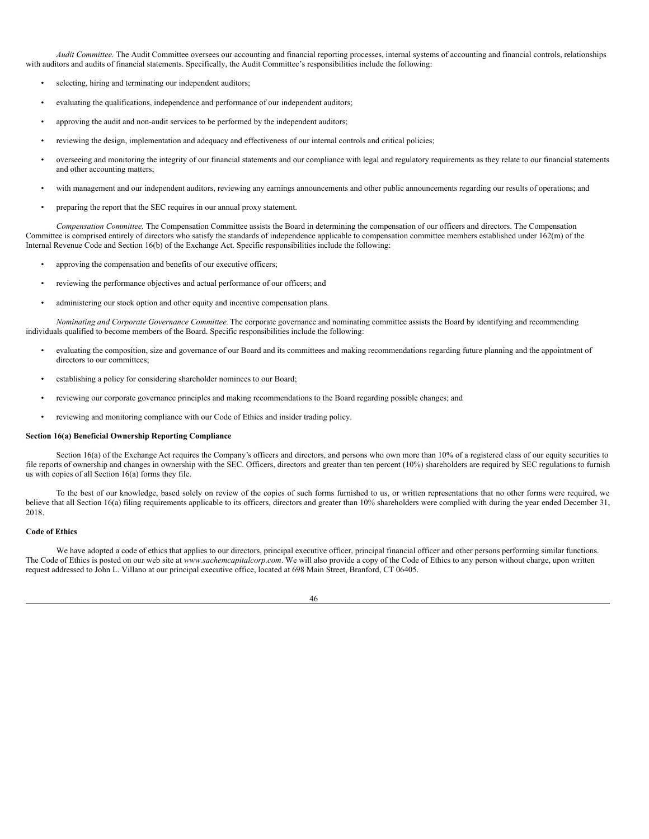*Audit Committee.* The Audit Committee oversees our accounting and financial reporting processes, internal systems of accounting and financial controls, relationships with auditors and audits of financial statements. Specifically, the Audit Committee's responsibilities include the following:

- selecting, hiring and terminating our independent auditors;
- evaluating the qualifications, independence and performance of our independent auditors;
- approving the audit and non-audit services to be performed by the independent auditors;
- reviewing the design, implementation and adequacy and effectiveness of our internal controls and critical policies;
- overseeing and monitoring the integrity of our financial statements and our compliance with legal and regulatory requirements as they relate to our financial statements and other accounting matters;
- with management and our independent auditors, reviewing any earnings announcements and other public announcements regarding our results of operations; and
- preparing the report that the SEC requires in our annual proxy statement.

*Compensation Committee.* The Compensation Committee assists the Board in determining the compensation of our officers and directors. The Compensation Committee is comprised entirely of directors who satisfy the standards of independence applicable to compensation committee members established under 162(m) of the Internal Revenue Code and Section 16(b) of the Exchange Act. Specific responsibilities include the following:

- approving the compensation and benefits of our executive officers;
- reviewing the performance objectives and actual performance of our officers; and
- administering our stock option and other equity and incentive compensation plans.

*Nominating and Corporate Governance Committee.* The corporate governance and nominating committee assists the Board by identifying and recommending individuals qualified to become members of the Board. Specific responsibilities include the following:

- evaluating the composition, size and governance of our Board and its committees and making recommendations regarding future planning and the appointment of directors to our committees;
- establishing a policy for considering shareholder nominees to our Board;
- reviewing our corporate governance principles and making recommendations to the Board regarding possible changes; and
- reviewing and monitoring compliance with our Code of Ethics and insider trading policy.

### **Section 16(a) Beneficial Ownership Reporting Compliance**

Section 16(a) of the Exchange Act requires the Company's officers and directors, and persons who own more than 10% of a registered class of our equity securities to file reports of ownership and changes in ownership with the SEC. Officers, directors and greater than ten percent (10%) shareholders are required by SEC regulations to furnish us with copies of all Section 16(a) forms they file.

To the best of our knowledge, based solely on review of the copies of such forms furnished to us, or written representations that no other forms were required, we believe that all Section 16(a) filing requirements applicable to its officers, directors and greater than 10% shareholders were complied with during the year ended December 31, 2018.

# **Code of Ethics**

We have adopted a code of ethics that applies to our directors, principal executive officer, principal financial officer and other persons performing similar functions. The Code of Ethics is posted on our web site at *www.sachemcapitalcorp.com*. We will also provide a copy of the Code of Ethics to any person without charge, upon written request addressed to John L. Villano at our principal executive office, located at 698 Main Street, Branford, CT 06405.

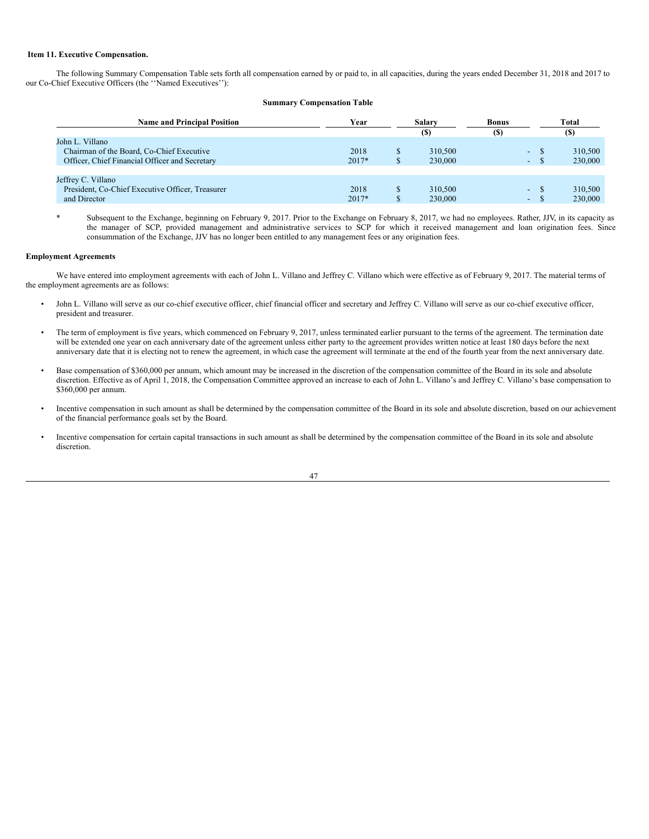### **Item 11. Executive Compensation.**

The following Summary Compensation Table sets forth all compensation earned by or paid to, in all capacities, during the years ended December 31, 2018 and 2017 to our Co-Chief Executive Officers (the ''Named Executives''):

# **Summary Compensation Table**

| <b>Name and Principal Position</b>                                                                             | Year            | Salary             | <b>Bonus</b> |                                          | Total              |
|----------------------------------------------------------------------------------------------------------------|-----------------|--------------------|--------------|------------------------------------------|--------------------|
|                                                                                                                |                 | (\$)               | <b>(\$)</b>  |                                          | <b>(\$)</b>        |
| John L. Villano<br>Chairman of the Board, Co-Chief Executive<br>Officer, Chief Financial Officer and Secretary | 2018<br>$2017*$ | 310,500<br>230,000 |              | $- S$<br><sup>\$</sup><br>$\blacksquare$ | 310,500<br>230,000 |
| Jeffrey C. Villano<br>President, Co-Chief Executive Officer, Treasurer<br>and Director                         | 2018<br>$2017*$ | 310,500<br>230,000 |              | -S<br>$\sim$<br>$\overline{\phantom{a}}$ | 310,500<br>230,000 |

\* Subsequent to the Exchange, beginning on February 9, 2017. Prior to the Exchange on February 8, 2017, we had no employees. Rather, JJV, in its capacity as the manager of SCP, provided management and administrative services to SCP for which it received management and loan origination fees. Since consummation of the Exchange, JJV has no longer been entitled to any management fees or any origination fees.

## **Employment Agreements**

We have entered into employment agreements with each of John L. Villano and Jeffrey C. Villano which were effective as of February 9, 2017. The material terms of the employment agreements are as follows:

- John L. Villano will serve as our co-chief executive officer, chief financial officer and secretary and Jeffrey C. Villano will serve as our co-chief executive officer, president and treasurer.
- The term of employment is five years, which commenced on February 9, 2017, unless terminated earlier pursuant to the terms of the agreement. The termination date will be extended one year on each anniversary date of the agreement unless either party to the agreement provides written notice at least 180 days before the next anniversary date that it is electing not to renew the agreement, in which case the agreement will terminate at the end of the fourth year from the next anniversary date.
- Base compensation of \$360,000 per annum, which amount may be increased in the discretion of the compensation committee of the Board in its sole and absolute discretion. Effective as of April 1, 2018, the Compensation Committee approved an increase to each of John L. Villano's and Jeffrey C. Villano's base compensation to \$360,000 per annum.
- Incentive compensation in such amount as shall be determined by the compensation committee of the Board in its sole and absolute discretion, based on our achievement of the financial performance goals set by the Board.
- Incentive compensation for certain capital transactions in such amount as shall be determined by the compensation committee of the Board in its sole and absolute discretion.

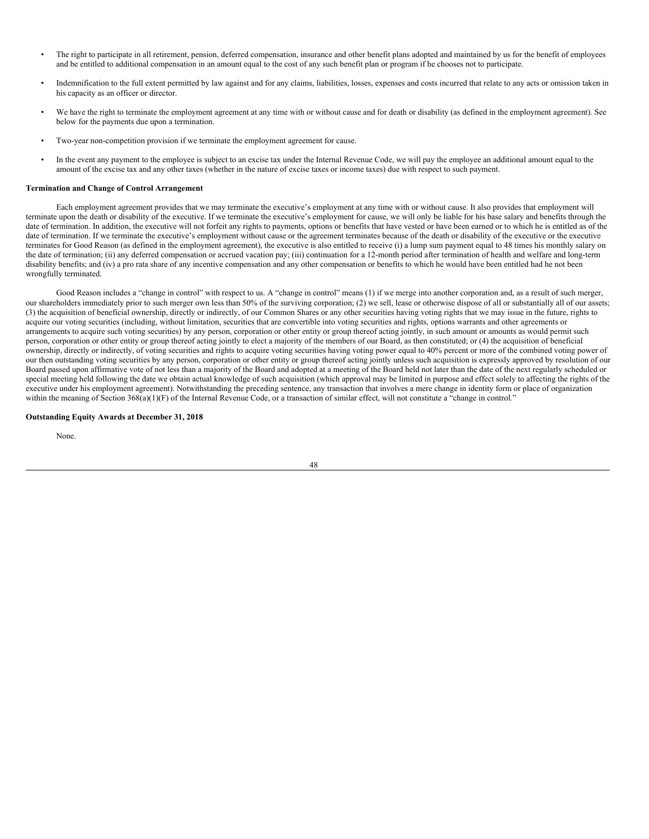- The right to participate in all retirement, pension, deferred compensation, insurance and other benefit plans adopted and maintained by us for the benefit of employees and be entitled to additional compensation in an amount equal to the cost of any such benefit plan or program if he chooses not to participate.
- Indemnification to the full extent permitted by law against and for any claims, liabilities, losses, expenses and costs incurred that relate to any acts or omission taken in his capacity as an officer or director.
- We have the right to terminate the employment agreement at any time with or without cause and for death or disability (as defined in the employment agreement). See below for the payments due upon a termination.
- Two-year non-competition provision if we terminate the employment agreement for cause.
- In the event any payment to the employee is subject to an excise tax under the Internal Revenue Code, we will pay the employee an additional amount equal to the amount of the excise tax and any other taxes (whether in the nature of excise taxes or income taxes) due with respect to such payment.

### **Termination and Change of Control Arrangement**

Each employment agreement provides that we may terminate the executive's employment at any time with or without cause. It also provides that employment will terminate upon the death or disability of the executive. If we terminate the executive's employment for cause, we will only be liable for his base salary and benefits through the date of termination. In addition, the executive will not forfeit any rights to payments, options or benefits that have vested or have been earned or to which he is entitled as of the date of termination. If we terminate the executive's employment without cause or the agreement terminates because of the death or disability of the executive or the executive terminates for Good Reason (as defined in the employment agreement), the executive is also entitled to receive (i) a lump sum payment equal to 48 times his monthly salary on the date of termination; (ii) any deferred compensation or accrued vacation pay; (iii) continuation for a 12-month period after termination of health and welfare and long-term disability benefits; and (iv) a pro rata share of any incentive compensation and any other compensation or benefits to which he would have been entitled had he not been wrongfully terminated.

Good Reason includes a "change in control" with respect to us. A "change in control" means (1) if we merge into another corporation and, as a result of such merger, our shareholders immediately prior to such merger own less than 50% of the surviving corporation; (2) we sell, lease or otherwise dispose of all or substantially all of our assets; (3) the acquisition of beneficial ownership, directly or indirectly, of our Common Shares or any other securities having voting rights that we may issue in the future, rights to acquire our voting securities (including, without limitation, securities that are convertible into voting securities and rights, options warrants and other agreements or arrangements to acquire such voting securities) by any person, corporation or other entity or group thereof acting jointly, in such amount or amounts as would permit such person, corporation or other entity or group thereof acting jointly to elect a majority of the members of our Board, as then constituted; or (4) the acquisition of beneficial ownership, directly or indirectly, of voting securities and rights to acquire voting securities having voting power equal to 40% percent or more of the combined voting power of our then outstanding voting securities by any person, corporation or other entity or group thereof acting jointly unless such acquisition is expressly approved by resolution of our Board passed upon affirmative vote of not less than a majority of the Board and adopted at a meeting of the Board held not later than the date of the next regularly scheduled or special meeting held following the date we obtain actual knowledge of such acquisition (which approval may be limited in purpose and effect solely to affecting the rights of the executive under his employment agreement). Notwithstanding the preceding sentence, any transaction that involves a mere change in identity form or place of organization within the meaning of Section 368(a)(1)(F) of the Internal Revenue Code, or a transaction of similar effect, will not constitute a "change in control."

### **Outstanding Equity Awards at December 31, 2018**

None.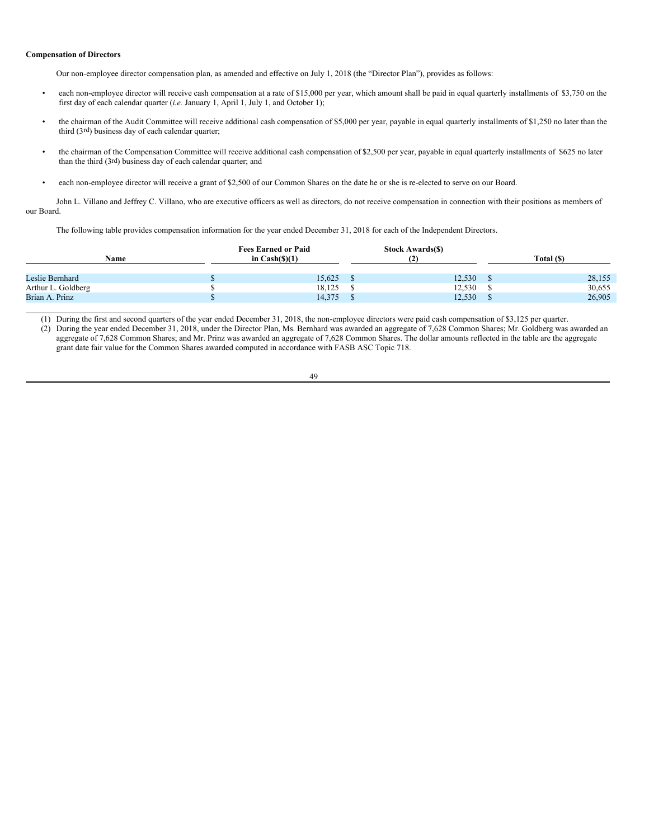#### **Compensation of Directors**

Our non-employee director compensation plan, as amended and effective on July 1, 2018 (the "Director Plan"), provides as follows:

- each non-employee director will receive cash compensation at a rate of \$15,000 per year, which amount shall be paid in equal quarterly installments of \$3,750 on the first day of each calendar quarter (*i.e.* January 1, April 1, July 1, and October 1);
- the chairman of the Audit Committee will receive additional cash compensation of \$5,000 per year, payable in equal quarterly installments of \$1,250 no later than the third (3rd) business day of each calendar quarter;
- the chairman of the Compensation Committee will receive additional cash compensation of \$2,500 per year, payable in equal quarterly installments of \$625 no later than the third (3rd) business day of each calendar quarter; and
- each non-employee director will receive a grant of \$2,500 of our Common Shares on the date he or she is re-elected to serve on our Board.

John L. Villano and Jeffrey C. Villano, who are executive officers as well as directors, do not receive compensation in connection with their positions as members of our Board.

The following table provides compensation information for the year ended December 31, 2018 for each of the Independent Directors.

|                    | Name | <b>Fees Earned or Paid</b><br>in $Cash(\$)(1)$ |        | <b>Stock Awards(\$)</b> |        | Total (\$) |        |
|--------------------|------|------------------------------------------------|--------|-------------------------|--------|------------|--------|
| Leslie Bernhard    |      |                                                | 15,625 |                         | 12.530 |            | 28,155 |
| Arthur L. Goldberg |      |                                                | 18,125 |                         | 12,530 |            | 30,655 |
| Brian A. Prinz     |      |                                                | 14,375 |                         | 12,530 |            | 26,905 |

(1) During the first and second quarters of the year ended December 31, 2018, the non-employee directors were paid cash compensation of \$3,125 per quarter.

(2) During the year ended December 31, 2018, under the Director Plan, Ms. Bernhard was awarded an aggregate of 7,628 Common Shares; Mr. Goldberg was awarded an aggregate of 7,628 Common Shares; and Mr. Prinz was awarded an aggregate of 7,628 Common Shares. The dollar amounts reflected in the table are the aggregate grant date fair value for the Common Shares awarded computed in accordance with FASB ASC Topic 718.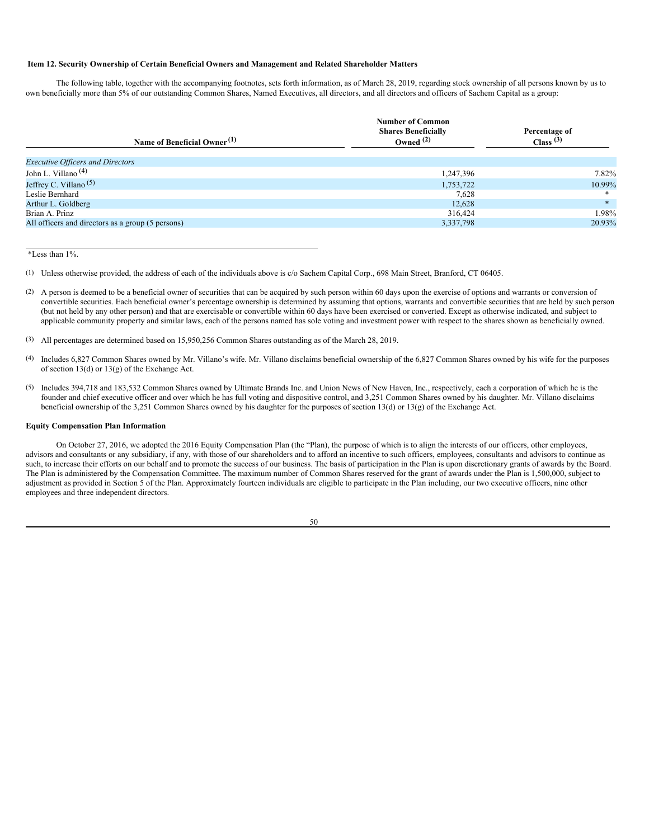### **Item 12. Security Ownership of Certain Beneficial Owners and Management and Related Shareholder Matters**

The following table, together with the accompanying footnotes, sets forth information, as of March 28, 2019, regarding stock ownership of all persons known by us to own beneficially more than 5% of our outstanding Common Shares, Named Executives, all directors, and all directors and officers of Sachem Capital as a group:

|                                                   | <b>Number of Common</b><br><b>Shares Beneficially</b> | Percentage of |
|---------------------------------------------------|-------------------------------------------------------|---------------|
| Name of Beneficial Owner <sup>(1)</sup>           | Owned $(2)$                                           | Class $(3)$   |
| <b>Executive Officers and Directors</b>           |                                                       |               |
| John L. Villano <sup><math>(4)</math></sup>       | 1,247,396                                             | 7.82%         |
| Jeffrey C. Villano <sup>(5)</sup>                 | 1,753,722                                             | 10.99%        |
| Leslie Bernhard                                   | 7,628                                                 |               |
| Arthur L. Goldberg                                | 12.628                                                |               |
| Brian A. Prinz                                    | 316,424                                               | 1.98%         |
| All officers and directors as a group (5 persons) | 3,337,798                                             | 20.93%        |

\*Less than 1%.

(1) Unless otherwise provided, the address of each of the individuals above is c/o Sachem Capital Corp., 698 Main Street, Branford, CT 06405.

- (2) A person is deemed to be a beneficial owner of securities that can be acquired by such person within 60 days upon the exercise of options and warrants or conversion of convertible securities. Each beneficial owner's percentage ownership is determined by assuming that options, warrants and convertible securities that are held by such person (but not held by any other person) and that are exercisable or convertible within 60 days have been exercised or converted. Except as otherwise indicated, and subject to applicable community property and similar laws, each of the persons named has sole voting and investment power with respect to the shares shown as beneficially owned.
- (3) All percentages are determined based on 15,950,256 Common Shares outstanding as of the March 28, 2019.
- (4) Includes 6,827 Common Shares owned by Mr. Villano's wife. Mr. Villano disclaims beneficial ownership of the 6,827 Common Shares owned by his wife for the purposes of section 13(d) or 13(g) of the Exchange Act.
- (5) Includes 394,718 and 183,532 Common Shares owned by Ultimate Brands Inc. and Union News of New Haven, Inc., respectively, each a corporation of which he is the founder and chief executive officer and over which he has full voting and dispositive control, and 3,251 Common Shares owned by his daughter. Mr. Villano disclaims beneficial ownership of the 3,251 Common Shares owned by his daughter for the purposes of section 13(d) or 13(g) of the Exchange Act.

#### **Equity Compensation Plan Information**

On October 27, 2016, we adopted the 2016 Equity Compensation Plan (the "Plan), the purpose of which is to align the interests of our officers, other employees, advisors and consultants or any subsidiary, if any, with those of our shareholders and to afford an incentive to such officers, employees, consultants and advisors to continue as such, to increase their efforts on our behalf and to promote the success of our business. The basis of participation in the Plan is upon discretionary grants of awards by the Board. The Plan is administered by the Compensation Committee. The maximum number of Common Shares reserved for the grant of awards under the Plan is 1,500,000, subject to adjustment as provided in Section 5 of the Plan. Approximately fourteen individuals are eligible to participate in the Plan including, our two executive officers, nine other employees and three independent directors.

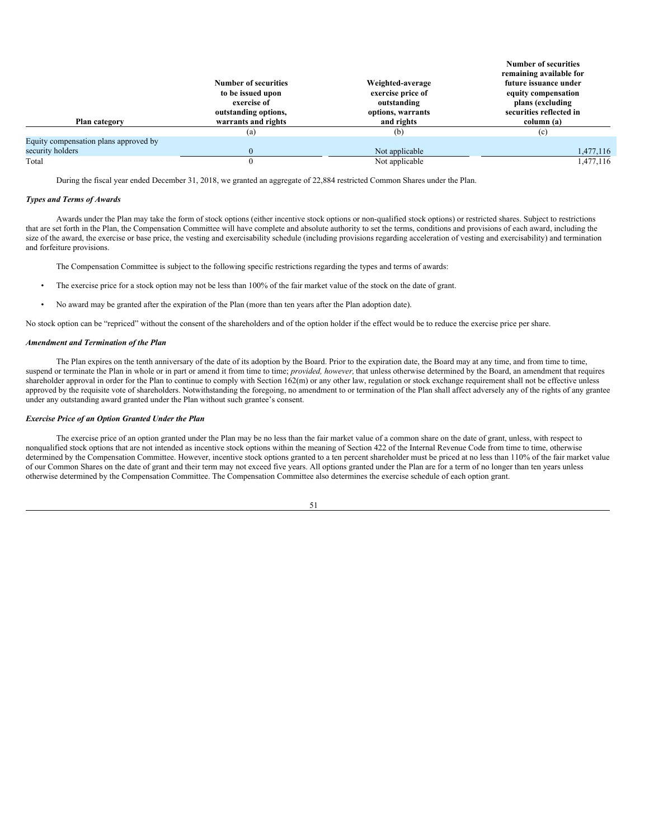|                                       |                                                                                                                |                                                                                         | <b>Number of securities</b><br>remaining available for                                                    |
|---------------------------------------|----------------------------------------------------------------------------------------------------------------|-----------------------------------------------------------------------------------------|-----------------------------------------------------------------------------------------------------------|
| Plan category                         | <b>Number of securities</b><br>to be issued upon<br>exercise of<br>outstanding options,<br>warrants and rights | Weighted-average<br>exercise price of<br>outstanding<br>options, warrants<br>and rights | future issuance under<br>equity compensation<br>plans (excluding<br>securities reflected in<br>column (a) |
|                                       | (a)                                                                                                            | (b)                                                                                     | (c)                                                                                                       |
| Equity compensation plans approved by |                                                                                                                |                                                                                         |                                                                                                           |
| security holders                      | $\Omega$                                                                                                       | Not applicable                                                                          | 1,477,116                                                                                                 |
| Total                                 |                                                                                                                | Not applicable                                                                          | 1,477,116                                                                                                 |

During the fiscal year ended December 31, 2018, we granted an aggregate of 22,884 restricted Common Shares under the Plan.

#### *Types and Terms of Awards*

Awards under the Plan may take the form of stock options (either incentive stock options or non-qualified stock options) or restricted shares. Subject to restrictions that are set forth in the Plan, the Compensation Committee will have complete and absolute authority to set the terms, conditions and provisions of each award, including the size of the award, the exercise or base price, the vesting and exercisability schedule (including provisions regarding acceleration of vesting and exercisability) and termination and forfeiture provisions.

The Compensation Committee is subject to the following specific restrictions regarding the types and terms of awards:

- The exercise price for a stock option may not be less than 100% of the fair market value of the stock on the date of grant.
- No award may be granted after the expiration of the Plan (more than ten years after the Plan adoption date).

No stock option can be "repriced" without the consent of the shareholders and of the option holder if the effect would be to reduce the exercise price per share.

### *Amendment and Termination of the Plan*

The Plan expires on the tenth anniversary of the date of its adoption by the Board. Prior to the expiration date, the Board may at any time, and from time to time, suspend or terminate the Plan in whole or in part or amend it from time to time; *provided, however,* that unless otherwise determined by the Board, an amendment that requires shareholder approval in order for the Plan to continue to comply with Section  $162(m)$  or any other law, regulation or stock exchange requirement shall not be effective unless approved by the requisite vote of shareholders. Notwithstanding the foregoing, no amendment to or termination of the Plan shall affect adversely any of the rights of any grantee under any outstanding award granted under the Plan without such grantee's consent.

### *Exercise Price of an Option Granted Under the Plan*

The exercise price of an option granted under the Plan may be no less than the fair market value of a common share on the date of grant, unless, with respect to nonqualified stock options that are not intended as incentive stock options within the meaning of Section 422 of the Internal Revenue Code from time to time, otherwise determined by the Compensation Committee. However, incentive stock options granted to a ten percent shareholder must be priced at no less than 110% of the fair market value of our Common Shares on the date of grant and their term may not exceed five years. All options granted under the Plan are for a term of no longer than ten years unless otherwise determined by the Compensation Committee. The Compensation Committee also determines the exercise schedule of each option grant.

| ۰.<br>i |  |
|---------|--|
|         |  |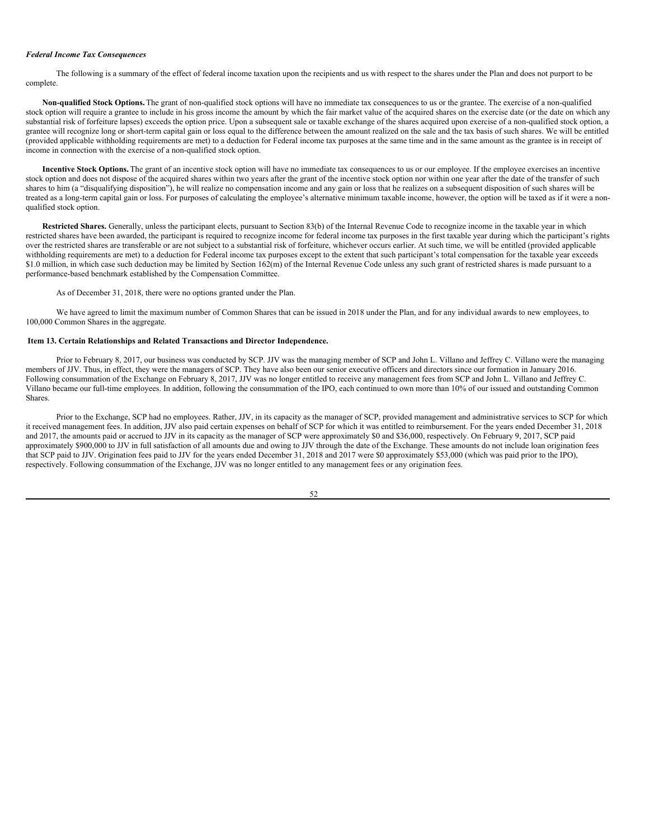### *Federal Income Tax Consequences*

The following is a summary of the effect of federal income taxation upon the recipients and us with respect to the shares under the Plan and does not purport to be complete.

**Non-qualified Stock Options.**The grant of non-qualified stock options will have no immediate tax consequences to us or the grantee. The exercise of a non-qualified stock option will require a grantee to include in his gross income the amount by which the fair market value of the acquired shares on the exercise date (or the date on which any substantial risk of forfeiture lapses) exceeds the option price. Upon a subsequent sale or taxable exchange of the shares acquired upon exercise of a non-qualified stock option, a grantee will recognize long or short-term capital gain or loss equal to the difference between the amount realized on the sale and the tax basis of such shares. We will be entitled (provided applicable withholding requirements are met) to a deduction for Federal income tax purposes at the same time and in the same amount as the grantee is in receipt of income in connection with the exercise of a non-qualified stock option.

**Incentive Stock Options.** The grant of an incentive stock option will have no immediate tax consequences to us or our employee. If the employee exercises an incentive stock option and does not dispose of the acquired shares within two years after the grant of the incentive stock option nor within one year after the date of the transfer of such shares to him (a "disqualifying disposition"), he will realize no compensation income and any gain or loss that he realizes on a subsequent disposition of such shares will be treated as a long-term capital gain or loss. For purposes of calculating the employee's alternative minimum taxable income, however, the option will be taxed as if it were a nonqualified stock option.

**Restricted Shares.** Generally, unless the participant elects, pursuant to Section 83(b) of the Internal Revenue Code to recognize income in the taxable year in which restricted shares have been awarded, the participant is required to recognize income for federal income tax purposes in the first taxable year during which the participant's rights over the restricted shares are transferable or are not subject to a substantial risk of forfeiture, whichever occurs earlier. At such time, we will be entitled (provided applicable withholding requirements are met) to a deduction for Federal income tax purposes except to the extent that such participant's total compensation for the taxable year exceeds \$1.0 million, in which case such deduction may be limited by Section  $162(m)$  of the Internal Revenue Code unless any such grant of restricted shares is made pursuant to a performance-based benchmark established by the Compensation Committee.

#### As of December 31, 2018, there were no options granted under the Plan.

We have agreed to limit the maximum number of Common Shares that can be issued in 2018 under the Plan, and for any individual awards to new employees, to 100,000 Common Shares in the aggregate.

#### **Item 13. Certain Relationships and Related Transactions and Director Independence.**

Prior to February 8, 2017, our business was conducted by SCP. JJV was the managing member of SCP and John L. Villano and Jeffrey C. Villano were the managing members of JJV. Thus, in effect, they were the managers of SCP. They have also been our senior executive officers and directors since our formation in January 2016. Following consummation of the Exchange on February 8, 2017, JJV was no longer entitled to receive any management fees from SCP and John L. Villano and Jeffrey C. Villano became our full-time employees. In addition, following the consummation of the IPO, each continued to own more than 10% of our issued and outstanding Common Shares.

Prior to the Exchange, SCP had no employees. Rather, JJV, in its capacity as the manager of SCP, provided management and administrative services to SCP for which it received management fees. In addition, JJV also paid certain expenses on behalf of SCP for which it was entitled to reimbursement. For the years ended December 31, 2018 and 2017, the amounts paid or accrued to JJV in its capacity as the manager of SCP were approximately \$0 and \$36,000, respectively. On February 9, 2017, SCP paid approximately \$900,000 to JJV in full satisfaction of all amounts due and owing to JJV through the date of the Exchange. These amounts do not include loan origination fees that SCP paid to JJV. Origination fees paid to JJV for the years ended December 31, 2018 and 2017 were \$0 approximately \$53,000 (which was paid prior to the IPO), respectively. Following consummation of the Exchange, JJV was no longer entitled to any management fees or any origination fees.

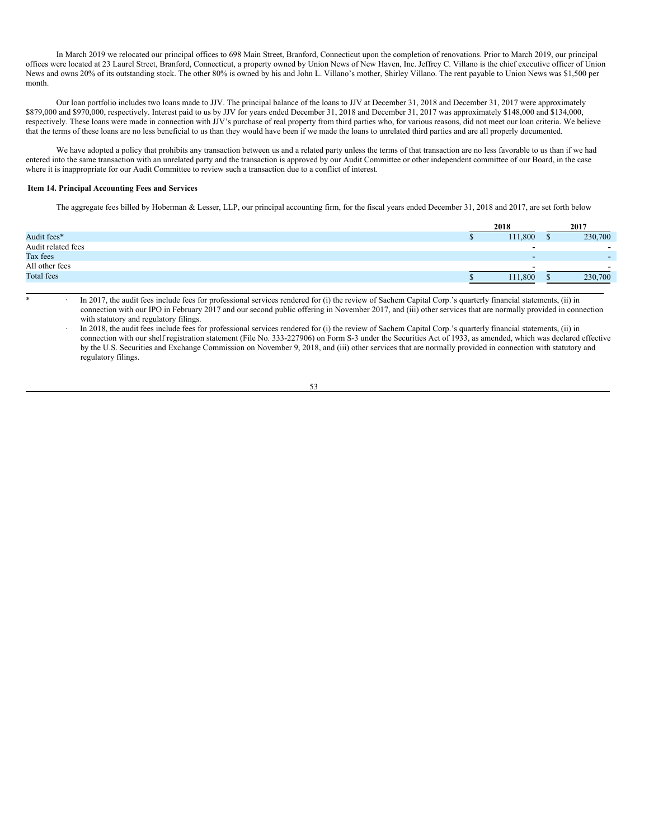In March 2019 we relocated our principal offices to 698 Main Street, Branford, Connecticut upon the completion of renovations. Prior to March 2019, our principal offices were located at 23 Laurel Street, Branford, Connecticut, a property owned by Union News of New Haven, Inc. Jeffrey C. Villano is the chief executive officer of Union News and owns 20% of its outstanding stock. The other 80% is owned by his and John L. Villano's mother, Shirley Villano. The rent payable to Union News was \$1,500 per month.

Our loan portfolio includes two loans made to JJV. The principal balance of the loans to JJV at December 31, 2018 and December 31, 2017 were approximately \$879,000 and \$970,000, respectively. Interest paid to us by JJV for years ended December 31, 2018 and December 31, 2017 was approximately \$148,000 and \$134,000, respectively. These loans were made in connection with JJV's purchase of real property from third parties who, for various reasons, did not meet our loan criteria. We believe that the terms of these loans are no less beneficial to us than they would have been if we made the loans to unrelated third parties and are all properly documented.

We have adopted a policy that prohibits any transaction between us and a related party unless the terms of that transaction are no less favorable to us than if we had entered into the same transaction with an unrelated party and the transaction is approved by our Audit Committee or other independent committee of our Board, in the case where it is inappropriate for our Audit Committee to review such a transaction due to a conflict of interest.

### **Item 14. Principal Accounting Fees and Services**

The aggregate fees billed by Hoberman & Lesser, LLP, our principal accounting firm, for the fiscal years ended December 31, 2018 and 2017, are set forth below**.**

|                    | 2018                     | 2017    |
|--------------------|--------------------------|---------|
| Audit fees*        | 111,800                  | 230,700 |
| Audit related fees | $\overline{\phantom{0}}$ |         |
| Tax fees           | $\overline{\phantom{0}}$ |         |
| All other fees     |                          |         |
| Total fees         | 111,800                  | 230,700 |
|                    |                          |         |

In 2017, the audit fees include fees for professional services rendered for (i) the review of Sachem Capital Corp.'s quarterly financial statements, (ii) in connection with our IPO in February 2017 and our second public offering in November 2017, and (iii) other services that are normally provided in connection with statutory and regulatory filings.

In 2018, the audit fees include fees for professional services rendered for (i) the review of Sachem Capital Corp.'s quarterly financial statements, (ii) in connection with our shelf registration statement (File No. 333-227906) on Form S-3 under the Securities Act of 1933, as amended, which was declared effective by the U.S. Securities and Exchange Commission on November 9, 2018, and (iii) other services that are normally provided in connection with statutory and regulatory filings.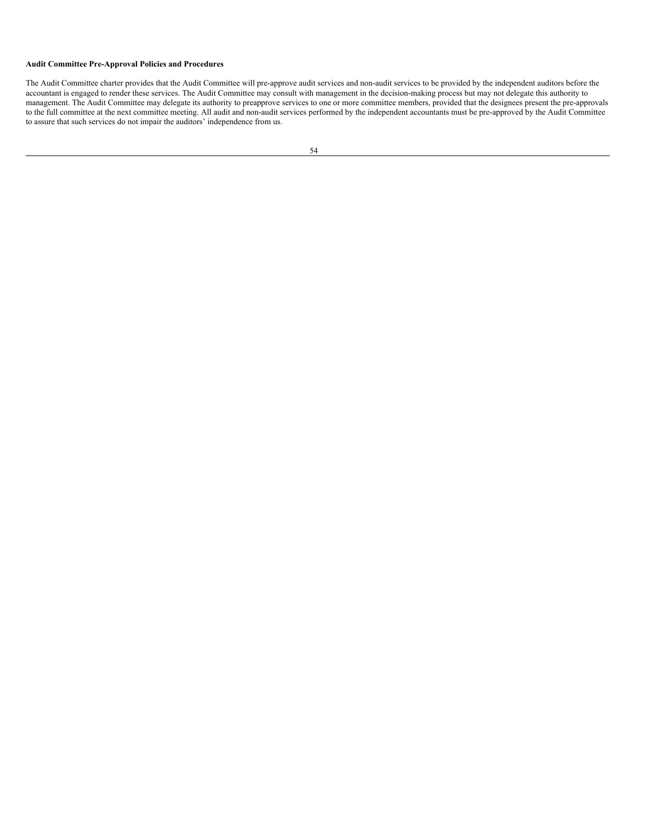# **Audit Committee Pre-Approval Policies and Procedures**

The Audit Committee charter provides that the Audit Committee will pre-approve audit services and non-audit services to be provided by the independent auditors before the accountant is engaged to render these services. The Audit Committee may consult with management in the decision-making process but may not delegate this authority to management. The Audit Committee may delegate its authority to preapprove services to one or more committee members, provided that the designees present the pre-approvals to the full committee at the next committee meeting. All audit and non-audit services performed by the independent accountants must be pre-approved by the Audit Committee to assure that such services do not impair the auditors' independence from us.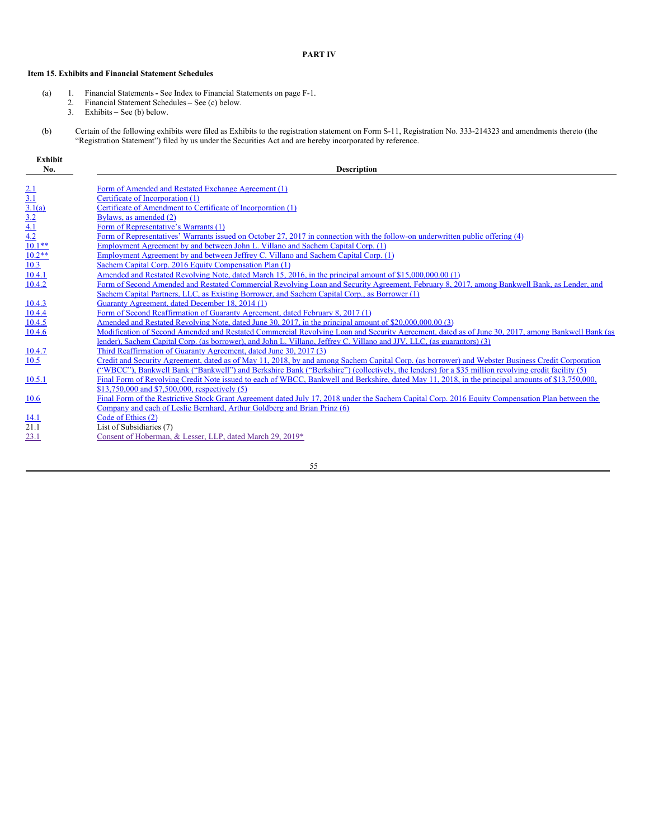# **PART IV**

# **Item 15. Exhibits and Financial Statement Schedules**

- (a) 1. Financial Statements**-** See Index to Financial Statements on page F-1.
	- 2. Financial Statement Schedules **–** See (c) below.
	- 3. Exhibits **–** See (b) below.
- (b) Certain of the following exhibits were filed as Exhibits to the registration statement on Form S-11, Registration No. 333-214323 and amendments thereto (the "Registration Statement") filed by us under the Securities Act and are hereby incorporated by reference.

| <b>Exhibit</b><br>No.                                                          | <b>Description</b>                                                                                                                                 |
|--------------------------------------------------------------------------------|----------------------------------------------------------------------------------------------------------------------------------------------------|
|                                                                                | Form of Amended and Restated Exchange Agreement (1)                                                                                                |
|                                                                                | Certificate of Incorporation (1)                                                                                                                   |
|                                                                                | Certificate of Amendment to Certificate of Incorporation (1)                                                                                       |
|                                                                                | Bylaws, as amended (2)                                                                                                                             |
|                                                                                | Form of Representative's Warrants (1)                                                                                                              |
|                                                                                | Form of Representatives' Warrants issued on October 27, 2017 in connection with the follow-on underwritten public offering (4)                     |
|                                                                                | Employment Agreement by and between John L. Villano and Sachem Capital Corp. (1)                                                                   |
| $\frac{2.1}{3.1}$ $\frac{3.1}{3.2}$ $\frac{4.1}{10.1**}$ $\frac{10.2**}{10.3}$ | Employment Agreement by and between Jeffrey C. Villano and Sachem Capital Corp. (1)                                                                |
|                                                                                | Sachem Capital Corp. 2016 Equity Compensation Plan (1)                                                                                             |
| 10.4.1                                                                         | Amended and Restated Revolving Note, dated March 15, 2016, in the principal amount of \$15,000,000.00 (1)                                          |
| 10.4.2                                                                         | Form of Second Amended and Restated Commercial Revolving Loan and Security Agreement, February 8, 2017, among Bankwell Bank, as Lender, and        |
|                                                                                | Sachem Capital Partners, LLC, as Existing Borrower, and Sachem Capital Corp., as Borrower (1)                                                      |
|                                                                                | Guaranty Agreement, dated December 18, 2014 (1)                                                                                                    |
| $\frac{10.4.3}{10.4.4}$                                                        | Form of Second Reaffirmation of Guaranty Agreement, dated February 8, 2017 (1)                                                                     |
| 10.4.5                                                                         | Amended and Restated Revolving Note, dated June 30, 2017, in the principal amount of \$20,000,000.00 (3)                                           |
| 10.4.6                                                                         | Modification of Second Amended and Restated Commercial Revolving Loan and Security Agreement, dated as of June 30, 2017, among Bankwell Bank (as   |
|                                                                                | lender), Sachem Capital Corp. (as borrower), and John L. Villano, Jeffrey C. Villano and JJV, LLC, (as guarantors) (3)                             |
| <u>10.4.7</u>                                                                  | Third Reaffirmation of Guaranty Agreement, dated June 30, 2017 (3)                                                                                 |
| 10.5                                                                           | Credit and Security Agreement, dated as of May 11, 2018, by and among Sachem Capital Corp. (as borrower) and Webster Business Credit Corporation   |
|                                                                                | ("WBCC"), Bankwell Bank ("Bankwell") and Berkshire Bank ("Berkshire") (collectively, the lenders) for a \$35 million revolving credit facility (5) |
| 10.5.1                                                                         | Final Form of Revolving Credit Note issued to each of WBCC, Bankwell and Berkshire, dated May 11, 2018, in the principal amounts of \$13,750,000.  |
|                                                                                | \$13,750,000 and \$7,500,000, respectively (5)                                                                                                     |
| 10.6                                                                           | Final Form of the Restrictive Stock Grant Agreement dated July 17, 2018 under the Sachem Capital Corp. 2016 Equity Compensation Plan between the   |
|                                                                                | Company and each of Leslie Bernhard, Arthur Goldberg and Brian Prinz (6)                                                                           |
| $\frac{14.1}{21.1}$                                                            | Code of Ethics (2)                                                                                                                                 |
|                                                                                | List of Subsidiaries (7)                                                                                                                           |
| 23.1                                                                           | Consent of Hoberman, & Lesser, LLP, dated March 29, 2019*                                                                                          |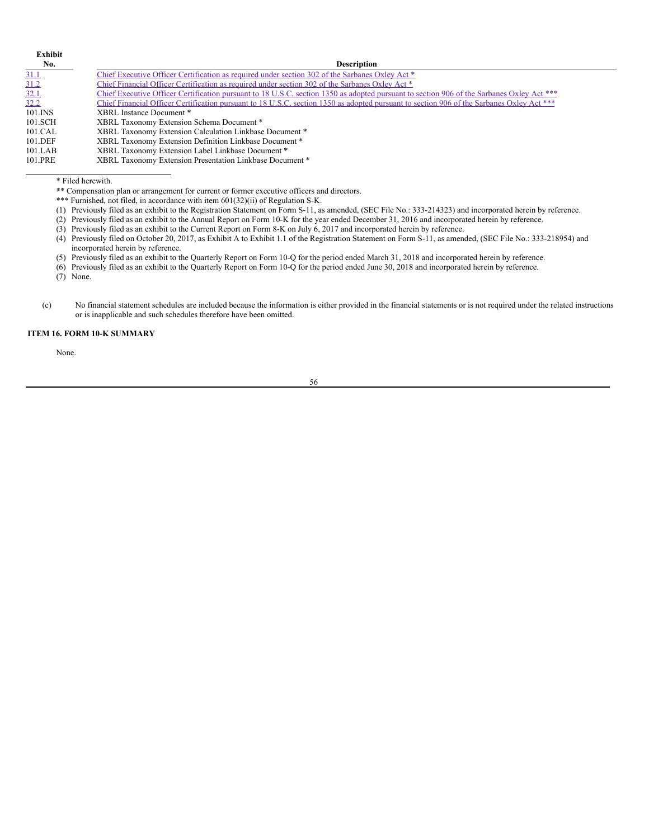| Exhibit |                                                                                                                                                      |
|---------|------------------------------------------------------------------------------------------------------------------------------------------------------|
| No.     | <b>Description</b>                                                                                                                                   |
| 31.1    | Chief Executive Officer Certification as required under section 302 of the Sarbanes Oxley Act *                                                      |
| 31.2    | Chief Financial Officer Certification as required under section 302 of the Sarbanes Oxley Act *                                                      |
| 32.1    | Chief Executive Officer Certification pursuant to 18 U.S.C. section 1350 as adopted pursuant to section 906 of the Sarbanes Oxley Act <sup>***</sup> |
| 32.2    | Chief Financial Officer Certification pursuant to 18 U.S.C. section 1350 as adopted pursuant to section 906 of the Sarbanes Oxley Act <sup>***</sup> |
| 101.INS | XBRL Instance Document *                                                                                                                             |
| 101.SCH | XBRL Taxonomy Extension Schema Document *                                                                                                            |
| 101.CAL | XBRL Taxonomy Extension Calculation Linkbase Document *                                                                                              |
| 101.DEF | XBRL Taxonomy Extension Definition Linkbase Document *                                                                                               |
| 101.LAB | XBRL Taxonomy Extension Label Linkbase Document*                                                                                                     |
|         |                                                                                                                                                      |

101.PRE XBRL Taxonomy Extension Presentation Linkbase Document \*

\* Filed herewith.

\*\* Compensation plan or arrangement for current or former executive officers and directors.

\*\*\* Furnished, not filed, in accordance with item 601(32)(ii) of Regulation S-K.

(1) Previously filed as an exhibit to the Registration Statement on Form S-11, as amended, (SEC File No.: 333-214323) and incorporated herein by reference.

(2) Previously filed as an exhibit to the Annual Report on Form 10-K for the year ended December 31, 2016 and incorporated herein by reference.

(3) Previously filed as an exhibit to the Current Report on Form 8-K on July 6, 2017 and incorporated herein by reference.

(4) Previously filed on October 20, 2017, as Exhibit A to Exhibit 1.1 of the Registration Statement on Form S-11, as amended, (SEC File No.: 333-218954) and incorporated herein by reference.

(5) Previously filed as an exhibit to the Quarterly Report on Form 10-Q for the period ended March 31, 2018 and incorporated herein by reference.

(6) Previously filed as an exhibit to the Quarterly Report on Form 10-Q for the period ended June 30, 2018 and incorporated herein by reference.

(7) None.

(c) No financial statement schedules are included because the information is either provided in the financial statements or is not required under the related instructions or is inapplicable and such schedules therefore have been omitted.

# **ITEM 16. FORM 10-K SUMMARY**

None.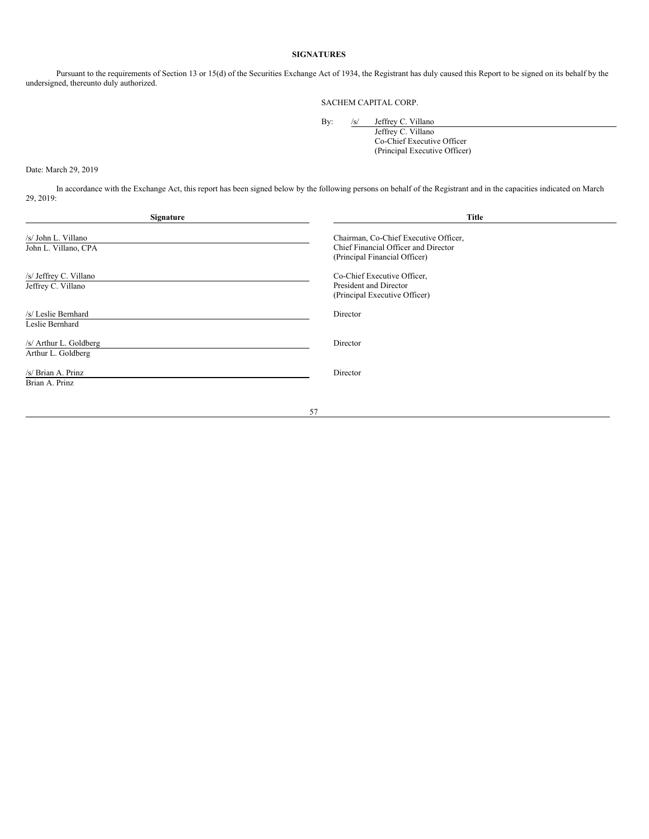# **SIGNATURES**

Pursuant to the requirements of Section 13 or 15(d) of the Securities Exchange Act of 1934, the Registrant has duly caused this Report to be signed on its behalf by the undersigned, thereunto duly authorized.

SACHEM CAPITAL CORP.

By: /s/ Jeffrey C. Villano

Jeffrey C. Villano Co-Chief Executive Officer (Principal Executive Officer)

Date: March 29, 2019

In accordance with the Exchange Act, this report has been signed below by the following persons on behalf of the Registrant and in the capacities indicated on March 29, 2019:

| Signature                                    | <b>Title</b>                                                                                                   |  |
|----------------------------------------------|----------------------------------------------------------------------------------------------------------------|--|
| /s/ John L. Villano<br>John L. Villano, CPA  | Chairman, Co-Chief Executive Officer,<br>Chief Financial Officer and Director<br>(Principal Financial Officer) |  |
| /s/ Jeffrey C. Villano<br>Jeffrey C. Villano | Co-Chief Executive Officer,<br>President and Director<br>(Principal Executive Officer)                         |  |
| /s/ Leslie Bernhard<br>Leslie Bernhard       | Director                                                                                                       |  |
| /s/ Arthur L. Goldberg<br>Arthur L. Goldberg | Director                                                                                                       |  |
| /s/ Brian A. Prinz<br>Brian A. Prinz         | Director                                                                                                       |  |
|                                              | 57                                                                                                             |  |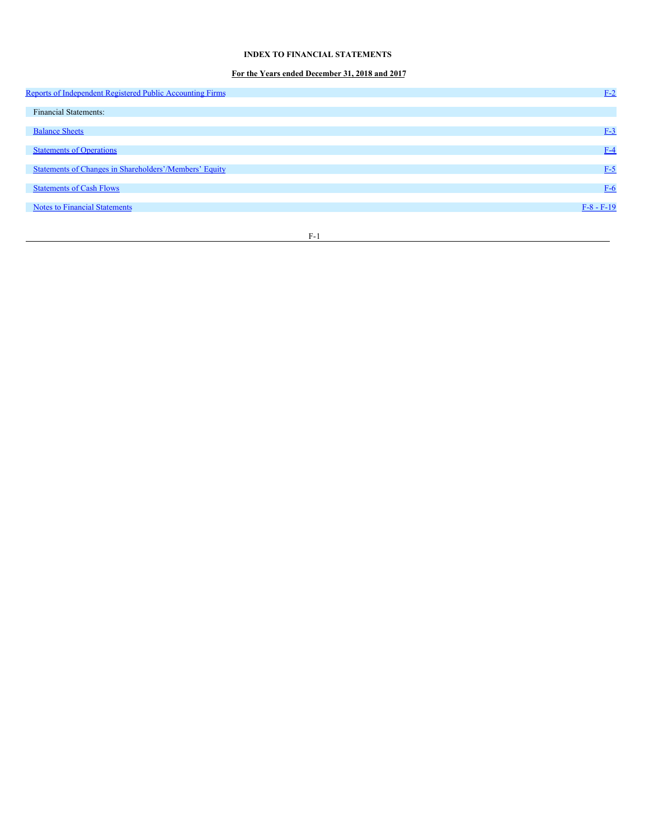# **INDEX TO FINANCIAL STATEMENTS**

# **For the Years ended December 31, 2018 and 2017**

| Reports of Independent Registered Public Accounting Firms | $F-2$        |
|-----------------------------------------------------------|--------------|
| <b>Financial Statements:</b>                              |              |
|                                                           |              |
| <b>Balance Sheets</b>                                     | $F-3$        |
| <b>Statements of Operations</b>                           | $F-4$        |
|                                                           |              |
| Statements of Changes in Shareholders'/Members' Equity    | $F-5$        |
| <b>Statements of Cash Flows</b>                           | $F-6$        |
| <b>Notes to Financial Statements</b>                      | $F-8 - F-19$ |
|                                                           |              |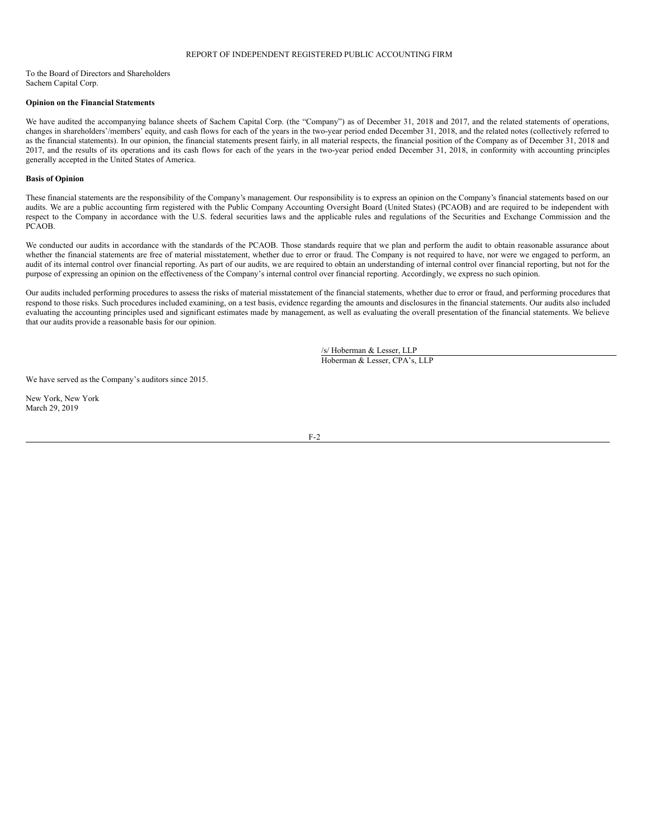### <span id="page-61-0"></span>REPORT OF INDEPENDENT REGISTERED PUBLIC ACCOUNTING FIRM

To the Board of Directors and Shareholders Sachem Capital Corp.

### **Opinion on the Financial Statements**

We have audited the accompanying balance sheets of Sachem Capital Corp. (the "Company") as of December 31, 2018 and 2017, and the related statements of operations, changes in shareholders'/members' equity, and cash flows for each of the years in the two-year period ended December 31, 2018, and the related notes (collectively referred to as the financial statements). In our opinion, the financial statements present fairly, in all material respects, the financial position of the Company as of December 31, 2018 and 2017, and the results of its operations and its cash flows for each of the years in the two-year period ended December 31, 2018, in conformity with accounting principles generally accepted in the United States of America.

### **Basis of Opinion**

These financial statements are the responsibility of the Company's management. Our responsibility is to express an opinion on the Company's financial statements based on our audits. We are a public accounting firm registered with the Public Company Accounting Oversight Board (United States) (PCAOB) and are required to be independent with respect to the Company in accordance with the U.S. federal securities laws and the applicable rules and regulations of the Securities and Exchange Commission and the PCAOB.

We conducted our audits in accordance with the standards of the PCAOB. Those standards require that we plan and perform the audit to obtain reasonable assurance about whether the financial statements are free of material misstatement, whether due to error or fraud. The Company is not required to have, nor were we engaged to perform, an audit of its internal control over financial reporting. As part of our audits, we are required to obtain an understanding of internal control over financial reporting, but not for the purpose of expressing an opinion on the effectiveness of the Company's internal control over financial reporting. Accordingly, we express no such opinion.

Our audits included performing procedures to assess the risks of material misstatement of the financial statements, whether due to error or fraud, and performing procedures that respond to those risks. Such procedures included examining, on a test basis, evidence regarding the amounts and disclosures in the financial statements. Our audits also included evaluating the accounting principles used and significant estimates made by management, as well as evaluating the overall presentation of the financial statements. We believe that our audits provide a reasonable basis for our opinion.

> /s/ Hoberman & Lesser, LLP Hoberman & Lesser, CPA's, LLP

We have served as the Company's auditors since 2015.

New York, New York March 29, 2019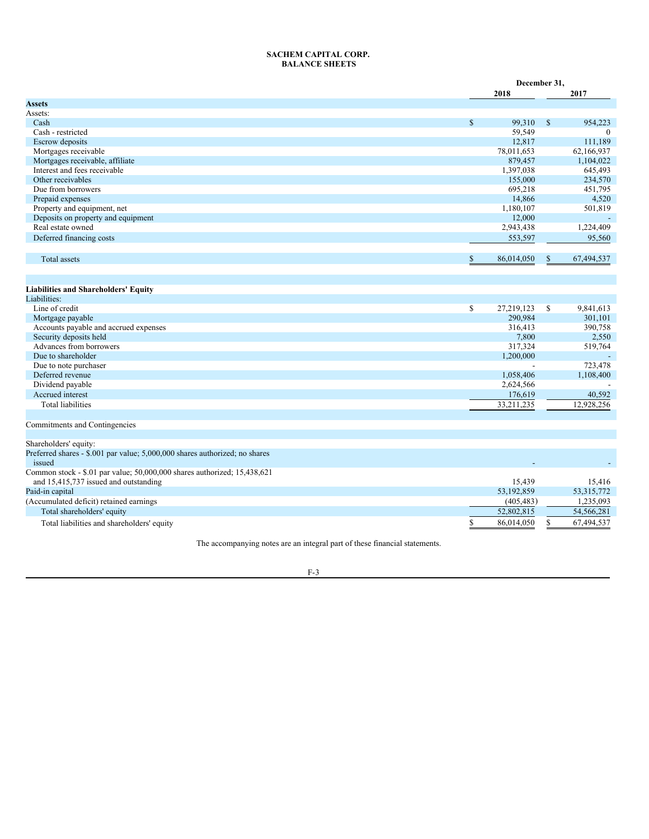# <span id="page-62-0"></span>**SACHEM CAPITAL CORP. BALANCE SHEETS**

|                                                                                       |             | December 31, |              |            |
|---------------------------------------------------------------------------------------|-------------|--------------|--------------|------------|
|                                                                                       |             | 2018         |              | 2017       |
| Assets                                                                                |             |              |              |            |
| Assets:                                                                               |             |              |              |            |
| Cash                                                                                  | $\mathbf S$ | 99.310       | $\mathbf S$  | 954.223    |
| Cash - restricted                                                                     |             | 59.549       |              | $\Omega$   |
| <b>Escrow</b> deposits                                                                |             | 12,817       |              | 111,189    |
| Mortgages receivable                                                                  |             | 78,011,653   |              | 62,166,937 |
| Mortgages receivable, affiliate                                                       |             | 879,457      |              | 1,104,022  |
| Interest and fees receivable                                                          |             | 1,397,038    |              | 645,493    |
| Other receivables                                                                     |             | 155,000      |              | 234,570    |
| Due from borrowers                                                                    |             | 695,218      |              | 451,795    |
| Prepaid expenses                                                                      |             | 14,866       |              | 4,520      |
| Property and equipment, net                                                           |             | 1,180,107    |              | 501,819    |
| Deposits on property and equipment                                                    |             | 12,000       |              | $\sim$     |
| Real estate owned                                                                     |             | 2,943,438    |              | 1,224,409  |
| Deferred financing costs                                                              |             | 553,597      |              | 95,560     |
|                                                                                       |             |              |              |            |
| <b>Total</b> assets                                                                   | \$          | 86,014,050   | \$           | 67,494,537 |
|                                                                                       |             |              |              |            |
| <b>Liabilities and Shareholders' Equity</b>                                           |             |              |              |            |
| Liabilities:                                                                          |             |              |              |            |
| Line of credit                                                                        | \$          | 27,219,123   | S            | 9,841,613  |
| Mortgage payable                                                                      |             | 290.984      |              | 301,101    |
| Accounts payable and accrued expenses                                                 |             | 316,413      |              | 390,758    |
| Security deposits held                                                                |             | 7,800        |              | 2,550      |
| Advances from borrowers                                                               |             | 317,324      |              | 519,764    |
| Due to shareholder                                                                    |             | 1,200,000    |              |            |
| Due to note purchaser                                                                 |             |              |              | 723,478    |
| Deferred revenue                                                                      |             | 1,058,406    |              | 1,108,400  |
| Dividend payable                                                                      |             | 2,624,566    |              |            |
| Accrued interest                                                                      |             | 176,619      |              | 40,592     |
| <b>Total liabilities</b>                                                              |             | 33,211,235   |              | 12,928,256 |
|                                                                                       |             |              |              |            |
| Commitments and Contingencies                                                         |             |              |              |            |
|                                                                                       |             |              |              |            |
| Shareholders' equity:                                                                 |             |              |              |            |
| Preferred shares - \$.001 par value; 5,000,000 shares authorized; no shares<br>issued |             |              |              |            |
| Common stock - \$.01 par value; 50,000,000 shares authorized; 15,438,621              |             |              |              |            |
| and 15,415,737 issued and outstanding                                                 |             | 15,439       |              | 15,416     |
| Paid-in capital                                                                       |             | 53,192,859   |              | 53,315,772 |
| (Accumulated deficit) retained earnings                                               |             | (405, 483)   |              | 1,235,093  |
| Total shareholders' equity                                                            |             | 52,802,815   |              | 54,566,281 |
| Total liabilities and shareholders' equity                                            | \$          | 86,014,050   | $\mathbb{S}$ | 67,494,537 |
|                                                                                       |             |              |              |            |

The accompanying notes are an integral part of these financial statements.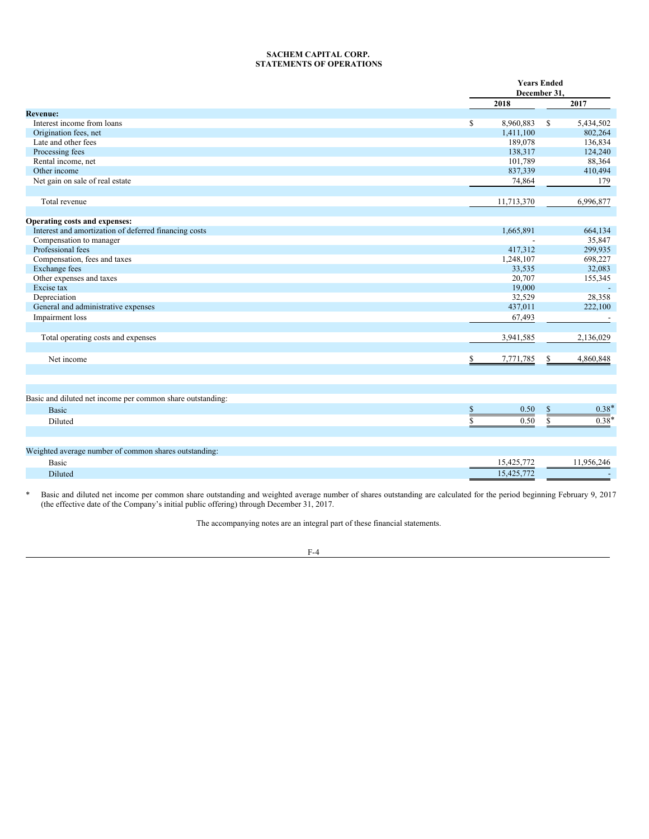# <span id="page-63-0"></span>**SACHEM CAPITAL CORP. STATEMENTS OF OPERATIONS**

|                                                            |                 | <b>Years Ended</b><br>December 31. |
|------------------------------------------------------------|-----------------|------------------------------------|
|                                                            | 2018            | 2017                               |
| <b>Revenue:</b>                                            |                 |                                    |
| Interest income from loans                                 | \$<br>8,960,883 | $\mathbb{S}$<br>5,434,502          |
| Origination fees, net                                      | 1,411,100       | 802,264                            |
| Late and other fees                                        | 189,078         | 136,834                            |
| Processing fees                                            | 138,317         | 124,240                            |
| Rental income, net                                         | 101,789         | 88,364                             |
| Other income                                               | 837,339         | 410,494                            |
| Net gain on sale of real estate                            | 74,864          | 179                                |
| Total revenue                                              | 11,713,370      | 6,996,877                          |
| Operating costs and expenses:                              |                 |                                    |
| Interest and amortization of deferred financing costs      | 1,665,891       | 664,134                            |
| Compensation to manager                                    |                 | 35,847                             |
| Professional fees                                          | 417,312         | 299,935                            |
| Compensation, fees and taxes                               | 1,248,107       | 698,227                            |
| Exchange fees                                              | 33,535          | 32,083                             |
| Other expenses and taxes                                   | 20,707          | 155,345                            |
| Excise tax                                                 | 19,000          |                                    |
| Depreciation                                               | 32,529          | 28,358                             |
| General and administrative expenses                        | 437,011         | 222,100                            |
| Impairment loss                                            | 67,493          |                                    |
| Total operating costs and expenses                         | 3,941,585       | 2,136,029                          |
| Net income                                                 | \$<br>7,771,785 | 4,860,848<br>\$                    |
|                                                            |                 |                                    |
| Basic and diluted net income per common share outstanding: |                 |                                    |
| <b>Basic</b>                                               | \$<br>0.50      | $0.38*$<br>$\frac{1}{2}$           |
| Diluted                                                    | 0.50<br>\$      | $0.38*$<br>$\mathbb{S}$            |
|                                                            |                 |                                    |
| Weighted average number of common shares outstanding:      |                 |                                    |
| <b>Basic</b>                                               | 15,425,772      | 11,956,246                         |
| Diluted                                                    | 15,425,772      |                                    |
|                                                            |                 |                                    |

\* Basic and diluted net income per common share outstanding and weighted average number of shares outstanding are calculated for the period beginning February 9, 2017 (the effective date of the Company's initial public offering) through December 31, 2017.

The accompanying notes are an integral part of these financial statements.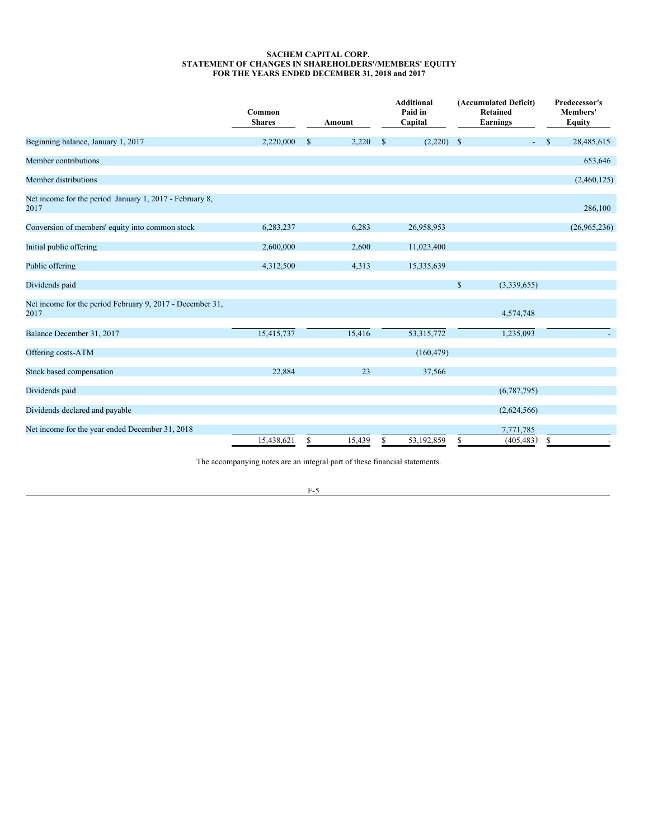### <span id="page-64-0"></span>**SACHEM CAPITAL CORP. STATEMENT OF CHANGES IN SHAREHOLDERS'/MEMBERS' EQUITY FOR THE YEARS ENDED DECEMBER 31, 2018 and 2017**

|                                                                   | Common<br><b>Shares</b> |              | Amount | <b>Additional</b><br>Paid in<br>Capital |              | (Accumulated Deficit)<br><b>Retained</b><br><b>Earnings</b> |              | Predecessor's<br>Members'<br><b>Equity</b> |
|-------------------------------------------------------------------|-------------------------|--------------|--------|-----------------------------------------|--------------|-------------------------------------------------------------|--------------|--------------------------------------------|
| Beginning balance, January 1, 2017                                | 2,220,000               | $\mathbb{S}$ | 2,220  | \$<br>(2,220)                           | $\mathbb{S}$ | $\omega_{\rm{max}}$                                         | $\mathbb{S}$ | 28,485,615                                 |
| Member contributions                                              |                         |              |        |                                         |              |                                                             |              | 653,646                                    |
| Member distributions                                              |                         |              |        |                                         |              |                                                             |              | (2,460,125)                                |
| Net income for the period January 1, 2017 - February 8,<br>2017   |                         |              |        |                                         |              |                                                             |              | 286,100                                    |
| Conversion of members' equity into common stock                   | 6,283,237               |              | 6,283  | 26,958,953                              |              |                                                             |              | (26,965,236)                               |
| Initial public offering                                           | 2,600,000               |              | 2,600  | 11,023,400                              |              |                                                             |              |                                            |
| Public offering                                                   | 4,312,500               |              | 4,313  | 15,335,639                              |              |                                                             |              |                                            |
| Dividends paid                                                    |                         |              |        |                                         | $\mathbb{S}$ | (3,339,655)                                                 |              |                                            |
| Net income for the period February 9, 2017 - December 31,<br>2017 |                         |              |        |                                         |              | 4,574,748                                                   |              |                                            |
| Balance December 31, 2017                                         | 15,415,737              |              | 15,416 | 53, 315, 772                            |              | 1,235,093                                                   |              |                                            |
| Offering costs-ATM                                                |                         |              |        | (160, 479)                              |              |                                                             |              |                                            |
| Stock based compensation                                          | 22,884                  |              | 23     | 37,566                                  |              |                                                             |              |                                            |
| Dividends paid                                                    |                         |              |        |                                         |              | (6,787,795)                                                 |              |                                            |
| Dividends declared and payable                                    |                         |              |        |                                         |              | (2,624,566)                                                 |              |                                            |
| Net income for the year ended December 31, 2018                   | 15,438,621              | S            | 15,439 | \$<br>53,192,859                        | \$           | 7,771,785<br>(405, 483)                                     | S            |                                            |

The accompanying notes are an integral part of these financial statements.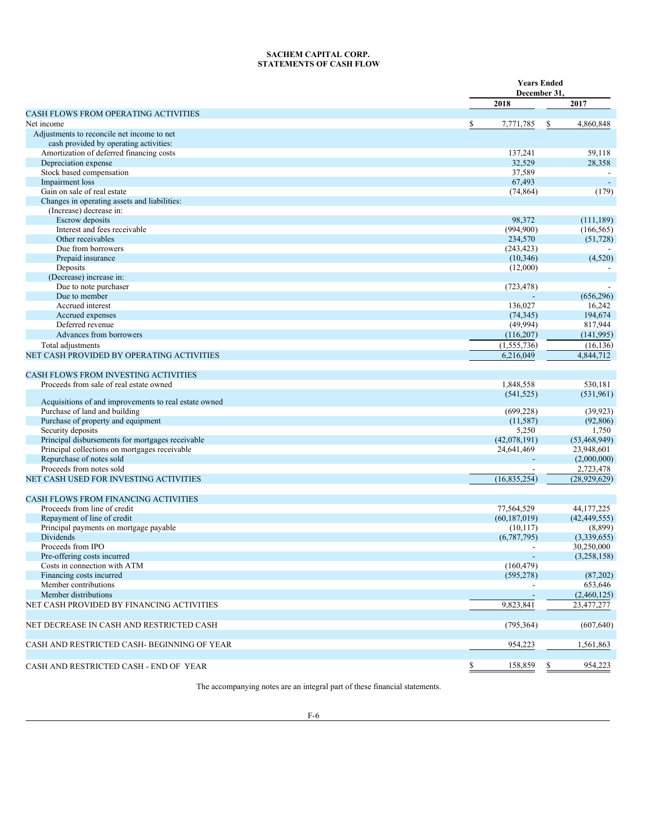### <span id="page-65-0"></span>**SACHEM CAPITAL CORP. STATEMENTS OF CASH FLOW**

|                                                       |                 | <b>Years Ended</b><br>December 31, |  |  |  |
|-------------------------------------------------------|-----------------|------------------------------------|--|--|--|
|                                                       | 2018            | 2017                               |  |  |  |
| <b>CASH FLOWS FROM OPERATING ACTIVITIES</b>           |                 |                                    |  |  |  |
| Net income                                            | \$<br>7,771,785 | 4,860,848<br>\$                    |  |  |  |
| Adjustments to reconcile net income to net            |                 |                                    |  |  |  |
| cash provided by operating activities:                |                 |                                    |  |  |  |
| Amortization of deferred financing costs              | 137.241         | 59,118                             |  |  |  |
| Depreciation expense                                  | 32,529          | 28,358                             |  |  |  |
| Stock based compensation                              | 37,589          |                                    |  |  |  |
| Impairment loss                                       | 67,493          |                                    |  |  |  |
| Gain on sale of real estate                           | (74, 864)       | (179)                              |  |  |  |
| Changes in operating assets and liabilities:          |                 |                                    |  |  |  |
| (Increase) decrease in:                               |                 |                                    |  |  |  |
| Escrow deposits                                       | 98,372          | (111, 189)                         |  |  |  |
| Interest and fees receivable                          | (994,900)       | (166, 565)                         |  |  |  |
| Other receivables                                     | 234,570         | (51, 728)                          |  |  |  |
| Due from borrowers                                    | (243, 423)      |                                    |  |  |  |
| Prepaid insurance                                     | (10, 346)       | (4,520)                            |  |  |  |
| Deposits                                              | (12,000)        |                                    |  |  |  |
| (Decrease) increase in:                               |                 |                                    |  |  |  |
| Due to note purchaser                                 | (723, 478)      |                                    |  |  |  |
| Due to member                                         |                 | (656, 296)                         |  |  |  |
| Accrued interest                                      | 136,027         | 16,242                             |  |  |  |
| Accrued expenses                                      | (74, 345)       | 194,674                            |  |  |  |
| Deferred revenue                                      | (49,994)        | 817,944                            |  |  |  |
| Advances from borrowers                               | (116,207)       | (141, 995)                         |  |  |  |
| Total adjustments                                     | (1,555,736)     | (16, 136)                          |  |  |  |
| NET CASH PROVIDED BY OPERATING ACTIVITIES             | 6,216,049       | 4,844,712                          |  |  |  |
|                                                       |                 |                                    |  |  |  |
| <b>CASH FLOWS FROM INVESTING ACTIVITIES</b>           |                 |                                    |  |  |  |
| Proceeds from sale of real estate owned               | 1,848,558       | 530,181                            |  |  |  |
| Acquisitions of and improvements to real estate owned | (541, 525)      | (531,961)                          |  |  |  |
| Purchase of land and building                         | (699, 228)      | (39, 923)                          |  |  |  |
| Purchase of property and equipment                    | (11, 587)       | (92, 806)                          |  |  |  |
| Security deposits                                     | 5,250           | 1,750                              |  |  |  |
| Principal disbursements for mortgages receivable      | (42,078,191)    | (53, 468, 949)                     |  |  |  |
| Principal collections on mortgages receivable         | 24,641,469      | 23,948,601                         |  |  |  |
| Repurchase of notes sold                              |                 | (2,000,000)                        |  |  |  |
| Proceeds from notes sold                              |                 | 2,723,478                          |  |  |  |
| NET CASH USED FOR INVESTING ACTIVITIES                | (16, 835, 254)  | (28,929,629)                       |  |  |  |
|                                                       |                 |                                    |  |  |  |
| <b>CASH FLOWS FROM FINANCING ACTIVITIES</b>           |                 |                                    |  |  |  |
| Proceeds from line of credit                          | 77,564,529      | 44, 177, 225                       |  |  |  |
| Repayment of line of credit                           | (60, 187, 019)  | (42, 449, 555)                     |  |  |  |
| Principal payments on mortgage payable                | (10, 117)       | (8,899)                            |  |  |  |
| Dividends                                             | (6,787,795)     | (3,339,655)                        |  |  |  |
| Proceeds from IPO                                     |                 | 30,250,000                         |  |  |  |
| Pre-offering costs incurred                           |                 | (3,258,158)                        |  |  |  |
| Costs in connection with ATM                          | (160, 479)      |                                    |  |  |  |
| Financing costs incurred                              | (595, 278)      | (87,202)                           |  |  |  |
| Member contributions                                  |                 | 653,646                            |  |  |  |
| Member distributions                                  |                 |                                    |  |  |  |
|                                                       |                 | (2,460,125)                        |  |  |  |
| NET CASH PROVIDED BY FINANCING ACTIVITIES             | 9,823,841       | 23,477,277                         |  |  |  |
|                                                       |                 |                                    |  |  |  |
| NET DECREASE IN CASH AND RESTRICTED CASH              | (795, 364)      | (607, 640)                         |  |  |  |
| CASH AND RESTRICTED CASH- BEGINNING OF YEAR           | 954,223         | 1,561,863                          |  |  |  |
| CASH AND RESTRICTED CASH - END OF YEAR                | \$<br>158,859   | 954,223                            |  |  |  |
|                                                       |                 |                                    |  |  |  |

The accompanying notes are an integral part of these financial statements.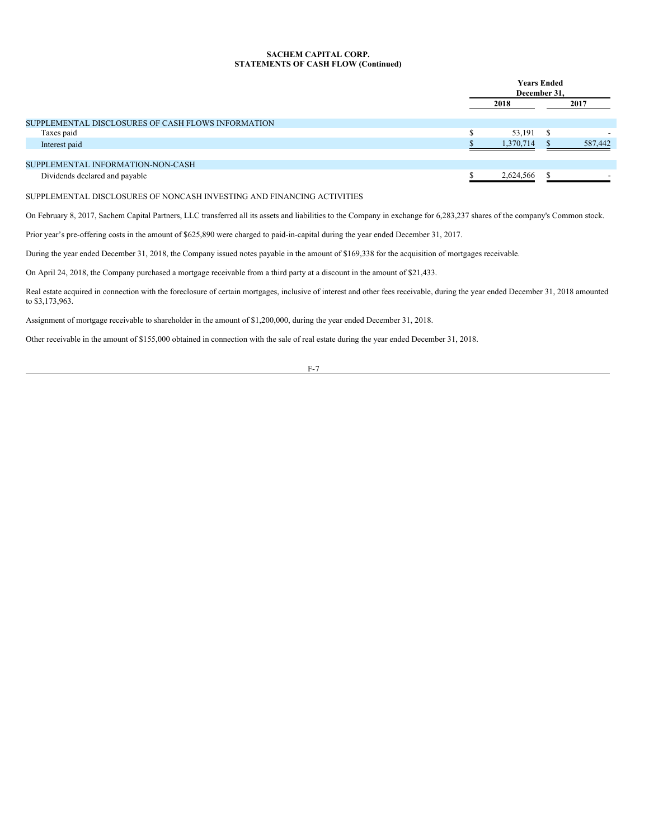# **SACHEM CAPITAL CORP. STATEMENTS OF CASH FLOW (Continued)**

|                                                    | <b>Years Ended</b><br>December 31, |   |         |  |
|----------------------------------------------------|------------------------------------|---|---------|--|
|                                                    | 2018                               |   | 2017    |  |
| SUPPLEMENTAL DISCLOSURES OF CASH FLOWS INFORMATION |                                    |   |         |  |
| Taxes paid                                         | 53,191                             | S |         |  |
| Interest paid                                      | 1,370,714                          |   | 587,442 |  |
|                                                    |                                    |   |         |  |
| SUPPLEMENTAL INFORMATION-NON-CASH                  |                                    |   |         |  |
| Dividends declared and payable                     | 2,624,566                          |   |         |  |

# SUPPLEMENTAL DISCLOSURES OF NONCASH INVESTING AND FINANCING ACTIVITIES

On February 8, 2017, Sachem Capital Partners, LLC transferred all its assets and liabilities to the Company in exchange for 6,283,237 shares of the company's Common stock.

Prior year's pre-offering costs in the amount of \$625,890 were charged to paid-in-capital during the year ended December 31, 2017.

During the year ended December 31, 2018, the Company issued notes payable in the amount of \$169,338 for the acquisition of mortgages receivable.

On April 24, 2018, the Company purchased a mortgage receivable from a third party at a discount in the amount of \$21,433.

Real estate acquired in connection with the foreclosure of certain mortgages, inclusive of interest and other fees receivable, during the year ended December 31, 2018 amounted to \$3,173,963.

Assignment of mortgage receivable to shareholder in the amount of \$1,200,000, during the year ended December 31, 2018.

Other receivable in the amount of \$155,000 obtained in connection with the sale of real estate during the year ended December 31, 2018.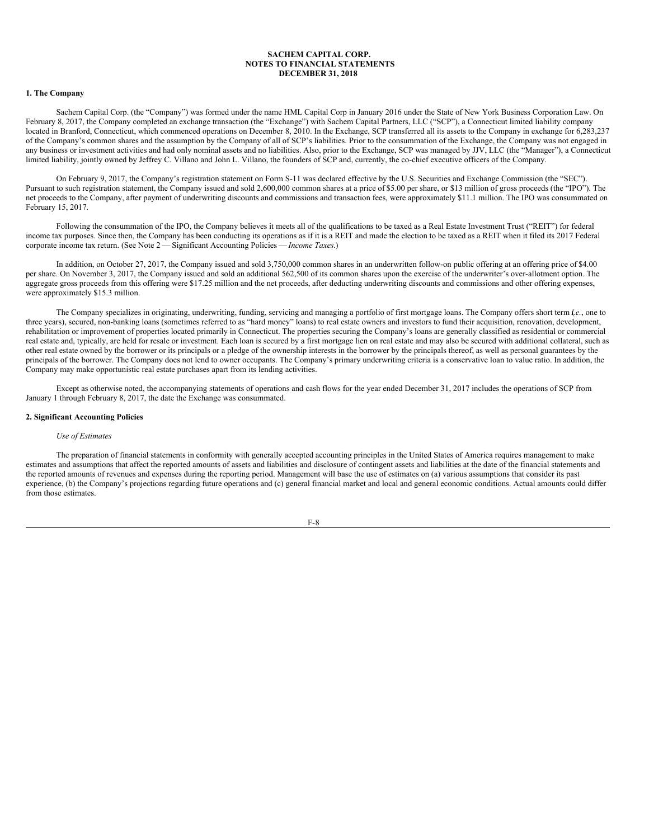# <span id="page-67-0"></span>**1. The Company**

Sachem Capital Corp. (the "Company") was formed under the name HML Capital Corp in January 2016 under the State of New York Business Corporation Law. On February 8, 2017, the Company completed an exchange transaction (the "Exchange") with Sachem Capital Partners, LLC ("SCP"), a Connecticut limited liability company located in Branford, Connecticut, which commenced operations on December 8, 2010. In the Exchange, SCP transferred all its assets to the Company in exchange for 6,283,237 of the Company's common shares and the assumption by the Company of all of SCP's liabilities. Prior to the consummation of the Exchange, the Company was not engaged in any business or investment activities and had only nominal assets and no liabilities. Also, prior to the Exchange, SCP was managed by JJV, LLC (the "Manager"), a Connecticut limited liability, jointly owned by Jeffrey C. Villano and John L. Villano, the founders of SCP and, currently, the co-chief executive officers of the Company.

On February 9, 2017, the Company's registration statement on Form S-11 was declared effective by the U.S. Securities and Exchange Commission (the "SEC"). Pursuant to such registration statement, the Company issued and sold 2,600,000 common shares at a price of \$5.00 per share, or \$13 million of gross proceeds (the "IPO"). The net proceeds to the Company, after payment of underwriting discounts and commissions and transaction fees, were approximately \$11.1 million. The IPO was consummated on February 15, 2017.

Following the consummation of the IPO, the Company believes it meets all of the qualifications to be taxed as a Real Estate Investment Trust ("REIT") for federal income tax purposes. Since then, the Company has been conducting its operations as if it is a REIT and made the election to be taxed as a REIT when it filed its 2017 Federal corporate income tax return. (See Note 2 — Significant Accounting Policies — *Income Taxes*.)

In addition, on October 27, 2017, the Company issued and sold 3,750,000 common shares in an underwritten follow-on public offering at an offering price of \$4.00 per share. On November 3, 2017, the Company issued and sold an additional 562,500 of its common shares upon the exercise of the underwriter's over-allotment option. The aggregate gross proceeds from this offering were \$17.25 million and the net proceeds, after deducting underwriting discounts and commissions and other offering expenses, were approximately \$15.3 million.

The Company specializes in originating, underwriting, funding, servicing and managing a portfolio of first mortgage loans. The Company offers short term *i*(*.e.*, one to three years), secured, non-banking loans (sometimes referred to as "hard money" loans) to real estate owners and investors to fund their acquisition, renovation, development, rehabilitation or improvement of properties located primarily in Connecticut. The properties securing the Company's loans are generally classified as residential or commercial real estate and, typically, are held for resale or investment. Each loan is secured by a first mortgage lien on real estate and may also be secured with additional collateral, such as other real estate owned by the borrower or its principals or a pledge of the ownership interests in the borrower by the principals thereof, as well as personal guarantees by the principals of the borrower. The Company does not lend to owner occupants. The Company's primary underwriting criteria is a conservative loan to value ratio. In addition, the Company may make opportunistic real estate purchases apart from its lending activities.

Except as otherwise noted, the accompanying statements of operations and cash flows for the year ended December 31, 2017 includes the operations of SCP from January 1 through February 8, 2017, the date the Exchange was consummated.

### **2. Significant Accounting Policies**

### *Use of Estimates*

The preparation of financial statements in conformity with generally accepted accounting principles in the United States of America requires management to make estimates and assumptions that affect the reported amounts of assets and liabilities and disclosure of contingent assets and liabilities at the date of the financial statements and the reported amounts of revenues and expenses during the reporting period. Management will base the use of estimates on (a) various assumptions that consider its past experience, (b) the Company's projections regarding future operations and (c) general financial market and local and general economic conditions. Actual amounts could differ from those estimates.

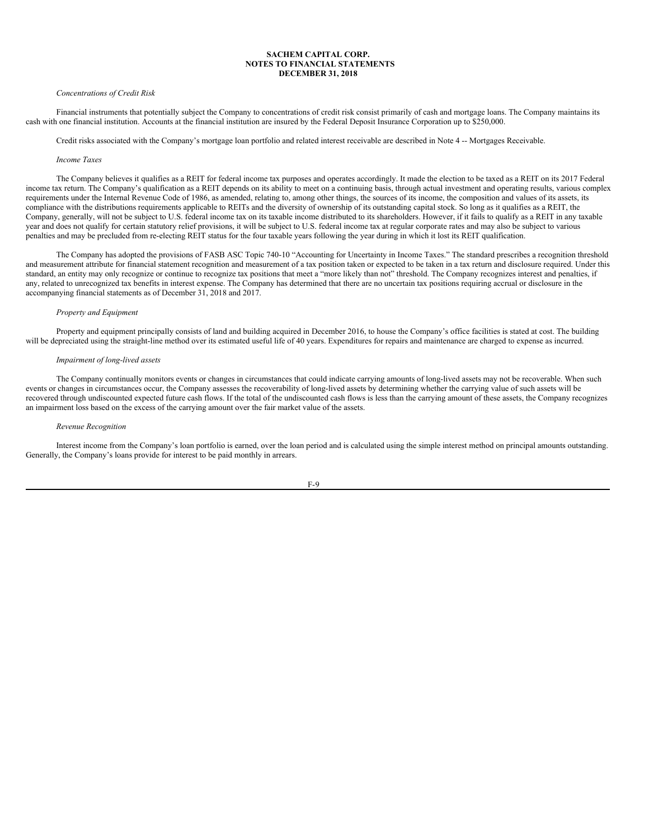### *Concentrations of Credit Risk*

Financial instruments that potentially subject the Company to concentrations of credit risk consist primarily of cash and mortgage loans. The Company maintains its cash with one financial institution. Accounts at the financial institution are insured by the Federal Deposit Insurance Corporation up to \$250,000.

Credit risks associated with the Company's mortgage loan portfolio and related interest receivable are described in Note 4 -- Mortgages Receivable.

#### *Income Taxes*

The Company believes it qualifies as a REIT for federal income tax purposes and operates accordingly. It made the election to be taxed as a REIT on its 2017 Federal income tax return. The Company's qualification as a REIT depends on its ability to meet on a continuing basis, through actual investment and operating results, various complex requirements under the Internal Revenue Code of 1986, as amended, relating to, among other things, the sources of its income, the composition and values of its assets, its compliance with the distributions requirements applicable to REITs and the diversity of ownership of its outstanding capital stock. So long as it qualifies as a REIT, the Company, generally, will not be subject to U.S. federal income tax on its taxable income distributed to its shareholders. However, if it fails to qualify as a REIT in any taxable year and does not qualify for certain statutory relief provisions, it will be subject to U.S. federal income tax at regular corporate rates and may also be subject to various penalties and may be precluded from re-electing REIT status for the four taxable years following the year during in which it lost its REIT qualification.

The Company has adopted the provisions of FASB ASC Topic 740-10 "Accounting for Uncertainty in Income Taxes." The standard prescribes a recognition threshold and measurement attribute for financial statement recognition and measurement of a tax position taken or expected to be taken in a tax return and disclosure required. Under this standard, an entity may only recognize or continue to recognize tax positions that meet a "more likely than not" threshold. The Company recognizes interest and penalties, if any, related to unrecognized tax benefits in interest expense. The Company has determined that there are no uncertain tax positions requiring accrual or disclosure in the accompanying financial statements as of December 31, 2018 and 2017.

### *Property and Equipment*

Property and equipment principally consists of land and building acquired in December 2016, to house the Company's office facilities is stated at cost. The building will be depreciated using the straight-line method over its estimated useful life of 40 years. Expenditures for repairs and maintenance are charged to expense as incurred.

## *Impairment of long-lived assets*

The Company continually monitors events or changes in circumstances that could indicate carrying amounts of long-lived assets may not be recoverable. When such events or changes in circumstances occur, the Company assesses the recoverability of long-lived assets by determining whether the carrying value of such assets will be recovered through undiscounted expected future cash flows. If the total of the undiscounted cash flows is less than the carrying amount of these assets, the Company recognizes an impairment loss based on the excess of the carrying amount over the fair market value of the assets.

#### *Revenue Recognition*

Interest income from the Company's loan portfolio is earned, over the loan period and is calculated using the simple interest method on principal amounts outstanding. Generally, the Company's loans provide for interest to be paid monthly in arrears.

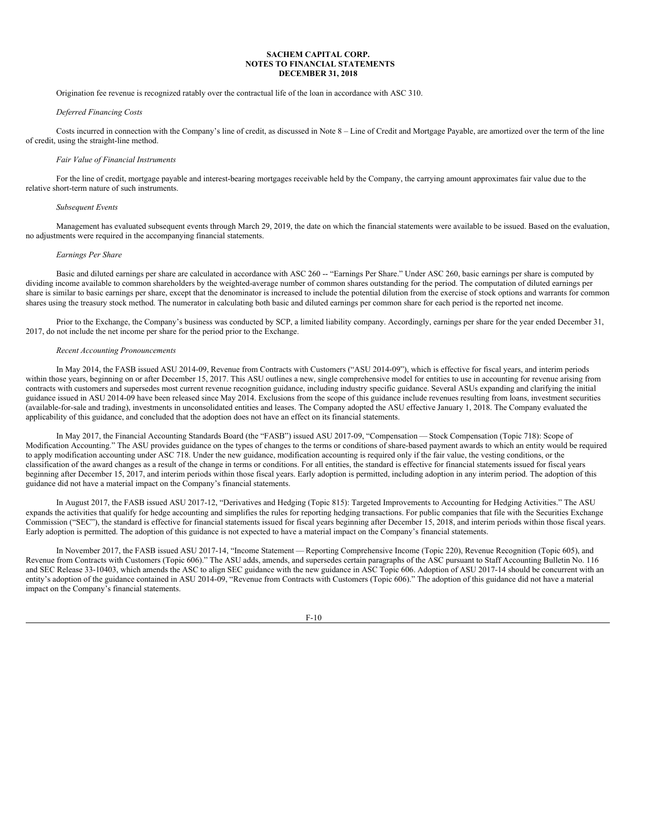Origination fee revenue is recognized ratably over the contractual life of the loan in accordance with ASC 310.

### *Deferred Financing Costs*

Costs incurred in connection with the Company's line of credit, as discussed in Note 8 – Line of Credit and Mortgage Payable, are amortized over the term of the line of credit, using the straight-line method.

## *Fair Value of Financial Instruments*

For the line of credit, mortgage payable and interest-bearing mortgages receivable held by the Company, the carrying amount approximates fair value due to the relative short-term nature of such instruments.

# *Subsequent Events*

Management has evaluated subsequent events through March 29, 2019, the date on which the financial statements were available to be issued. Based on the evaluation, no adjustments were required in the accompanying financial statements.

### *Earnings Per Share*

Basic and diluted earnings per share are calculated in accordance with ASC 260 -- "Earnings Per Share." Under ASC 260, basic earnings per share is computed by dividing income available to common shareholders by the weighted-average number of common shares outstanding for the period. The computation of diluted earnings per share is similar to basic earnings per share, except that the denominator is increased to include the potential dilution from the exercise of stock options and warrants for common shares using the treasury stock method. The numerator in calculating both basic and diluted earnings per common share for each period is the reported net income.

Prior to the Exchange, the Company's business was conducted by SCP, a limited liability company. Accordingly, earnings per share for the year ended December 31, 2017, do not include the net income per share for the period prior to the Exchange.

### *Recent Accounting Pronouncements*

In May 2014, the FASB issued ASU 2014-09, Revenue from Contracts with Customers ("ASU 2014-09"), which is effective for fiscal years, and interim periods within those years, beginning on or after December 15, 2017. This ASU outlines a new, single comprehensive model for entities to use in accounting for revenue arising from contracts with customers and supersedes most current revenue recognition guidance, including industry specific guidance. Several ASUs expanding and clarifying the initial guidance issued in ASU 2014-09 have been released since May 2014. Exclusions from the scope of this guidance include revenues resulting from loans, investment securities (available-for-sale and trading), investments in unconsolidated entities and leases. The Company adopted the ASU effective January 1, 2018. The Company evaluated the applicability of this guidance, and concluded that the adoption does not have an effect on its financial statements.

In May 2017, the Financial Accounting Standards Board (the "FASB") issued ASU 2017-09, "Compensation — Stock Compensation (Topic 718): Scope of Modification Accounting." The ASU provides guidance on the types of changes to the terms or conditions of share-based payment awards to which an entity would be required to apply modification accounting under ASC 718. Under the new guidance, modification accounting is required only if the fair value, the vesting conditions, or the classification of the award changes as a result of the change in terms or conditions. For all entities, the standard is effective for financial statements issued for fiscal years beginning after December 15, 2017, and interim periods within those fiscal years. Early adoption is permitted, including adoption in any interim period. The adoption of this guidance did not have a material impact on the Company's financial statements.

In August 2017, the FASB issued ASU 2017-12, "Derivatives and Hedging (Topic 815): Targeted Improvements to Accounting for Hedging Activities." The ASU expands the activities that qualify for hedge accounting and simplifies the rules for reporting hedging transactions. For public companies that file with the Securities Exchange Commission ("SEC"), the standard is effective for financial statements issued for fiscal years beginning after December 15, 2018, and interim periods within those fiscal years. Early adoption is permitted. The adoption of this guidance is not expected to have a material impact on the Company's financial statements.

In November 2017, the FASB issued ASU 2017-14, "Income Statement — Reporting Comprehensive Income (Topic 220), Revenue Recognition (Topic 605), and Revenue from Contracts with Customers (Topic 606)." The ASU adds, amends, and supersedes certain paragraphs of the ASC pursuant to Staff Accounting Bulletin No. 116 and SEC Release 33-10403, which amends the ASC to align SEC guidance with the new guidance in ASC Topic 606. Adoption of ASU 2017-14 should be concurrent with an entity's adoption of the guidance contained in ASU 2014-09, "Revenue from Contracts with Customers (Topic 606)." The adoption of this guidance did not have a material impact on the Company's financial statements.

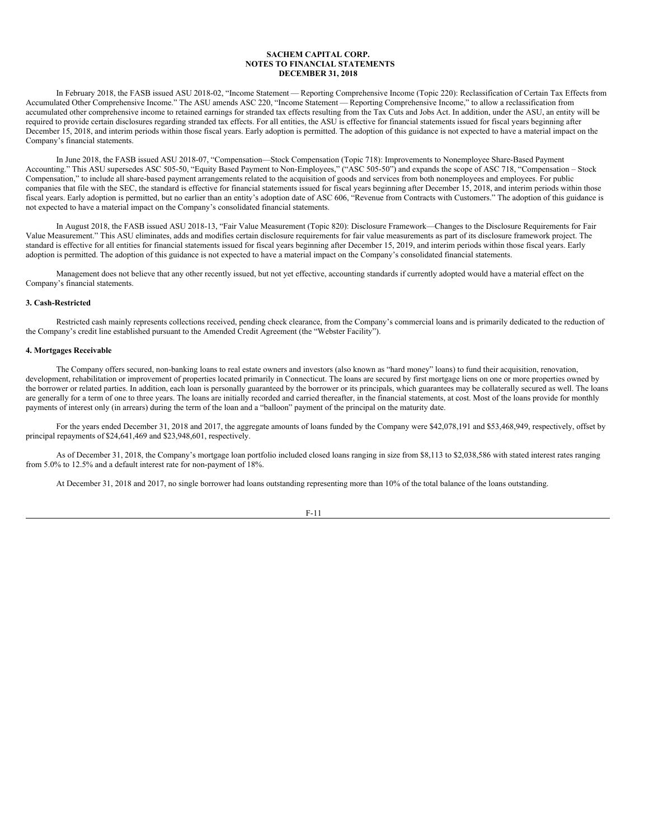In February 2018, the FASB issued ASU 2018-02, "Income Statement — Reporting Comprehensive Income (Topic 220): Reclassification of Certain Tax Effects from Accumulated Other Comprehensive Income." The ASU amends ASC 220, "Income Statement — Reporting Comprehensive Income," to allow a reclassification from accumulated other comprehensive income to retained earnings for stranded tax effects resulting from the Tax Cuts and Jobs Act. In addition, under the ASU, an entity will be required to provide certain disclosures regarding stranded tax effects. For all entities, the ASU is effective for financial statements issued for fiscal years beginning after December 15, 2018, and interim periods within those fiscal years. Early adoption is permitted. The adoption of this guidance is not expected to have a material impact on the Company's financial statements.

In June 2018, the FASB issued ASU 2018-07, "Compensation—Stock Compensation (Topic 718): Improvements to Nonemployee Share-Based Payment Accounting." This ASU supersedes ASC 505-50, "Equity Based Payment to Non-Employees," ("ASC 505-50") and expands the scope of ASC 718, "Compensation – Stock Compensation," to include all share-based payment arrangements related to the acquisition of goods and services from both nonemployees and employees. For public companies that file with the SEC, the standard is effective for financial statements issued for fiscal years beginning after December 15, 2018, and interim periods within those fiscal years. Early adoption is permitted, but no earlier than an entity's adoption date of ASC 606, "Revenue from Contracts with Customers." The adoption of this guidance is not expected to have a material impact on the Company's consolidated financial statements.

In August 2018, the FASB issued ASU 2018-13, "Fair Value Measurement (Topic 820): Disclosure Framework—Changes to the Disclosure Requirements for Fair Value Measurement." This ASU eliminates, adds and modifies certain disclosure requirements for fair value measurements as part of its disclosure framework project. The standard is effective for all entities for financial statements issued for fiscal years beginning after December 15, 2019, and interim periods within those fiscal years. Early adoption is permitted. The adoption of this guidance is not expected to have a material impact on the Company's consolidated financial statements.

Management does not believe that any other recently issued, but not yet effective, accounting standards if currently adopted would have a material effect on the Company's financial statements.

## **3. Cash-Restricted**

Restricted cash mainly represents collections received, pending check clearance, from the Company's commercial loans and is primarily dedicated to the reduction of the Company's credit line established pursuant to the Amended Credit Agreement (the "Webster Facility").

### **4. Mortgages Receivable**

The Company offers secured, non-banking loans to real estate owners and investors (also known as "hard money" loans) to fund their acquisition, renovation, development, rehabilitation or improvement of properties located primarily in Connecticut. The loans are secured by first mortgage liens on one or more properties owned by the borrower or related parties. In addition, each loan is personally guaranteed by the borrower or its principals, which guarantees may be collaterally secured as well. The loans are generally for a term of one to three years. The loans are initially recorded and carried thereafter, in the financial statements, at cost. Most of the loans provide for monthly payments of interest only (in arrears) during the term of the loan and a "balloon" payment of the principal on the maturity date.

For the years ended December 31, 2018 and 2017, the aggregate amounts of loans funded by the Company were \$42,078,191 and \$53,468,949, respectively, offset by principal repayments of \$24,641,469 and \$23,948,601, respectively.

As of December 31, 2018, the Company's mortgage loan portfolio included closed loans ranging in size from \$8,113 to \$2,038,586 with stated interest rates ranging from 5.0% to 12.5% and a default interest rate for non-payment of 18%.

At December 31, 2018 and 2017, no single borrower had loans outstanding representing more than 10% of the total balance of the loans outstanding.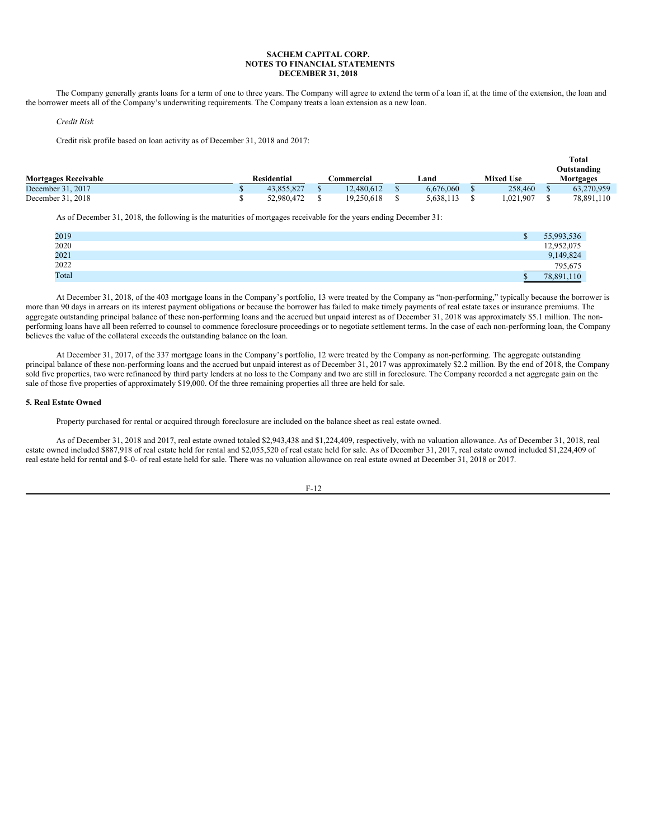The Company generally grants loans for a term of one to three years. The Company will agree to extend the term of a loan if, at the time of the extension, the loan and the borrower meets all of the Company's underwriting requirements. The Company treats a loan extension as a new loan.

*Credit Risk*

Credit risk profile based on loan activity as of December 31, 2018 and 2017:

|                             |                    |            |           |                  | ı otal      |
|-----------------------------|--------------------|------------|-----------|------------------|-------------|
|                             |                    |            |           |                  | Outstanding |
| <b>Mortgages Receivable</b> | <b>Residential</b> | ∑ommercial | .and      | <b>Mixed Use</b> | Mortgages   |
| December 31, 2017           | 43.855.827         | 12.480.612 | 6.676.060 | 258,460          | 63,270,959  |
| December 31, 2018           | 52,980,472         | 19.250.618 | 5.638.113 | 1.021.907        | 78,891,110  |

**Total**

As of December 31, 2018, the following is the maturities of mortgages receivable for the years ending December 31:

| 2019  | 55,993,536 |
|-------|------------|
| 2020  | 12.952.075 |
| 2021  | 9.149.824  |
| 2022  | 795.675    |
| Total | 78,891,110 |

At December 31, 2018, of the 403 mortgage loans in the Company's portfolio, 13 were treated by the Company as "non-performing," typically because the borrower is more than 90 days in arrears on its interest payment obligations or because the borrower has failed to make timely payments of real estate taxes or insurance premiums. The aggregate outstanding principal balance of these non-performing loans and the accrued but unpaid interest as of December 31, 2018 was approximately \$5.1 million. The nonperforming loans have all been referred to counsel to commence foreclosure proceedings or to negotiate settlement terms. In the case of each non-performing loan, the Company believes the value of the collateral exceeds the outstanding balance on the loan.

At December 31, 2017, of the 337 mortgage loans in the Company's portfolio, 12 were treated by the Company as non-performing. The aggregate outstanding principal balance of these non-performing loans and the accrued but unpaid interest as of December 31, 2017 was approximately \$2.2 million. By the end of 2018, the Company sold five properties, two were refinanced by third party lenders at no loss to the Company and two are still in foreclosure. The Company recorded a net aggregate gain on the sale of those five properties of approximately \$19,000. Of the three remaining properties all three are held for sale.

# **5. Real Estate Owned**

Property purchased for rental or acquired through foreclosure are included on the balance sheet as real estate owned.

As of December 31, 2018 and 2017, real estate owned totaled \$2,943,438 and \$1,224,409, respectively, with no valuation allowance. As of December 31, 2018, real estate owned included \$887,918 of real estate held for rental and \$2,055,520 of real estate held for sale. As of December 31, 2017, real estate owned included \$1,224,409 of real estate held for rental and \$-0- of real estate held for sale. There was no valuation allowance on real estate owned at December 31, 2018 or 2017.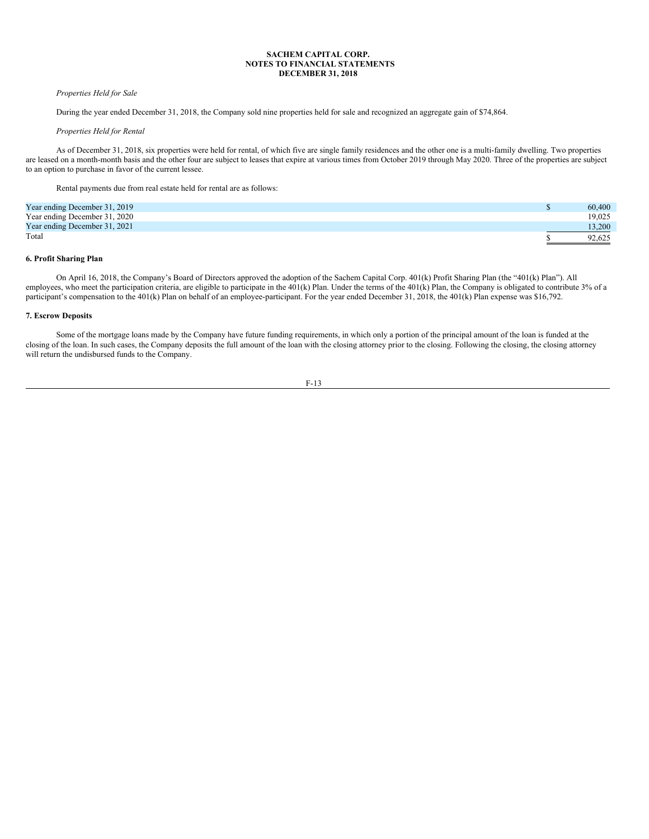# *Properties Held for Sale*

During the year ended December 31, 2018, the Company sold nine properties held for sale and recognized an aggregate gain of \$74,864.

#### *Properties Held for Rental*

As of December 31, 2018, six properties were held for rental, of which five are single family residences and the other one is a multi-family dwelling. Two properties are leased on a month-month basis and the other four are subject to leases that expire at various times from October 2019 through May 2020. Three of the properties are subject to an option to purchase in favor of the current lessee.

Rental payments due from real estate held for rental are as follows:

| Year ending December 31, 2019 | 60,400 |
|-------------------------------|--------|
| Year ending December 31, 2020 | 19.025 |
| Year ending December 31, 2021 | 13.200 |
| Total                         | 92.625 |

# **6. Profit Sharing Plan**

On April 16, 2018, the Company's Board of Directors approved the adoption of the Sachem Capital Corp. 401(k) Profit Sharing Plan (the "401(k) Plan"). All employees, who meet the participation criteria, are eligible to participate in the  $401(k)$  Plan. Under the terms of the  $401(k)$  Plan, the Company is obligated to contribute 3% of a participant's compensation to the 401(k) Plan on behalf of an employee-participant. For the year ended December 31, 2018, the 401(k) Plan expense was \$16,792.

# **7. Escrow Deposits**

Some of the mortgage loans made by the Company have future funding requirements, in which only a portion of the principal amount of the loan is funded at the closing of the loan. In such cases, the Company deposits the full amount of the loan with the closing attorney prior to the closing. Following the closing, the closing attorney will return the undisbursed funds to the Company.

$$
F-13
$$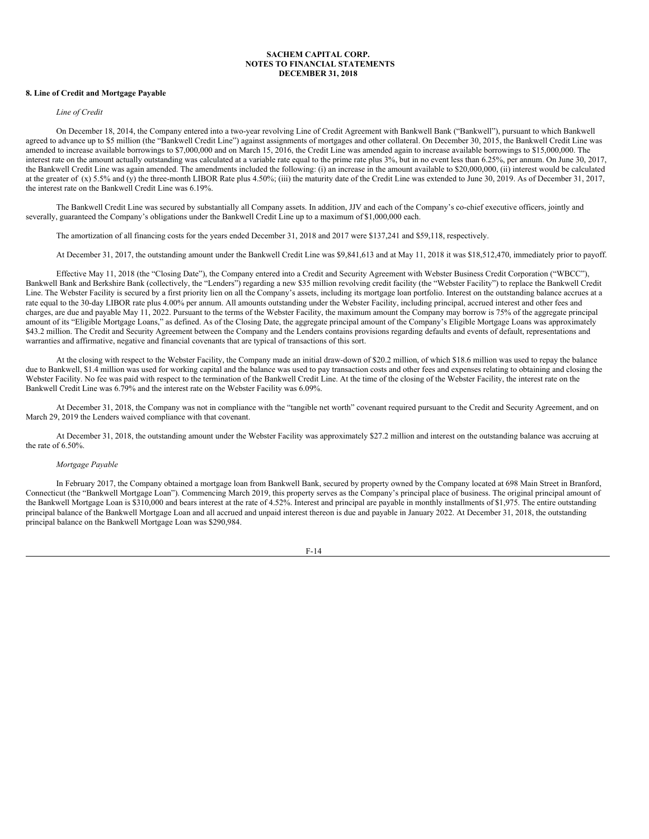## **8. Line of Credit and Mortgage Payable**

## *Line of Credit*

On December 18, 2014, the Company entered into a two-year revolving Line of Credit Agreement with Bankwell Bank ("Bankwell"), pursuant to which Bankwell agreed to advance up to \$5 million (the "Bankwell Credit Line") against assignments of mortgages and other collateral. On December 30, 2015, the Bankwell Credit Line was amended to increase available borrowings to \$7,000,000 and on March 15, 2016, the Credit Line was amended again to increase available borrowings to \$15,000,000. The interest rate on the amount actually outstanding was calculated at a variable rate equal to the prime rate plus 3%, but in no event less than 6.25%, per annum. On June 30, 2017, the Bankwell Credit Line was again amended. The amendments included the following: (i) an increase in the amount available to \$20,000,000, (ii) interest would be calculated at the greater of (x) 5.5% and (y) the three-month LIBOR Rate plus 4.50%; (iii) the maturity date of the Credit Line was extended to June 30, 2019. As of December 31, 2017, the interest rate on the Bankwell Credit Line was 6.19%.

The Bankwell Credit Line was secured by substantially all Company assets. In addition, JJV and each of the Company's co-chief executive officers, jointly and severally, guaranteed the Company's obligations under the Bankwell Credit Line up to a maximum of \$1,000,000 each.

The amortization of all financing costs for the years ended December 31, 2018 and 2017 were \$137,241 and \$59,118, respectively.

At December 31, 2017, the outstanding amount under the Bankwell Credit Line was \$9,841,613 and at May 11, 2018 it was \$18,512,470, immediately prior to payoff.

Effective May 11, 2018 (the "Closing Date"), the Company entered into a Credit and Security Agreement with Webster Business Credit Corporation ("WBCC"), Bankwell Bank and Berkshire Bank (collectively, the "Lenders") regarding a new \$35 million revolving credit facility (the "Webster Facility") to replace the Bankwell Credit Line. The Webster Facility is secured by a first priority lien on all the Company's assets, including its mortgage loan portfolio. Interest on the outstanding balance accrues at a rate equal to the 30-day LIBOR rate plus 4.00% per annum. All amounts outstanding under the Webster Facility, including principal, accrued interest and other fees and charges, are due and payable May 11, 2022. Pursuant to the terms of the Webster Facility, the maximum amount the Company may borrow is 75% of the aggregate principal amount of its "Eligible Mortgage Loans," as defined. As of the Closing Date, the aggregate principal amount of the Company's Eligible Mortgage Loans was approximately \$43.2 million. The Credit and Security Agreement between the Company and the Lenders contains provisions regarding defaults and events of default, representations and warranties and affirmative, negative and financial covenants that are typical of transactions of this sort.

At the closing with respect to the Webster Facility, the Company made an initial draw-down of \$20.2 million, of which \$18.6 million was used to repay the balance due to Bankwell, \$1.4 million was used for working capital and the balance was used to pay transaction costs and other fees and expenses relating to obtaining and closing the Webster Facility. No fee was paid with respect to the termination of the Bankwell Credit Line. At the time of the closing of the Webster Facility, the interest rate on the Bankwell Credit Line was 6.79% and the interest rate on the Webster Facility was 6.09%.

At December 31, 2018, the Company was not in compliance with the "tangible net worth" covenant required pursuant to the Credit and Security Agreement, and on March 29, 2019 the Lenders waived compliance with that covenant.

At December 31, 2018, the outstanding amount under the Webster Facility was approximately \$27.2 million and interest on the outstanding balance was accruing at the rate of 6.50%.

# *Mortgage Payable*

In February 2017, the Company obtained a mortgage loan from Bankwell Bank, secured by property owned by the Company located at 698 Main Street in Branford, Connecticut (the "Bankwell Mortgage Loan"). Commencing March 2019, this property serves as the Company's principal place of business. The original principal amount of the Bankwell Mortgage Loan is \$310,000 and bears interest at the rate of 4.52%. Interest and principal are payable in monthly installments of \$1,975. The entire outstanding principal balance of the Bankwell Mortgage Loan and all accrued and unpaid interest thereon is due and payable in January 2022. At December 31, 2018, the outstanding principal balance on the Bankwell Mortgage Loan was \$290,984.

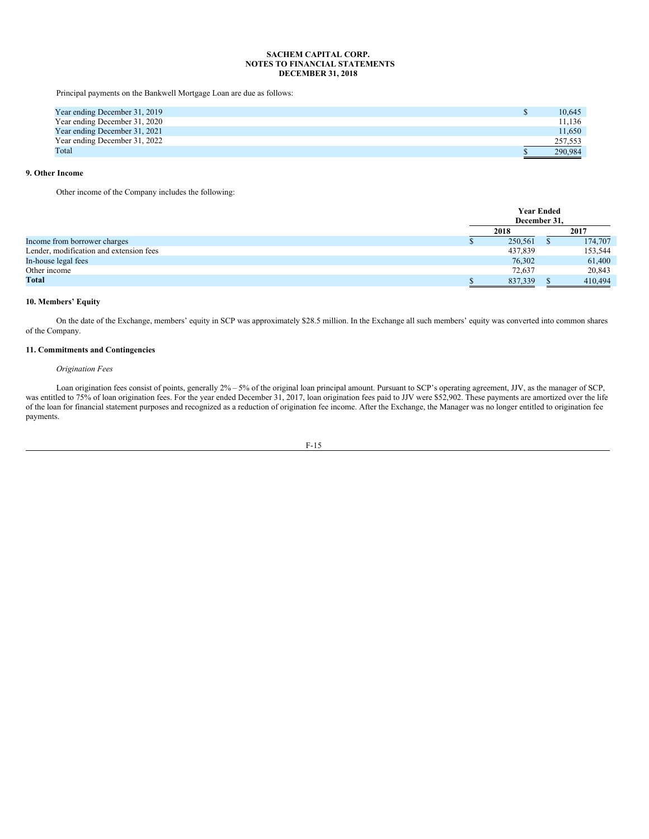Principal payments on the Bankwell Mortgage Loan are due as follows:

| Year ending December 31, 2019 | 10.645  |
|-------------------------------|---------|
| Year ending December 31, 2020 | 11.136  |
| Year ending December 31, 2021 | 11.650  |
| Year ending December 31, 2022 | 257,553 |
| Total                         | 290.984 |

# **9. Other Income**

Other income of the Company includes the following:

|                                         |  | <b>Year Ended</b><br>December 31. |  |         |
|-----------------------------------------|--|-----------------------------------|--|---------|
|                                         |  |                                   |  |         |
|                                         |  | 2018                              |  | 2017    |
| Income from borrower charges            |  | 250,561                           |  | 174,707 |
| Lender, modification and extension fees |  | 437,839                           |  | 153,544 |
| In-house legal fees                     |  | 76,302                            |  | 61,400  |
| Other income                            |  | 72,637                            |  | 20,843  |
| Total                                   |  | 837.339                           |  | 410,494 |

# **10. Members' Equity**

On the date of the Exchange, members' equity in SCP was approximately \$28.5 million. In the Exchange all such members' equity was converted into common shares of the Company.

# **11. Commitments and Contingencies**

# *Origination Fees*

Loan origination fees consist of points, generally 2% – 5% of the original loan principal amount. Pursuant to SCP's operating agreement, JJV, as the manager of SCP, was entitled to 75% of loan origination fees. For the year ended December 31, 2017, loan origination fees paid to JJV were \$52,902. These payments are amortized over the life of the loan for financial statement purposes and recognized as a reduction of origination fee income. After the Exchange, the Manager was no longer entitled to origination fee payments.

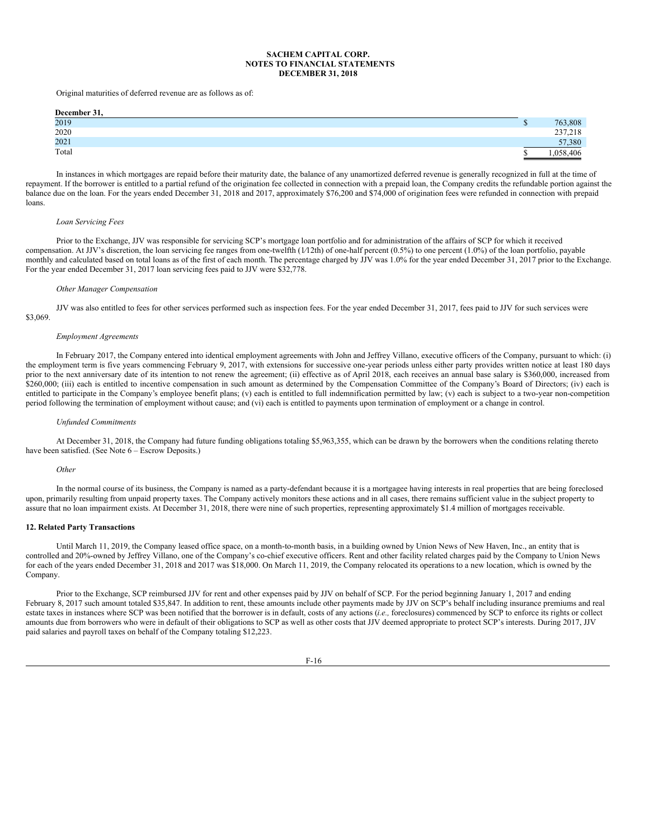Original maturities of deferred revenue are as follows as of:

| December 31, |          |
|--------------|----------|
| 2019         | 763,808  |
| 2020         | 237,218  |
| 2021         | 57,380   |
| Total        | .058.406 |

In instances in which mortgages are repaid before their maturity date, the balance of any unamortized deferred revenue is generally recognized in full at the time of repayment. If the borrower is entitled to a partial refund of the origination fee collected in connection with a prepaid loan, the Company credits the refundable portion against the balance due on the loan. For the years ended December 31, 2018 and 2017, approximately \$76,200 and \$74,000 of origination fees were refunded in connection with prepaid loans.

### *Loan Servicing Fees*

Prior to the Exchange, JJV was responsible for servicing SCP's mortgage loan portfolio and for administration of the affairs of SCP for which it received compensation. At JJV's discretion, the loan servicing fee ranges from one-twelfth (1⁄12th) of one-half percent (0.5%) to one percent (1.0%) of the loan portfolio, payable monthly and calculated based on total loans as of the first of each month. The percentage charged by JJV was 1.0% for the year ended December 31, 2017 prior to the Exchange. For the year ended December 31, 2017 loan servicing fees paid to JJV were \$32,778.

#### *Other Manager Compensation*

JJV was also entitled to fees for other services performed such as inspection fees. For the year ended December 31, 2017, fees paid to JJV for such services were \$3,069.

# *Employment Agreements*

In February 2017, the Company entered into identical employment agreements with John and Jeffrey Villano, executive officers of the Company, pursuant to which: (i) the employment term is five years commencing February 9, 2017, with extensions for successive one-year periods unless either party provides written notice at least 180 days prior to the next anniversary date of its intention to not renew the agreement; (ii) effective as of April 2018, each receives an annual base salary is \$360,000, increased from \$260,000; (iii) each is entitled to incentive compensation in such amount as determined by the Compensation Committee of the Company's Board of Directors; (iv) each is entitled to participate in the Company's employee benefit plans; (v) each is entitled to full indemnification permitted by law; (v) each is subject to a two-year non-competition period following the termination of employment without cause; and (vi) each is entitled to payments upon termination of employment or a change in control.

#### *Unfunded Commitments*

At December 31, 2018, the Company had future funding obligations totaling \$5,963,355, which can be drawn by the borrowers when the conditions relating thereto have been satisfied. (See Note  $6$  – Escrow Deposits.)

*Other*

In the normal course of its business, the Company is named as a party-defendant because it is a mortgagee having interests in real properties that are being foreclosed upon, primarily resulting from unpaid property taxes. The Company actively monitors these actions and in all cases, there remains sufficient value in the subject property to assure that no loan impairment exists. At December 31, 2018, there were nine of such properties, representing approximately \$1.4 million of mortgages receivable.

#### **12. Related Party Transactions**

Until March 11, 2019, the Company leased office space, on a month-to-month basis, in a building owned by Union News of New Haven, Inc., an entity that is controlled and 20%-owned by Jeffrey Villano, one of the Company's co-chief executive officers. Rent and other facility related charges paid by the Company to Union News for each of the years ended December 31, 2018 and 2017 was \$18,000. On March 11, 2019, the Company relocated its operations to a new location, which is owned by the Company.

Prior to the Exchange, SCP reimbursed JJV for rent and other expenses paid by JJV on behalf of SCP. For the period beginning January 1, 2017 and ending February 8, 2017 such amount totaled \$35,847. In addition to rent, these amounts include other payments made by JJV on SCP's behalf including insurance premiums and real estate taxes in instances where SCP was been notified that the borrower is in default, costs of any actions (*i.e.,* foreclosures) commenced by SCP to enforce its rights or collect amounts due from borrowers who were in default of their obligations to SCP as well as other costs that JJV deemed appropriate to protect SCP's interests. During 2017, JJV paid salaries and payroll taxes on behalf of the Company totaling \$12,223.

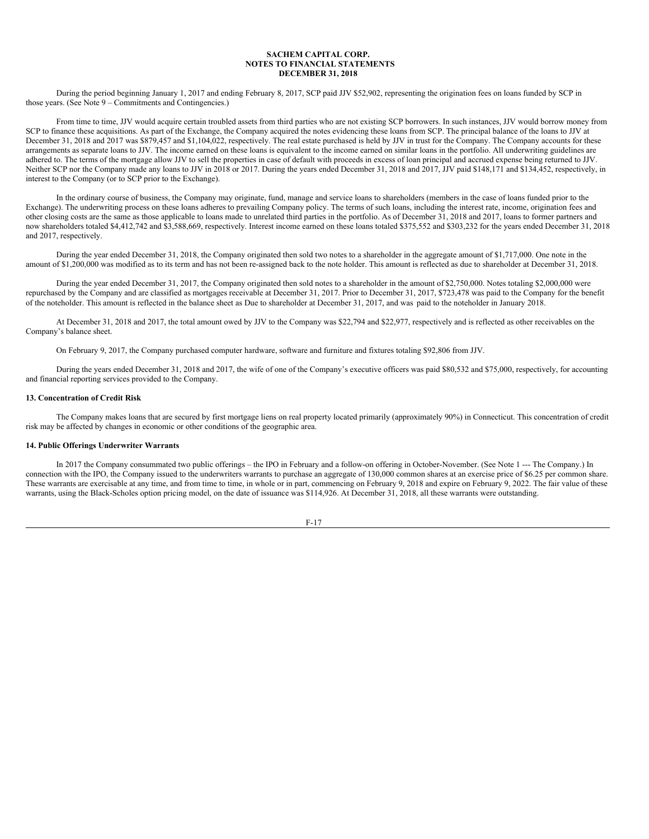During the period beginning January 1, 2017 and ending February 8, 2017, SCP paid JJV \$52,902, representing the origination fees on loans funded by SCP in those years. (See Note 9 – Commitments and Contingencies.)

From time to time, JJV would acquire certain troubled assets from third parties who are not existing SCP borrowers. In such instances, JJV would borrow money from SCP to finance these acquisitions. As part of the Exchange, the Company acquired the notes evidencing these loans from SCP. The principal balance of the loans to JJV at December 31, 2018 and 2017 was \$879,457 and \$1,104,022, respectively. The real estate purchased is held by JJV in trust for the Company. The Company accounts for these arrangements as separate loans to JJV. The income earned on these loans is equivalent to the income earned on similar loans in the portfolio. All underwriting guidelines are adhered to. The terms of the mortgage allow JJV to sell the properties in case of default with proceeds in excess of loan principal and accrued expense being returned to JJV. Neither SCP nor the Company made any loans to JJV in 2018 or 2017. During the years ended December 31, 2018 and 2017, JJV paid \$148,171 and \$134,452, respectively, in interest to the Company (or to SCP prior to the Exchange).

In the ordinary course of business, the Company may originate, fund, manage and service loans to shareholders (members in the case of loans funded prior to the Exchange). The underwriting process on these loans adheres to prevailing Company policy. The terms of such loans, including the interest rate, income, origination fees and other closing costs are the same as those applicable to loans made to unrelated third parties in the portfolio. As of December 31, 2018 and 2017, loans to former partners and now shareholders totaled \$4,412,742 and \$3,588,669, respectively. Interest income earned on these loans totaled \$375,552 and \$303,232 for the years ended December 31, 2018 and 2017, respectively.

During the year ended December 31, 2018, the Company originated then sold two notes to a shareholder in the aggregate amount of \$1,717,000. One note in the amount of \$1,200,000 was modified as to its term and has not been re-assigned back to the note holder. This amount is reflected as due to shareholder at December 31, 2018.

During the year ended December 31, 2017, the Company originated then sold notes to a shareholder in the amount of \$2,750,000. Notes totaling \$2,000,000 were repurchased by the Company and are classified as mortgages receivable at December 31, 2017. Prior to December 31, 2017, \$723,478 was paid to the Company for the benefit of the noteholder. This amount is reflected in the balance sheet as Due to shareholder at December 31, 2017, and was paid to the noteholder in January 2018.

At December 31, 2018 and 2017, the total amount owed by JJV to the Company was \$22,794 and \$22,977, respectively and is reflected as other receivables on the Company's balance sheet.

On February 9, 2017, the Company purchased computer hardware, software and furniture and fixtures totaling \$92,806 from JJV.

During the years ended December 31, 2018 and 2017, the wife of one of the Company's executive officers was paid \$80,532 and \$75,000, respectively, for accounting and financial reporting services provided to the Company.

# **13. Concentration of Credit Risk**

The Company makes loans that are secured by first mortgage liens on real property located primarily (approximately 90%) in Connecticut. This concentration of credit risk may be affected by changes in economic or other conditions of the geographic area.

# **14. Public Offerings Underwriter Warrants**

In 2017 the Company consummated two public offerings – the IPO in February and a follow-on offering in October-November. (See Note 1 --- The Company.) In connection with the IPO, the Company issued to the underwriters warrants to purchase an aggregate of 130,000 common shares at an exercise price of \$6.25 per common share. These warrants are exercisable at any time, and from time to time, in whole or in part, commencing on February 9, 2018 and expire on February 9, 2022. The fair value of these warrants, using the Black-Scholes option pricing model, on the date of issuance was \$114,926. At December 31, 2018, all these warrants were outstanding.

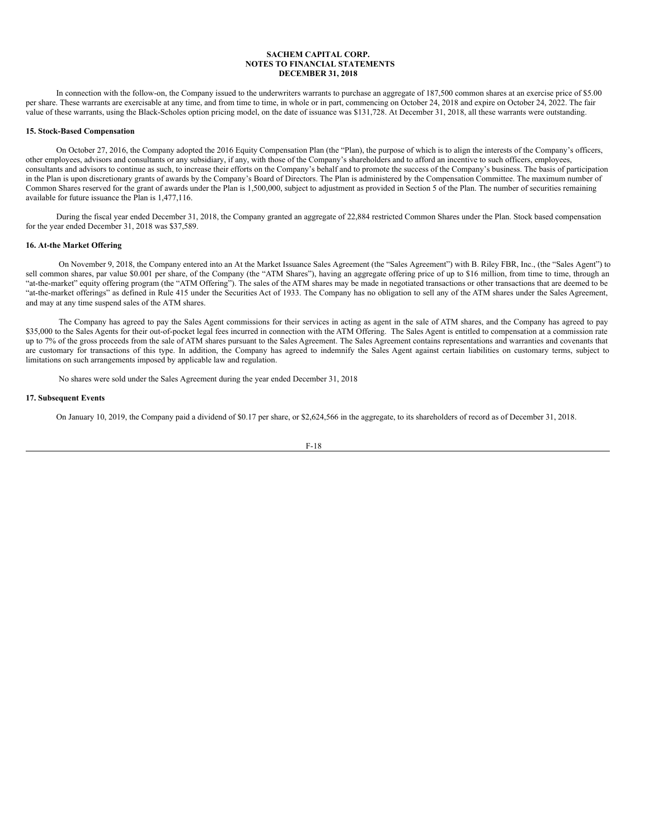In connection with the follow-on, the Company issued to the underwriters warrants to purchase an aggregate of 187,500 common shares at an exercise price of \$5.00 per share. These warrants are exercisable at any time, and from time to time, in whole or in part, commencing on October 24, 2018 and expire on October 24, 2022. The fair value of these warrants, using the Black-Scholes option pricing model, on the date of issuance was \$131,728. At December 31, 2018, all these warrants were outstanding.

#### **15. Stock-Based Compensation**

On October 27, 2016, the Company adopted the 2016 Equity Compensation Plan (the "Plan), the purpose of which is to align the interests of the Company's officers, other employees, advisors and consultants or any subsidiary, if any, with those of the Company's shareholders and to afford an incentive to such officers, employees, consultants and advisors to continue as such, to increase their efforts on the Company's behalf and to promote the success of the Company's business. The basis of participation in the Plan is upon discretionary grants of awards by the Company's Board of Directors. The Plan is administered by the Compensation Committee. The maximum number of Common Shares reserved for the grant of awards under the Plan is 1,500,000, subject to adjustment as provided in Section 5 of the Plan. The number of securities remaining available for future issuance the Plan is 1,477,116.

During the fiscal year ended December 31, 2018, the Company granted an aggregate of 22,884 restricted Common Shares under the Plan. Stock based compensation for the year ended December 31, 2018 was \$37,589.

#### **16. At-the Market Offering**

On November 9, 2018, the Company entered into an At the Market Issuance Sales Agreement (the "Sales Agreement") with B. Riley FBR, Inc., (the "Sales Agent") to sell common shares, par value \$0.001 per share, of the Company (the "ATM Shares"), having an aggregate offering price of up to \$16 million, from time to time, through an "at-the-market" equity offering program (the "ATM Offering"). The sales of the ATM shares may be made in negotiated transactions or other transactions that are deemed to be "at-the-market offerings" as defined in Rule 415 under the Securities Act of 1933. The Company has no obligation to sell any of the ATM shares under the Sales Agreement, and may at any time suspend sales of the ATM shares.

The Company has agreed to pay the Sales Agent commissions for their services in acting as agent in the sale of ATM shares, and the Company has agreed to pay \$35,000 to the Sales Agents for their out-of-pocket legal fees incurred in connection with the ATM Offering. The Sales Agent is entitled to compensation at a commission rate up to 7% of the gross proceeds from the sale of ATM shares pursuant to the Sales Agreement. The Sales Agreement contains representations and warranties and covenants that are customary for transactions of this type. In addition, the Company has agreed to indemnify the Sales Agent against certain liabilities on customary terms, subject to limitations on such arrangements imposed by applicable law and regulation.

No shares were sold under the Sales Agreement during the year ended December 31, 2018.

### **17. Subsequent Events**

On January 10, 2019, the Company paid a dividend of \$0.17 per share, or \$2,624,566 in the aggregate, to its shareholders of record as of December 31, 2018.

$$
F-18
$$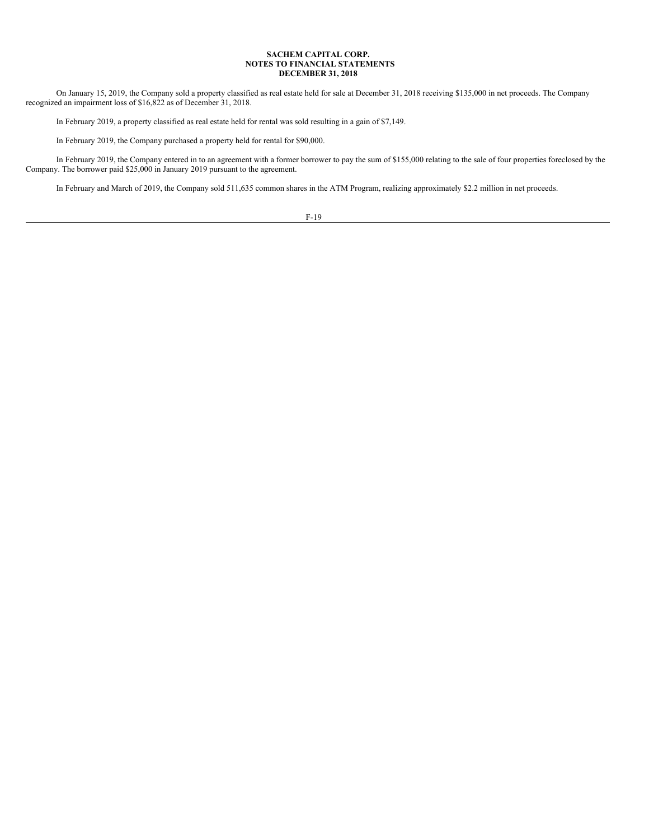On January 15, 2019, the Company sold a property classified as real estate held for sale at December 31, 2018 receiving \$135,000 in net proceeds. The Company recognized an impairment loss of \$16,822 as of December 31, 2018.

In February 2019, a property classified as real estate held for rental was sold resulting in a gain of \$7,149.

In February 2019, the Company purchased a property held for rental for \$90,000.

In February 2019, the Company entered in to an agreement with a former borrower to pay the sum of \$155,000 relating to the sale of four properties foreclosed by the Company. The borrower paid \$25,000 in January 2019 pursuant to the agreement.

In February and March of 2019, the Company sold 511,635 common shares in the ATM Program, realizing approximately \$2.2 million in net proceeds.

F-19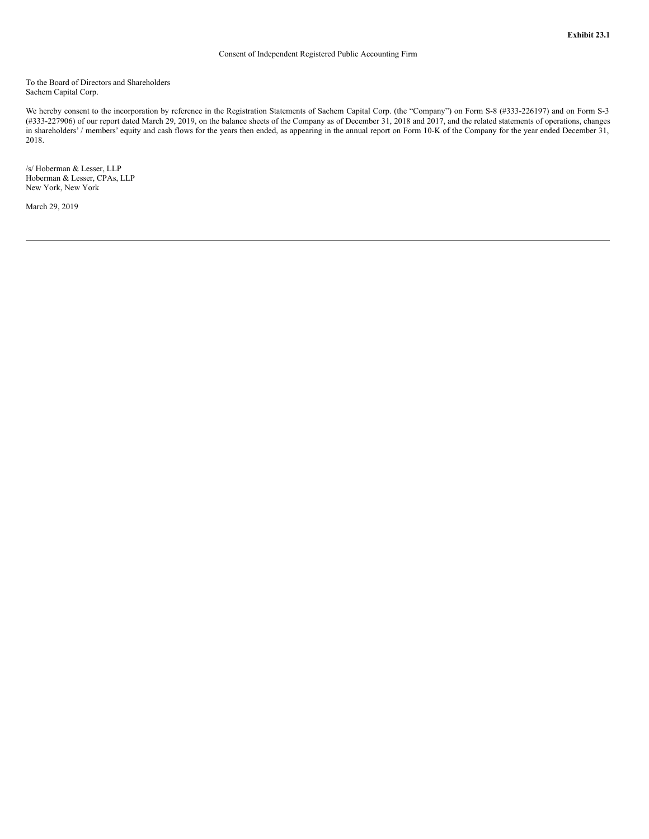To the Board of Directors and Shareholders Sachem Capital Corp.

We hereby consent to the incorporation by reference in the Registration Statements of Sachem Capital Corp. (the "Company") on Form S-8 (#333-226197) and on Form S-3 (#333-227906) of our report dated March 29, 2019, on the balance sheets of the Company as of December 31, 2018 and 2017, and the related statements of operations, changes in shareholders' / members' equity and cash flows for the years then ended, as appearing in the annual report on Form 10-K of the Company for the year ended December 31, 2018.

/s/ Hoberman & Lesser, LLP Hoberman & Lesser, CPAs, LLP New York, New York

March 29, 2019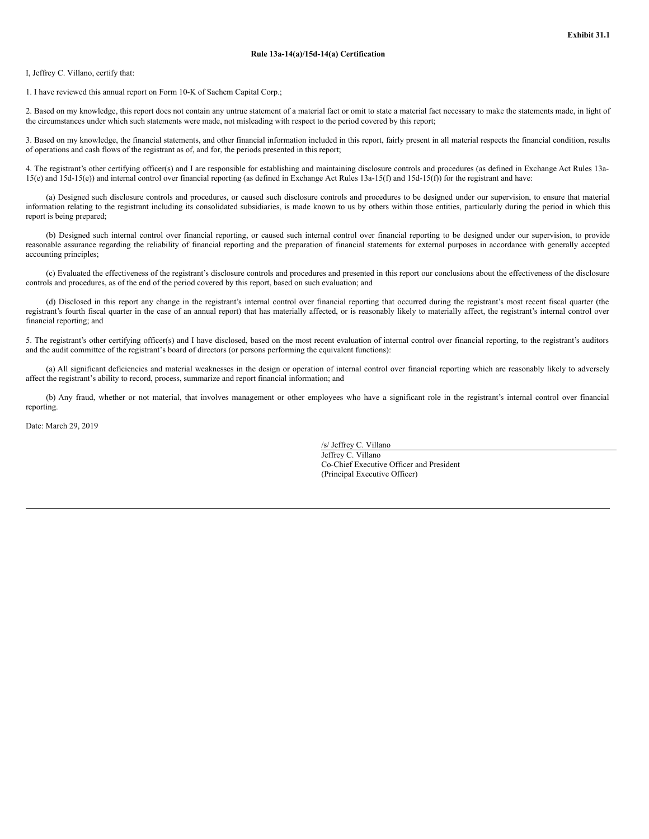## **Rule 13a-14(a)/15d-14(a) Certification**

#### I, Jeffrey C. Villano, certify that:

1. I have reviewed this annual report on Form 10-K of Sachem Capital Corp.;

2. Based on my knowledge, this report does not contain any untrue statement of a material fact or omit to state a material fact necessary to make the statements made, in light of the circumstances under which such statements were made, not misleading with respect to the period covered by this report;

3. Based on my knowledge, the financial statements, and other financial information included in this report, fairly present in all material respects the financial condition, results of operations and cash flows of the registrant as of, and for, the periods presented in this report;

4. The registrant's other certifying officer(s) and I are responsible for establishing and maintaining disclosure controls and procedures (as defined in Exchange Act Rules 13a-15(e) and 15d-15(e)) and internal control over financial reporting (as defined in Exchange Act Rules 13a-15(f) and 15d-15(f)) for the registrant and have:

(a) Designed such disclosure controls and procedures, or caused such disclosure controls and procedures to be designed under our supervision, to ensure that material information relating to the registrant including its consolidated subsidiaries, is made known to us by others within those entities, particularly during the period in which this report is being prepared;

(b) Designed such internal control over financial reporting, or caused such internal control over financial reporting to be designed under our supervision, to provide reasonable assurance regarding the reliability of financial reporting and the preparation of financial statements for external purposes in accordance with generally accepted accounting principles;

(c) Evaluated the effectiveness of the registrant's disclosure controls and procedures and presented in this report our conclusions about the effectiveness of the disclosure controls and procedures, as of the end of the period covered by this report, based on such evaluation; and

(d) Disclosed in this report any change in the registrant's internal control over financial reporting that occurred during the registrant's most recent fiscal quarter (the registrant's fourth fiscal quarter in the case of an annual report) that has materially affected, or is reasonably likely to materially affect, the registrant's internal control over financial reporting; and

5. The registrant's other certifying officer(s) and I have disclosed, based on the most recent evaluation of internal control over financial reporting, to the registrant's auditors and the audit committee of the registrant's board of directors (or persons performing the equivalent functions):

(a) All significant deficiencies and material weaknesses in the design or operation of internal control over financial reporting which are reasonably likely to adversely affect the registrant's ability to record, process, summarize and report financial information; and

(b) Any fraud, whether or not material, that involves management or other employees who have a significant role in the registrant's internal control over financial reporting.

Date: March 29, 2019

/s/ Jeffrey C. Villano Jeffrey C. Villano Co-Chief Executive Officer and President (Principal Executive Officer)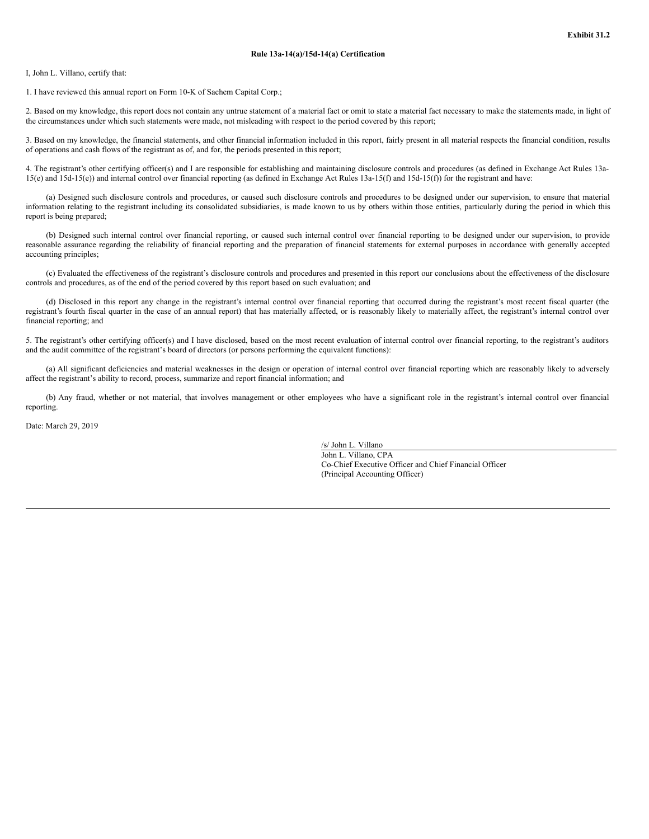### **Rule 13a-14(a)/15d-14(a) Certification**

#### I, John L. Villano, certify that:

1. I have reviewed this annual report on Form 10-K of Sachem Capital Corp.;

2. Based on my knowledge, this report does not contain any untrue statement of a material fact or omit to state a material fact necessary to make the statements made, in light of the circumstances under which such statements were made, not misleading with respect to the period covered by this report;

3. Based on my knowledge, the financial statements, and other financial information included in this report, fairly present in all material respects the financial condition, results of operations and cash flows of the registrant as of, and for, the periods presented in this report;

4. The registrant's other certifying officer(s) and I are responsible for establishing and maintaining disclosure controls and procedures (as defined in Exchange Act Rules 13a-15(e) and 15d-15(e)) and internal control over financial reporting (as defined in Exchange Act Rules 13a-15(f) and 15d-15(f)) for the registrant and have:

(a) Designed such disclosure controls and procedures, or caused such disclosure controls and procedures to be designed under our supervision, to ensure that material information relating to the registrant including its consolidated subsidiaries, is made known to us by others within those entities, particularly during the period in which this report is being prepared;

(b) Designed such internal control over financial reporting, or caused such internal control over financial reporting to be designed under our supervision, to provide reasonable assurance regarding the reliability of financial reporting and the preparation of financial statements for external purposes in accordance with generally accepted accounting principles;

(c) Evaluated the effectiveness of the registrant's disclosure controls and procedures and presented in this report our conclusions about the effectiveness of the disclosure controls and procedures, as of the end of the period covered by this report based on such evaluation; and

(d) Disclosed in this report any change in the registrant's internal control over financial reporting that occurred during the registrant's most recent fiscal quarter (the registrant's fourth fiscal quarter in the case of an annual report) that has materially affected, or is reasonably likely to materially affect, the registrant's internal control over financial reporting; and

5. The registrant's other certifying officer(s) and I have disclosed, based on the most recent evaluation of internal control over financial reporting, to the registrant's auditors and the audit committee of the registrant's board of directors (or persons performing the equivalent functions):

(a) All significant deficiencies and material weaknesses in the design or operation of internal control over financial reporting which are reasonably likely to adversely affect the registrant's ability to record, process, summarize and report financial information; and

(b) Any fraud, whether or not material, that involves management or other employees who have a significant role in the registrant's internal control over financial reporting.

Date: March 29, 2019

/s/ John L. Villano John L. Villano, CPA Co-Chief Executive Officer and Chief Financial Officer (Principal Accounting Officer)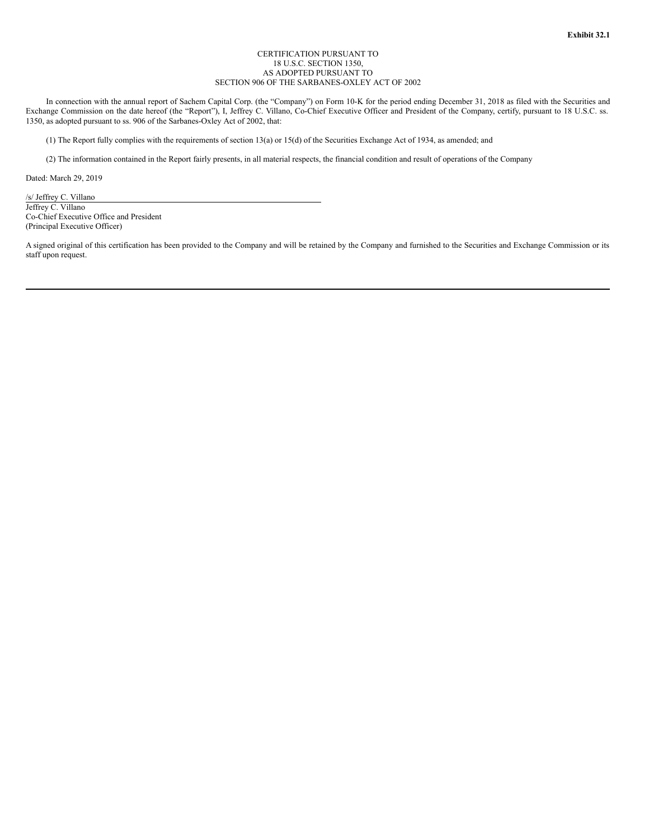# CERTIFICATION PURSUANT TO 18 U.S.C. SECTION 1350, AS ADOPTED PURSUANT TO SECTION 906 OF THE SARBANES-OXLEY ACT OF 2002

In connection with the annual report of Sachem Capital Corp. (the "Company") on Form 10-K for the period ending December 31, 2018 as filed with the Securities and Exchange Commission on the date hereof (the "Report"), I, Jeffrey C. Villano, Co-Chief Executive Officer and President of the Company, certify, pursuant to 18 U.S.C. ss. 1350, as adopted pursuant to ss. 906 of the Sarbanes-Oxley Act of 2002, that:

(1) The Report fully complies with the requirements of section 13(a) or 15(d) of the Securities Exchange Act of 1934, as amended; and

(2) The information contained in the Report fairly presents, in all material respects, the financial condition and result of operations of the Company

Dated: March 29, 2019

/s/ Jeffrey C. Villano Jeffrey C. Villano Co-Chief Executive Office and President (Principal Executive Officer)

A signed original of this certification has been provided to the Company and will be retained by the Company and furnished to the Securities and Exchange Commission or its staff upon request.